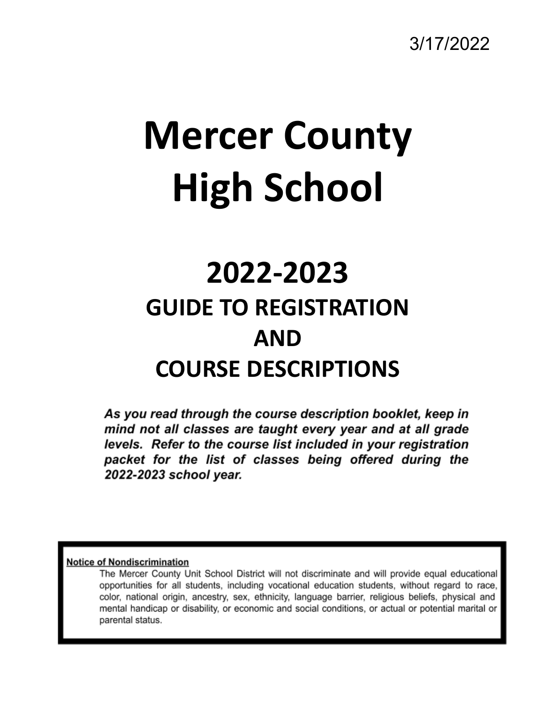3/17/2022

# **Mercer County High School**

# **2022-2023 GUIDE TO REGISTRATION AND COURSE DESCRIPTIONS**

As you read through the course description booklet, keep in mind not all classes are taught every year and at all grade levels. Refer to the course list included in your registration packet for the list of classes being offered during the 2022-2023 school year.

#### **Notice of Nondiscrimination**

The Mercer County Unit School District will not discriminate and will provide equal educational opportunities for all students, including vocational education students, without regard to race, color, national origin, ancestry, sex, ethnicity, language barrier, religious beliefs, physical and mental handicap or disability, or economic and social conditions, or actual or potential marital or parental status.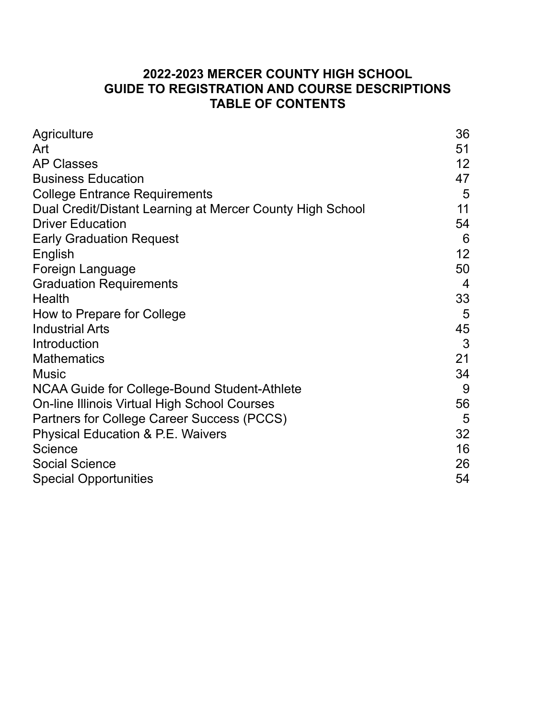# **2022-2023 MERCER COUNTY HIGH SCHOOL GUIDE TO REGISTRATION AND COURSE DESCRIPTIONS TABLE OF CONTENTS**

| Agriculture                                               | 36 |
|-----------------------------------------------------------|----|
| Art                                                       | 51 |
| <b>AP Classes</b>                                         | 12 |
| <b>Business Education</b>                                 | 47 |
| <b>College Entrance Requirements</b>                      | 5  |
| Dual Credit/Distant Learning at Mercer County High School | 11 |
| <b>Driver Education</b>                                   | 54 |
| <b>Early Graduation Request</b>                           | 6  |
| English                                                   | 12 |
| Foreign Language                                          | 50 |
| <b>Graduation Requirements</b>                            | 4  |
| <b>Health</b>                                             | 33 |
| How to Prepare for College                                | 5  |
| <b>Industrial Arts</b>                                    | 45 |
| Introduction                                              | 3  |
| <b>Mathematics</b>                                        | 21 |
| <b>Music</b>                                              | 34 |
| NCAA Guide for College-Bound Student-Athlete              | 9  |
| <b>On-line Illinois Virtual High School Courses</b>       | 56 |
| Partners for College Career Success (PCCS)                | 5  |
| <b>Physical Education &amp; P.E. Waivers</b>              | 32 |
| <b>Science</b>                                            | 16 |
| <b>Social Science</b>                                     | 26 |
| <b>Special Opportunities</b>                              | 54 |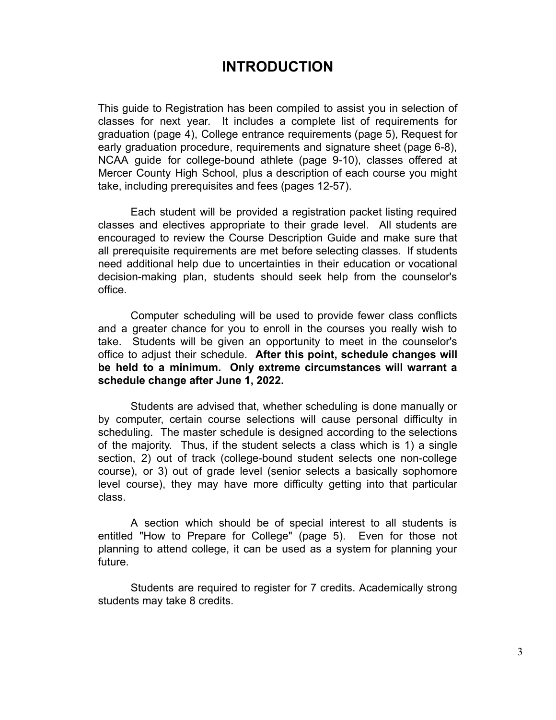# **INTRODUCTION**

This guide to Registration has been compiled to assist you in selection of classes for next year. It includes a complete list of requirements for graduation (page 4), College entrance requirements (page 5), Request for early graduation procedure, requirements and signature sheet (page 6-8), NCAA guide for college-bound athlete (page 9-10), classes offered at Mercer County High School, plus a description of each course you might take, including prerequisites and fees (pages 12-57).

Each student will be provided a registration packet listing required classes and electives appropriate to their grade level. All students are encouraged to review the Course Description Guide and make sure that all prerequisite requirements are met before selecting classes. If students need additional help due to uncertainties in their education or vocational decision-making plan, students should seek help from the counselor's office.

Computer scheduling will be used to provide fewer class conflicts and a greater chance for you to enroll in the courses you really wish to take. Students will be given an opportunity to meet in the counselor's office to adjust their schedule. **After this point, schedule changes will be held to a minimum. Only extreme circumstances will warrant a schedule change after June 1, 2022.**

Students are advised that, whether scheduling is done manually or by computer, certain course selections will cause personal difficulty in scheduling. The master schedule is designed according to the selections of the majority. Thus, if the student selects a class which is 1) a single section, 2) out of track (college-bound student selects one non-college course), or 3) out of grade level (senior selects a basically sophomore level course), they may have more difficulty getting into that particular class.

A section which should be of special interest to all students is entitled "How to Prepare for College" (page 5). Even for those not planning to attend college, it can be used as a system for planning your future.

Students are required to register for 7 credits. Academically strong students may take 8 credits.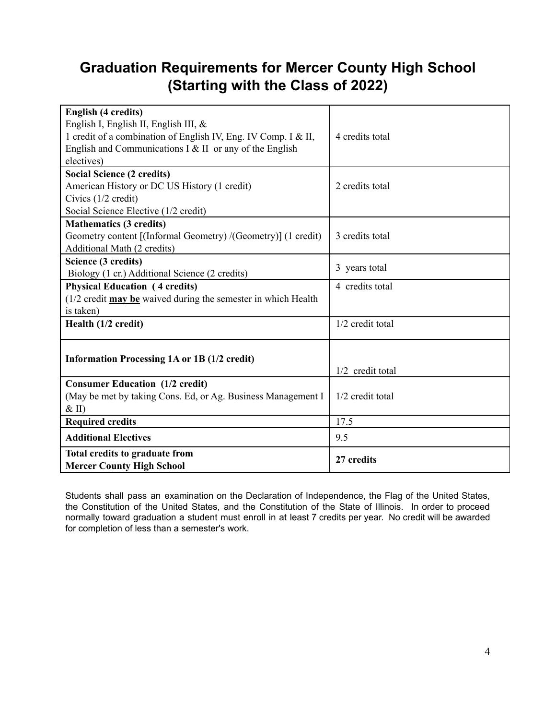# **Graduation Requirements for Mercer County High School (Starting with the Class of 2022)**

| <b>English (4 credits)</b>                                                                    |                  |
|-----------------------------------------------------------------------------------------------|------------------|
| English I, English II, English III, &                                                         |                  |
| 1 credit of a combination of English IV, Eng. IV Comp. I & II,                                | 4 credits total  |
| English and Communications $I \& II$ or any of the English                                    |                  |
| electives)                                                                                    |                  |
| <b>Social Science (2 credits)</b>                                                             |                  |
| American History or DC US History (1 credit)                                                  | 2 credits total  |
| Civics (1/2 credit)                                                                           |                  |
| Social Science Elective (1/2 credit)                                                          |                  |
| <b>Mathematics (3 credits)</b>                                                                |                  |
| Geometry content [(Informal Geometry) /(Geometry)] (1 credit)                                 | 3 credits total  |
| Additional Math (2 credits)                                                                   |                  |
| Science (3 credits)                                                                           |                  |
| Biology (1 cr.) Additional Science (2 credits)                                                | 3 years total    |
| <b>Physical Education (4 credits)</b>                                                         | 4 credits total  |
| $(1/2 \text{ credit } \text{may } \text{be} \text{ wave}$ during the semester in which Health |                  |
| is taken)                                                                                     |                  |
| Health (1/2 credit)                                                                           | 1/2 credit total |
|                                                                                               |                  |
|                                                                                               |                  |
| <b>Information Processing 1A or 1B (1/2 credit)</b>                                           |                  |
|                                                                                               | 1/2 credit total |
| <b>Consumer Education (1/2 credit)</b>                                                        |                  |
| (May be met by taking Cons. Ed, or Ag. Business Management I                                  | 1/2 credit total |
| $&$ II)                                                                                       |                  |
| <b>Required credits</b>                                                                       | 17.5             |
| <b>Additional Electives</b>                                                                   | 9.5              |
| Total credits to graduate from                                                                | 27 credits       |
| <b>Mercer County High School</b>                                                              |                  |

Students shall pass an examination on the Declaration of Independence, the Flag of the United States, the Constitution of the United States, and the Constitution of the State of Illinois. In order to proceed normally toward graduation a student must enroll in at least 7 credits per year. No credit will be awarded for completion of less than a semester's work.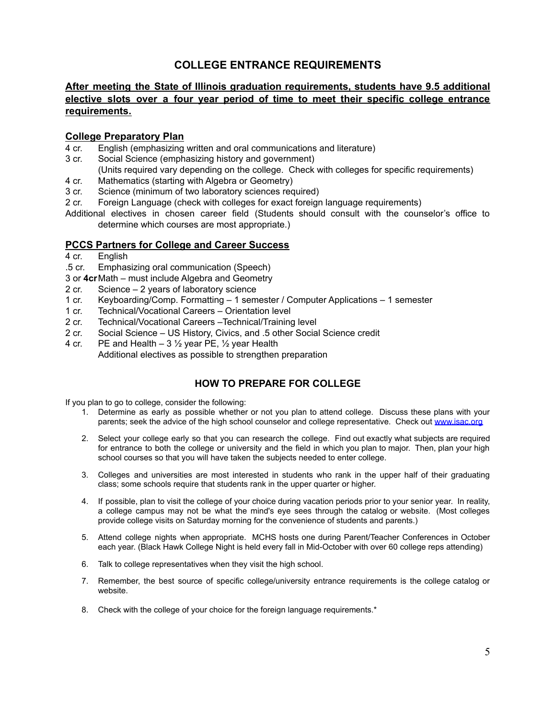### **COLLEGE ENTRANCE REQUIREMENTS**

### **After meeting the State of Illinois graduation requirements, students have 9.5 additional elective slots over a four year period of time to meet their specific college entrance requirements.**

#### **College Preparatory Plan**

- 4 cr. English (emphasizing written and oral communications and literature)
- 3 cr. Social Science (emphasizing history and government)
	- (Units required vary depending on the college. Check with colleges for specific requirements)
- 4 cr. Mathematics (starting with Algebra or Geometry)
- 3 cr. Science (minimum of two laboratory sciences required)
- 2 cr. Foreign Language (check with colleges for exact foreign language requirements)
- Additional electives in chosen career field (Students should consult with the counselor's office to determine which courses are most appropriate.)

#### **PCCS Partners for College and Career Success**

- 4 cr. English
- .5 cr. Emphasizing oral communication (Speech)
- 3 or **4cr**Math must include Algebra and Geometry
- 2 cr. Science 2 years of laboratory science
- 1 cr. Keyboarding/Comp. Formatting 1 semester / Computer Applications 1 semester
- 1 cr. Technical/Vocational Careers Orientation level
- 2 cr. Technical/Vocational Careers –Technical/Training level
- 2 cr. Social Science US History, Civics, and .5 other Social Science credit
- 4 cr. PE and Health  $-3\frac{1}{2}$  year PE,  $\frac{1}{2}$  year Health
	- Additional electives as possible to strengthen preparation

### **HOW TO PREPARE FOR COLLEGE**

If you plan to go to college, consider the following:

- 1. Determine as early as possible whether or not you plan to attend college. Discuss these plans with your parents; seek the advice of the high school counselor and college representative. Check out www.isac.org
- 2. Select your college early so that you can research the college. Find out exactly what subjects are required for entrance to both the college or university and the field in which you plan to major. Then, plan your high school courses so that you will have taken the subjects needed to enter college.
- 3. Colleges and universities are most interested in students who rank in the upper half of their graduating class; some schools require that students rank in the upper quarter or higher.
- 4. If possible, plan to visit the college of your choice during vacation periods prior to your senior year. In reality, a college campus may not be what the mind's eye sees through the catalog or website. (Most colleges provide college visits on Saturday morning for the convenience of students and parents.)
- 5. Attend college nights when appropriate. MCHS hosts one during Parent/Teacher Conferences in October each year. (Black Hawk College Night is held every fall in Mid-October with over 60 college reps attending)
- 6. Talk to college representatives when they visit the high school.
- 7. Remember, the best source of specific college/university entrance requirements is the college catalog or website.
- 8. Check with the college of your choice for the foreign language requirements.\*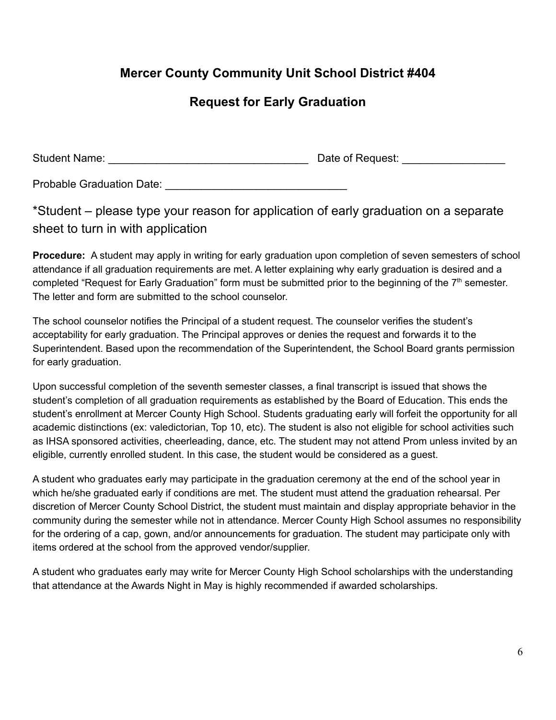# **Mercer County Community Unit School District #404**

# **Request for Early Graduation**

| <b>Student Name:</b> | Date of Request: |
|----------------------|------------------|
|                      |                  |

Probable Graduation Date:

\*Student – please type your reason for application of early graduation on a separate sheet to turn in with application

**Procedure:** A student may apply in writing for early graduation upon completion of seven semesters of school attendance if all graduation requirements are met. A letter explaining why early graduation is desired and a completed "Request for Early Graduation" form must be submitted prior to the beginning of the  $7<sup>th</sup>$  semester. The letter and form are submitted to the school counselor.

The school counselor notifies the Principal of a student request. The counselor verifies the student's acceptability for early graduation. The Principal approves or denies the request and forwards it to the Superintendent. Based upon the recommendation of the Superintendent, the School Board grants permission for early graduation.

Upon successful completion of the seventh semester classes, a final transcript is issued that shows the student's completion of all graduation requirements as established by the Board of Education. This ends the student's enrollment at Mercer County High School. Students graduating early will forfeit the opportunity for all academic distinctions (ex: valedictorian, Top 10, etc). The student is also not eligible for school activities such as IHSA sponsored activities, cheerleading, dance, etc. The student may not attend Prom unless invited by an eligible, currently enrolled student. In this case, the student would be considered as a guest.

A student who graduates early may participate in the graduation ceremony at the end of the school year in which he/she graduated early if conditions are met. The student must attend the graduation rehearsal. Per discretion of Mercer County School District, the student must maintain and display appropriate behavior in the community during the semester while not in attendance. Mercer County High School assumes no responsibility for the ordering of a cap, gown, and/or announcements for graduation. The student may participate only with items ordered at the school from the approved vendor/supplier.

A student who graduates early may write for Mercer County High School scholarships with the understanding that attendance at the Awards Night in May is highly recommended if awarded scholarships.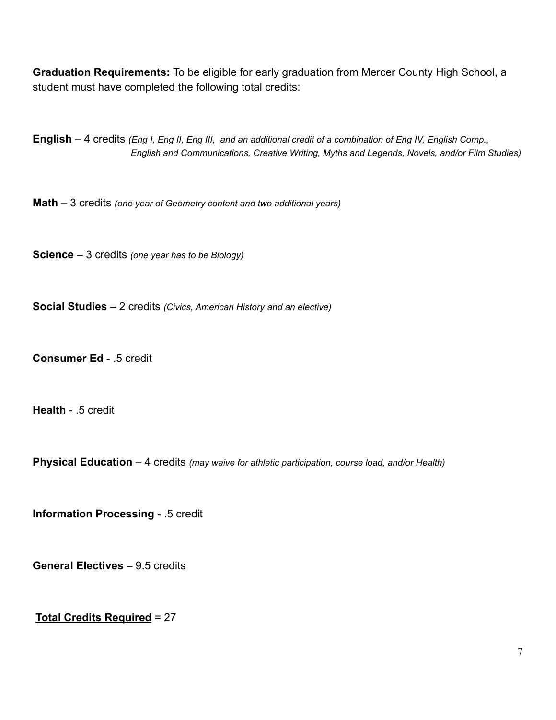**Graduation Requirements:** To be eligible for early graduation from Mercer County High School, a student must have completed the following total credits:

**English**  $-4$  credits (*Eng I, Eng II, Eng III, and an additional credit of a combination of Eng IV, English Comp., English and Communications, Creative Writing, Myths and Legends, Novels, and/or Film Studies)*

**Math** – 3 credits *(one year of Geometry content and two additional years)*

**Science** – 3 credits *(one year has to be Biology)*

**Social Studies** – 2 credits *(Civics, American History and an elective)*

**Consumer Ed** - .5 credit

**Health** - .5 credit

**Physical Education** – 4 credits *(may waive for athletic participation, course load, and/or Health)*

**Information Processing** - .5 credit

**General Electives** – 9.5 credits

**Total Credits Required** = 27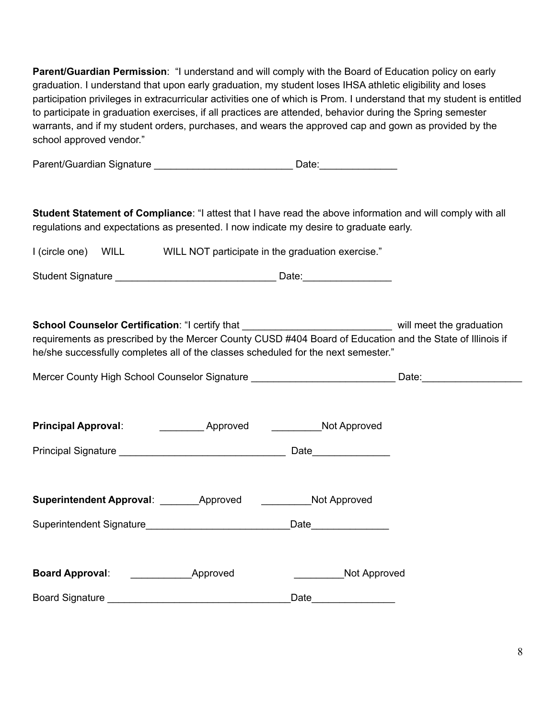**Parent/Guardian Permission**: "I understand and will comply with the Board of Education policy on early graduation. I understand that upon early graduation, my student loses IHSA athletic eligibility and loses participation privileges in extracurricular activities one of which is Prom. I understand that my student is entitled to participate in graduation exercises, if all practices are attended, behavior during the Spring semester warrants, and if my student orders, purchases, and wears the approved cap and gown as provided by the school approved vendor."

**Student Statement of Compliance**: "I attest that I have read the above information and will comply with all regulations and expectations as presented. I now indicate my desire to graduate early.

| I (circle one) | WILL | WILL NOT participate in the graduation exercise." |  |
|----------------|------|---------------------------------------------------|--|
|                |      |                                                   |  |

Student Signature \_\_\_\_\_\_\_\_\_\_\_\_\_\_\_\_\_\_\_\_\_\_\_\_\_\_\_\_\_ Date:\_\_\_\_\_\_\_\_\_\_\_\_\_\_\_\_

**School Counselor Certification:** "I certify that \_\_\_\_\_\_\_\_\_\_\_\_\_\_\_\_\_\_\_\_\_\_\_\_\_\_\_\_\_\_\_ will meet the graduation requirements as prescribed by the Mercer County CUSD #404 Board of Education and the State of Illinois if he/she successfully completes all of the classes scheduled for the next semester."

| Mercer County High School Counselor Signature | Date: |
|-----------------------------------------------|-------|
|                                               |       |

| <b>Principal Approval:</b>                     | <b>Approved</b>              | <b>Not Approved</b>   |  |
|------------------------------------------------|------------------------------|-----------------------|--|
|                                                |                              | Date _______________  |  |
| Superintendent Approval: Approved Not Approved |                              |                       |  |
|                                                |                              | Date_________________ |  |
| <b>Board Approval:</b>                         | <b>Example 2018</b> Approved | Not Approved          |  |
| Board Signature _____________________________  |                              | Date                  |  |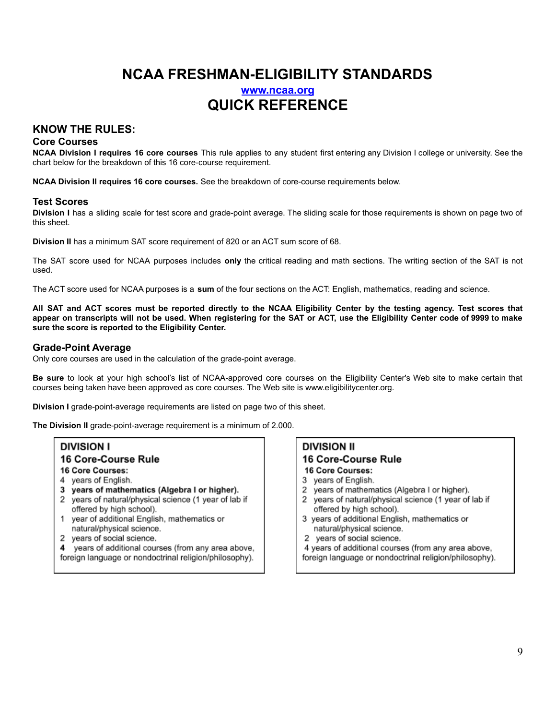# **NCAA FRESHMAN-ELIGIBILITY STANDARDS www.ncaa.org QUICK REFERENCE**

### **KNOW THE RULES:**

#### **Core Courses**

**NCAA Division I requires 16 core courses** This rule applies to any student first entering any Division I college or university. See the chart below for the breakdown of this 16 core-course requirement.

**NCAA Division II requires 16 core courses.** See the breakdown of core-course requirements below.

#### **Test Scores**

**Division I** has a sliding scale for test score and grade-point average. The sliding scale for those requirements is shown on page two of this sheet.

**Division II** has a minimum SAT score requirement of 820 or an ACT sum score of 68.

The SAT score used for NCAA purposes includes **only** the critical reading and math sections. The writing section of the SAT is not used.

The ACT score used for NCAA purposes is a **sum** of the four sections on the ACT: English, mathematics, reading and science.

All SAT and ACT scores must be reported directly to the NCAA Eligibility Center by the testing agency. Test scores that appear on transcripts will not be used. When registering for the SAT or ACT, use the Eligibility Center code of 9999 to make **sure the score is reported to the Eligibility Center.**

#### **Grade-Point Average**

Only core courses are used in the calculation of the grade-point average.

**Be sure** to look at your high school's list of NCAA-approved core courses on the Eligibility Center's Web site to make certain that courses being taken have been approved as core courses. The Web site is www.eligibilitycenter.org.

**Division I** grade-point-average requirements are listed on page two of this sheet.

**The Division II** grade-point-average requirement is a minimum of 2.000.

### **DIVISION I**

#### 16 Core-Course Rule

- 16 Core Courses:
- 4 years of English.
- 3 years of mathematics (Algebra I or higher).
- 2 years of natural/physical science (1 year of lab if offered by high school).
- year of additional English, mathematics or 1 natural/physical science.
- 2 years of social science.
- 4 vears of additional courses (from any area above, foreign language or nondoctrinal religion/philosophy).

#### **DIVISION II** 16 Core-Course Rule 16 Core Courses:

- 3 years of English.
- 2 years of mathematics (Algebra I or higher).
- years of natural/physical science (1 year of lab if  $\overline{2}$ offered by high school).
- 3 years of additional English, mathematics or natural/physical science.
- 2 years of social science.
- 4 years of additional courses (from any area above, foreign language or nondoctrinal religion/philosophy).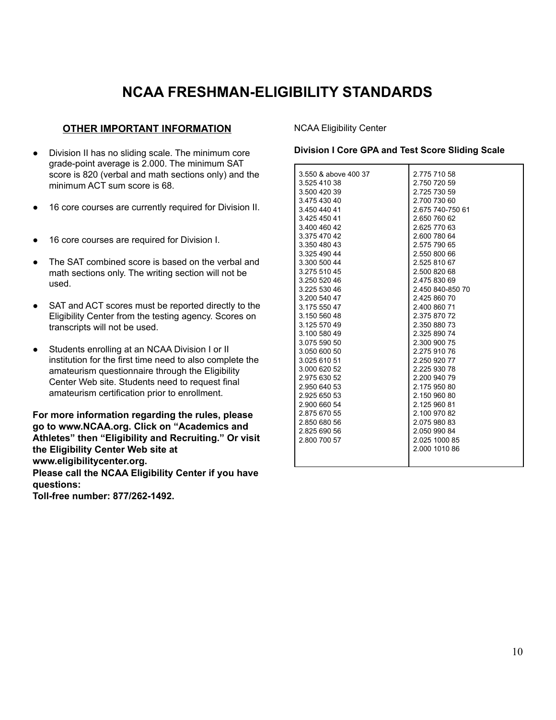# **NCAA FRESHMAN-ELIGIBILITY STANDARDS**

#### **OTHER IMPORTANT INFORMATION**

- Division II has no sliding scale. The minimum core grade-point average is 2.000. The minimum SAT score is 820 (verbal and math sections only) and the minimum ACT sum score is 68.
- 16 core courses are currently required for Division II.
- 16 core courses are required for Division I.
- The SAT combined score is based on the verbal and math sections only. The writing section will not be used.
- SAT and ACT scores must be reported directly to the Eligibility Center from the testing agency. Scores on transcripts will not be used.
- Students enrolling at an NCAA Division I or II institution for the first time need to also complete the amateurism questionnaire through the Eligibility Center Web site. Students need to request final amateurism certification prior to enrollment.

**For more information regarding the rules, please go to www.NCAA.org. Click on "Academics and Athletes" then "Eligibility and Recruiting." Or visit the Eligibility Center Web site at www.eligibilitycenter.org. Please call the NCAA Eligibility Center if you have questions:**

**Toll-free number: 877/262-1492.**

NCAA Eligibility Center

#### **Division I Core GPA and Test Score Sliding Scale**

| 3.550 & above 400 37<br>3.525 410 38<br>3.500 420 39<br>3.475 430 40<br>3.450 440 41<br>3.425 450 41<br>3.400 460 42<br>3.375 470 42<br>3.350 480 43<br>3.325 490 44<br>3.300 500 44<br>3.275 510 45<br>3.250 520 46<br>3.225 530 46<br>3.200 540 47<br>3.175 550 47<br>3.150 560 48<br>3.125 570 49<br>3.100 580 49<br>3.075 590 50<br>3.050 600 50<br>3.025 610 51<br>3.000 620 52<br>2.975 630 52<br>2.950 640 53<br>2.925 650 53 | 2.775 710 58<br>2.750 720 59<br>2.725 730 59<br>2.700 730 60<br>2.675 740-750 61<br>2.650 760 62<br>2.625 770 63<br>2.600 780 64<br>2.575 790 65<br>2.550 800 66<br>2.525 810 67<br>2.500 820 68<br>2.475 830 69<br>2.450 840-850 70<br>2.425 860 70<br>2.400 860 71<br>2.375 870 72<br>2.350 880 73<br>2.325 890 74<br>2.300 900 75<br>2.275 910 76<br>2.250 920 77<br>2.225 930 78<br>2.200 940 79<br>2.175 950 80<br>2.150 960 80 |
|--------------------------------------------------------------------------------------------------------------------------------------------------------------------------------------------------------------------------------------------------------------------------------------------------------------------------------------------------------------------------------------------------------------------------------------|--------------------------------------------------------------------------------------------------------------------------------------------------------------------------------------------------------------------------------------------------------------------------------------------------------------------------------------------------------------------------------------------------------------------------------------|
| 2.900 660 54<br>2.875 670 55<br>2.850 680 56<br>2.825 690 56                                                                                                                                                                                                                                                                                                                                                                         | 2.125 960 81<br>2.100 970 82<br>2.075 980 83<br>2.050 990 84                                                                                                                                                                                                                                                                                                                                                                         |
| 2.800 700 57                                                                                                                                                                                                                                                                                                                                                                                                                         | 2.025 1000 85<br>2.000 1010 86                                                                                                                                                                                                                                                                                                                                                                                                       |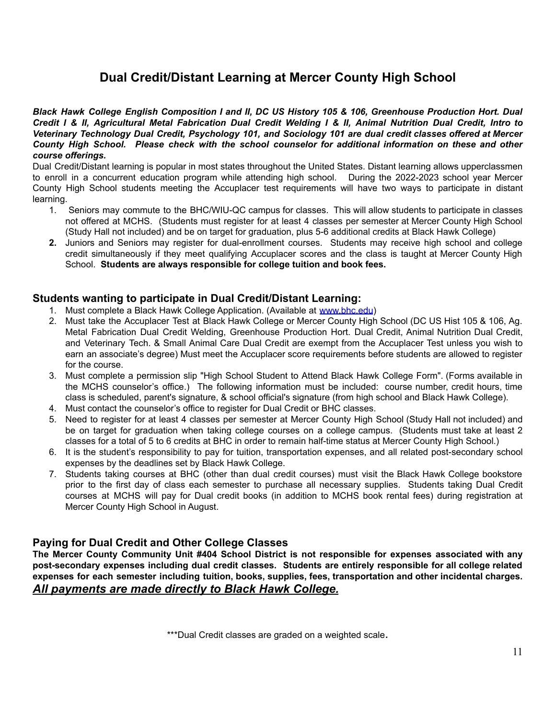# **Dual Credit/Distant Learning at Mercer County High School**

Black Hawk College English Composition I and II, DC US History 105 & 106, Greenhouse Production Hort. Dual Credit I & II, Agricultural Metal Fabrication Dual Credit Welding I & II, Animal Nutrition Dual Credit, Intro to *Veterinary Technology Dual Credit, Psychology 101, and Sociology 101 are dual credit classes offered at Mercer County High School. Please check with the school counselor for additional information on these and other course offerings.*

Dual Credit/Distant learning is popular in most states throughout the United States. Distant learning allows upperclassmen to enroll in a concurrent education program while attending high school. During the 2022-2023 school year Mercer County High School students meeting the Accuplacer test requirements will have two ways to participate in distant learning.

- 1. Seniors may commute to the BHC/WIU-QC campus for classes. This will allow students to participate in classes not offered at MCHS. (Students must register for at least 4 classes per semester at Mercer County High School (Study Hall not included) and be on target for graduation, plus 5-6 additional credits at Black Hawk College)
- **2.** Juniors and Seniors may register for dual-enrollment courses. Students may receive high school and college credit simultaneously if they meet qualifying Accuplacer scores and the class is taught at Mercer County High School. **Students are always responsible for college tuition and book fees.**

### **Students wanting to participate in Dual Credit/Distant Learning:**

- 1. Must complete a Black Hawk College Application. (Available at www.bhc.edu)
- 2. Must take the Accuplacer Test at Black Hawk College or Mercer County High School (DC US Hist 105 & 106, Ag. Metal Fabrication Dual Credit Welding, Greenhouse Production Hort. Dual Credit, Animal Nutrition Dual Credit, and Veterinary Tech. & Small Animal Care Dual Credit are exempt from the Accuplacer Test unless you wish to earn an associate's degree) Must meet the Accuplacer score requirements before students are allowed to register for the course.
- 3. Must complete a permission slip "High School Student to Attend Black Hawk College Form". (Forms available in the MCHS counselor's office.) The following information must be included: course number, credit hours, time class is scheduled, parent's signature, & school official's signature (from high school and Black Hawk College).
- 4. Must contact the counselor's office to register for Dual Credit or BHC classes.
- 5. Need to register for at least 4 classes per semester at Mercer County High School (Study Hall not included) and be on target for graduation when taking college courses on a college campus. (Students must take at least 2 classes for a total of 5 to 6 credits at BHC in order to remain half-time status at Mercer County High School.)
- 6. It is the student's responsibility to pay for tuition, transportation expenses, and all related post-secondary school expenses by the deadlines set by Black Hawk College.
- 7. Students taking courses at BHC (other than dual credit courses) must visit the Black Hawk College bookstore prior to the first day of class each semester to purchase all necessary supplies. Students taking Dual Credit courses at MCHS will pay for Dual credit books (in addition to MCHS book rental fees) during registration at Mercer County High School in August.

### **Paying for Dual Credit and Other College Classes**

**The Mercer County Community Unit #404 School District is not responsible for expenses associated with any post-secondary expenses including dual credit classes. Students are entirely responsible for all college related expenses for each semester including tuition, books, supplies, fees, transportation and other incidental charges.** *All payments are made directly to Black Hawk College.*

\*\*\*Dual Credit classes are graded on a weighted scale.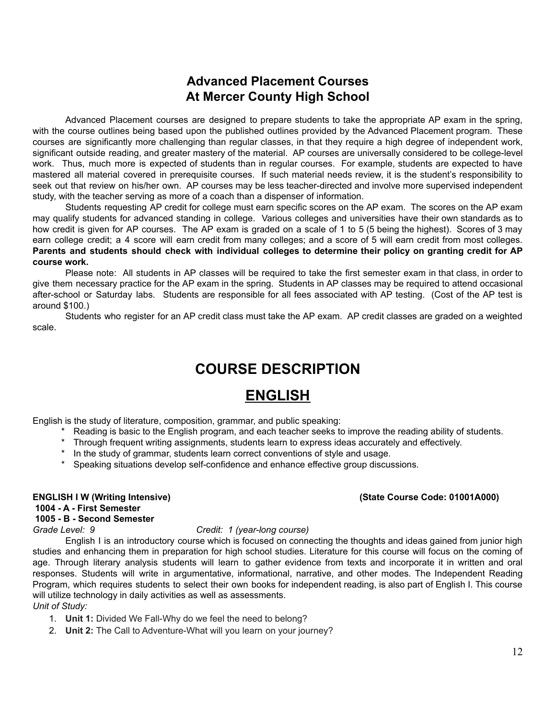# **Advanced Placement Courses At Mercer County High School**

Advanced Placement courses are designed to prepare students to take the appropriate AP exam in the spring, with the course outlines being based upon the published outlines provided by the Advanced Placement program. These courses are significantly more challenging than regular classes, in that they require a high degree of independent work, significant outside reading, and greater mastery of the material. AP courses are universally considered to be college-level work. Thus, much more is expected of students than in regular courses. For example, students are expected to have mastered all material covered in prerequisite courses. If such material needs review, it is the student's responsibility to seek out that review on his/her own. AP courses may be less teacher-directed and involve more supervised independent study, with the teacher serving as more of a coach than a dispenser of information.

Students requesting AP credit for college must earn specific scores on the AP exam. The scores on the AP exam may qualify students for advanced standing in college. Various colleges and universities have their own standards as to how credit is given for AP courses. The AP exam is graded on a scale of 1 to 5 (5 being the highest). Scores of 3 may earn college credit; a 4 score will earn credit from many colleges; and a score of 5 will earn credit from most colleges. Parents and students should check with individual colleges to determine their policy on granting credit for AP **course work.**

Please note: All students in AP classes will be required to take the first semester exam in that class, in order to give them necessary practice for the AP exam in the spring. Students in AP classes may be required to attend occasional after-school or Saturday labs. Students are responsible for all fees associated with AP testing. (Cost of the AP test is around \$100.)

Students who register for an AP credit class must take the AP exam. AP credit classes are graded on a weighted scale.

# **COURSE DESCRIPTION**

# **ENGLISH**

English is the study of literature, composition, grammar, and public speaking:

- \* Reading is basic to the English program, and each teacher seeks to improve the reading ability of students.
- \* Through frequent writing assignments, students learn to express ideas accurately and effectively.
- \* In the study of grammar, students learn correct conventions of style and usage.
- \* Speaking situations develop self-confidence and enhance effective group discussions.

# **1004 - A - First Semester**

### **1005 - B - Second Semester**

#### *Grade Level: 9 Credit: 1 (year-long course)*

English I is an introductory course which is focused on connecting the thoughts and ideas gained from junior high studies and enhancing them in preparation for high school studies. Literature for this course will focus on the coming of age. Through literary analysis students will learn to gather evidence from texts and incorporate it in written and oral responses. Students will write in argumentative, informational, narrative, and other modes. The Independent Reading Program, which requires students to select their own books for independent reading, is also part of English I. This course will utilize technology in daily activities as well as assessments.

*Unit of Study:*

- 1. **Unit 1:** Divided We Fall-Why do we feel the need to belong?
- 2. **Unit 2:** The Call to Adventure-What will you learn on your journey?

#### **ENGLISH I W (Writing Intensive) (State Course Code: 01001A000)**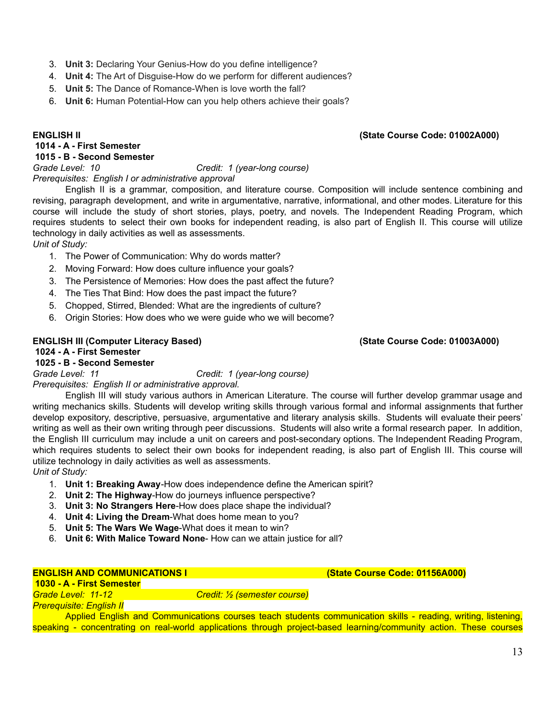- 3. **Unit 3:** Declaring Your Genius-How do you define intelligence?
- 4. **Unit 4:** The Art of Disguise-How do we perform for different audiences?
- 5. **Unit 5:** The Dance of Romance-When is love worth the fall?
- 6. **Unit 6:** Human Potential-How can you help others achieve their goals?

#### **1014 - A - First Semester**

#### **1015 - B - Second Semester**

*Grade Level: 10 Credit: 1 (year-long course)*

*Prerequisites: English I or administrative approval*

English II is a grammar, composition, and literature course. Composition will include sentence combining and revising, paragraph development, and write in argumentative, narrative, informational, and other modes. Literature for this course will include the study of short stories, plays, poetry, and novels. The Independent Reading Program, which requires students to select their own books for independent reading, is also part of English II. This course will utilize technology in daily activities as well as assessments.

*Unit of Study:*

- 1. The Power of Communication: Why do words matter?
- 2. Moving Forward: How does culture influence your goals?
- 3. The Persistence of Memories: How does the past affect the future?
- 4. The Ties That Bind: How does the past impact the future?
- 5. Chopped, Stirred, Blended: What are the ingredients of culture?
- 6. Origin Stories: How does who we were guide who we will become?

#### **ENGLISH III (Computer Literacy Based) (State Course Code: 01003A000)**

#### **1024 - A - First Semester**

#### **1025 - B - Second Semester**

*Grade Level: 11 Credit: 1 (year-long course)*

*Prerequisites: English II or administrative approval.*

English III will study various authors in American Literature. The course will further develop grammar usage and writing mechanics skills. Students will develop writing skills through various formal and informal assignments that further develop expository, descriptive, persuasive, argumentative and literary analysis skills. Students will evaluate their peers' writing as well as their own writing through peer discussions. Students will also write a formal research paper. In addition, the English III curriculum may include a unit on careers and post-secondary options. The Independent Reading Program, which requires students to select their own books for independent reading, is also part of English III. This course will utilize technology in daily activities as well as assessments.

*Unit of Study:*

- 1. **Unit 1: Breaking Away**-How does independence define the American spirit?
- 2. **Unit 2: The Highway**-How do journeys influence perspective?
- 3. **Unit 3: No Strangers Here**-How does place shape the individual?
- 4. **Unit 4: Living the Dream**-What does home mean to you?
- 5. **Unit 5: The Wars We Wage**-What does it mean to win?
- 6. **Unit 6: With Malice Toward None** How can we attain justice for all?

#### **ENGLISH AND COMMUNICATIONS I (State Course Code: 01156A000)**

**1030 - A - First Semester** *Grade Level: 11-12 Credit: ½ (semester course)*

*Prerequisite: English II*

Applied English and Communications courses teach students communication skills - reading, writing, listening, speaking - concentrating on real-world applications through project-based learning/community action. These courses

# **ENGLISH II (State Course Code: 01002A000)**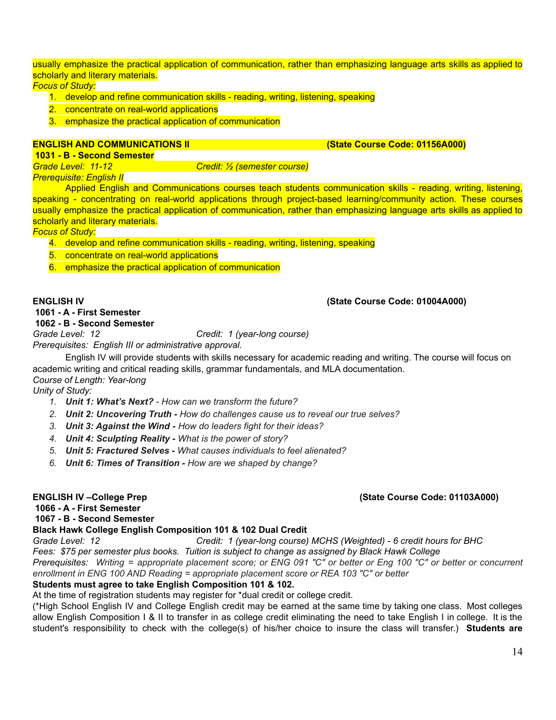usually emphasize the practical application of communication, rather than emphasizing language arts skills as applied to scholarly and literary materials.

*Focus of Study:*

- 1. develop and refine communication skills reading, writing, listening, speaking
- 2. concentrate on real-world applications
- 3. emphasize the practical application of communication

#### **ENGLISH AND COMMUNICATIONS II COMMUNICATIONS II COMELANDICATIONS II COMELANDICATIONS II COMELANDICATIONS II COMELANDICATIONS II COMELANDICATIONS III COMELANDICATIONS III COMELANDICATIONS II**

**1031 - B - Second Semester**

*Grade Level: 11-12 Credit: ½ (semester course)*

*Prerequisite: English II*

Applied English and Communications courses teach students communication skills - reading, writing, listening, speaking - concentrating on real-world applications through project-based learning/community action. These courses usually emphasize the practical application of communication, rather than emphasizing language arts skills as applied to scholarly and literary materials.

*Focus of Study:*

- 4. develop and refine communication skills reading, writing, listening, speaking
- 5. concentrate on real-world applications
- 6. emphasize the practical application of communication

#### **ENGLISH IV (State Course Code: 01004A000)**

# **1061 - A - First Semester**

**1062 - B - Second Semester**

*Grade Level: 12 Credit: 1 (year-long course)*

*Prerequisites: English III or administrative approval.*

English IV will provide students with skills necessary for academic reading and writing. The course will focus on academic writing and critical reading skills, grammar fundamentals, and MLA documentation. *Course of Length: Year-long*

*Unity of Study:*

- *1. Unit 1: What's Next? - How can we transform the future?*
- *2. Unit 2: Uncovering Truth - How do challenges cause us to reveal our true selves?*
- *3. Unit 3: Against the Wind - How do leaders fight for their ideas?*
- *4. Unit 4: Sculpting Reality - What is the power of story?*
- *5. Unit 5: Fractured Selves - What causes individuals to feel alienated?*
- *6. Unit 6: Times of Transition - How are we shaped by change?*

#### **ENGLISH IV –College Prep (State Course Code: 01103A000)**

**1066 - A - First Semester 1067 - B - Second Semester**

### **Black Hawk College English Composition 101 & 102 Dual Credit**

*Grade Level: 12 Credit: 1 (year-long course) MCHS (Weighted) - 6 credit hours for BHC*

*Fees: \$75 per semester plus books. Tuition is subject to change as assigned by Black Hawk College*

Prerequisites: Writing = appropriate placement score; or ENG 091 "C" or better or Eng 100 "C" or better or concurrent *enrollment in ENG 100 AND Reading = appropriate placement score or REA 103 "C" or better*

### **Students must agree to take English Composition 101 & 102.**

At the time of registration students may register for \*dual credit or college credit.

(\*High School English IV and College English credit may be earned at the same time by taking one class. Most colleges allow English Composition I & II to transfer in as college credit eliminating the need to take English I in college. It is the student's responsibility to check with the college(s) of his/her choice to insure the class will transfer.) **Students are**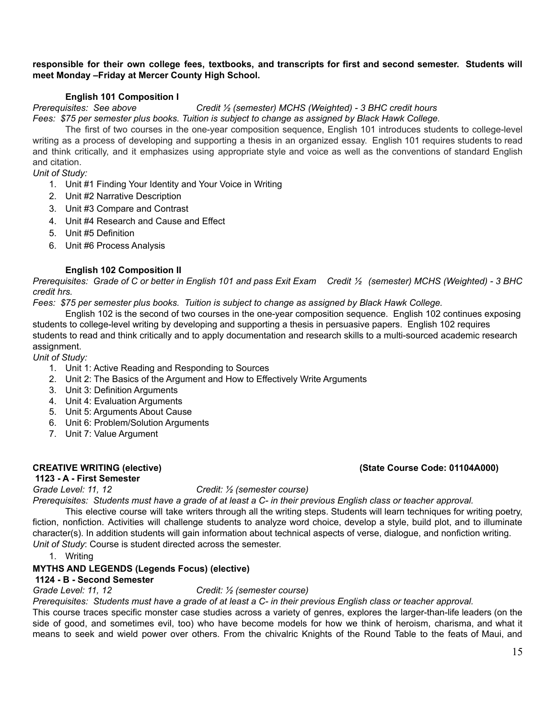#### **responsible for their own college fees, textbooks, and transcripts for first and second semester. Students will meet Monday –Friday at Mercer County High School.**

#### **English 101 Composition I**

# *Prerequisites: See above Credit ½ (semester) MCHS (Weighted) - 3 BHC credit hours*

*Fees: \$75 per semester plus books. Tuition is subject to change as assigned by Black Hawk College.*

The first of two courses in the one-year composition sequence, English 101 introduces students to college-level writing as a process of developing and supporting a thesis in an organized essay. English 101 requires students to read and think critically, and it emphasizes using appropriate style and voice as well as the conventions of standard English and citation.

*Unit of Study:*

- 1. Unit #1 Finding Your Identity and Your Voice in Writing
- 2. Unit #2 Narrative Description
- 3. Unit #3 Compare and Contrast
- 4. Unit #4 Research and Cause and Effect
- 5. Unit #5 Definition
- 6. Unit #6 Process Analysis

#### **English 102 Composition II**

Prerequisites: Grade of C or better in English 101 and pass Exit Exam Credit 1/2 (semester) MCHS (Weighted) - 3 BHC *credit hrs.*

*Fees: \$75 per semester plus books. Tuition is subject to change as assigned by Black Hawk College.*

English 102 is the second of two courses in the one-year composition sequence. English 102 continues exposing students to college-level writing by developing and supporting a thesis in persuasive papers. English 102 requires students to read and think critically and to apply documentation and research skills to a multi-sourced academic research assignment.

*Unit of Study:*

- 1. Unit 1: Active Reading and Responding to Sources
- 2. Unit 2: The Basics of the Argument and How to Effectively Write Arguments
- 3. Unit 3: Definition Arguments
- 4. Unit 4: Evaluation Arguments
- 5. Unit 5: Arguments About Cause
- 6. Unit 6: Problem/Solution Arguments
- 7. Unit 7: Value Argument

#### **1123 - A - First Semester**

### *Grade Level: 11, 12 Credit: ½ (semester course)*

Prerequisites: Students must have a grade of at least a C- in their previous English class or teacher approval.

This elective course will take writers through all the writing steps. Students will learn techniques for writing poetry, fiction, nonfiction. Activities will challenge students to analyze word choice, develop a style, build plot, and to illuminate character(s). In addition students will gain information about technical aspects of verse, dialogue, and nonfiction writing. *Unit of Study*: Course is student directed across the semester.

1. Writing

#### **MYTHS AND LEGENDS (Legends Focus) (elective)**

#### **1124 - B - Second Semester**

#### *Grade Level: 11, 12 Credit: ½ (semester course)*

Prerequisites: Students must have a grade of at least a C- in their previous English class or teacher approval.

This course traces specific monster case studies across a variety of genres, explores the larger-than-life leaders (on the side of good, and sometimes evil, too) who have become models for how we think of heroism, charisma, and what it means to seek and wield power over others. From the chivalric Knights of the Round Table to the feats of Maui, and

#### **CREATIVE WRITING (elective) (State Course Code: 01104A000)**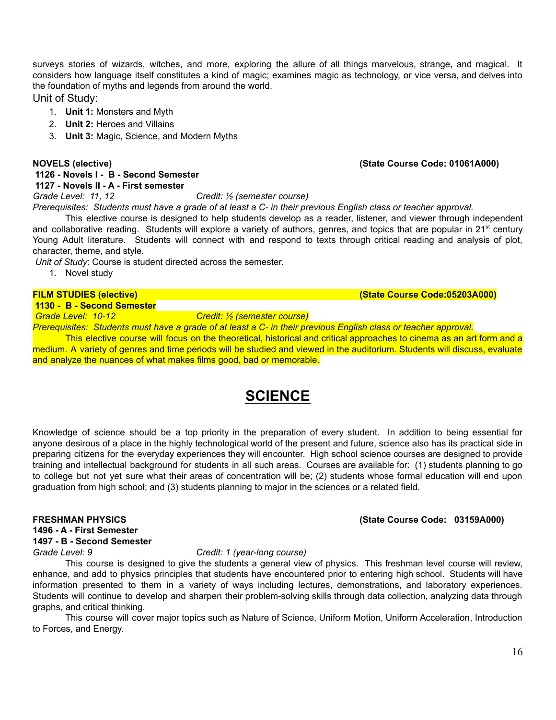surveys stories of wizards, witches, and more, exploring the allure of all things marvelous, strange, and magical. It considers how language itself constitutes a kind of magic; examines magic as technology, or vice versa, and delves into the foundation of myths and legends from around the world.

Unit of Study:

- 1. **Unit 1:** Monsters and Myth
- 2. **Unit 2:** Heroes and Villains
- 3. **Unit 3:** Magic, Science, and Modern Myths

#### **1126 - Novels I - B - Second Semester 1127 - Novels II - A - First semester**

*Grade Level: 11, 12 Credit: ½ (semester course)*

Prerequisites: Students must have a grade of at least a C- in their previous English class or teacher approval.

This elective course is designed to help students develop as a reader, listener, and viewer through independent and collaborative reading. Students will explore a variety of authors, genres, and topics that are popular in 21<sup>st</sup> century Young Adult literature. Students will connect with and respond to texts through critical reading and analysis of plot, character, theme, and style.

*Unit of Study*: Course is student directed across the semester.

1. Novel study

**1130 - B - Second Semester**

*Grade Level: 10-12 Credit: ½ (semester course)*

Prerequisites: Students must have a grade of at least a C- in their previous English class or teacher approval.

This elective course will focus on the theoretical, historical and critical approaches to cinema as an art form and a medium. A variety of genres and time periods will be studied and viewed in the auditorium. Students will discuss, evaluate and analyze the nuances of what makes films good, bad or memorable.

# **SCIENCE**

Knowledge of science should be a top priority in the preparation of every student. In addition to being essential for anyone desirous of a place in the highly technological world of the present and future, science also has its practical side in preparing citizens for the everyday experiences they will encounter. High school science courses are designed to provide training and intellectual background for students in all such areas. Courses are available for: (1) students planning to go to college but not yet sure what their areas of concentration will be; (2) students whose formal education will end upon graduation from high school; and (3) students planning to major in the sciences or a related field.

#### **1496 - A - First Semester**

### **1497 - B - Second Semester**

#### *Grade Level: 9 Credit: 1 (year-long course)*

This course is designed to give the students a general view of physics. This freshman level course will review, enhance, and add to physics principles that students have encountered prior to entering high school. Students will have information presented to them in a variety of ways including lectures, demonstrations, and laboratory experiences. Students will continue to develop and sharpen their problem-solving skills through data collection, analyzing data through graphs, and critical thinking.

This course will cover major topics such as Nature of Science, Uniform Motion, Uniform Acceleration, Introduction to Forces, and Energy.

#### **NOVELS (elective) (State Course Code: 01061A000)**

#### **FRESHMAN PHYSICS (State Course Code: 03159A000)**

**FILM STUDIES (elective) (State Course Code:05203A000)**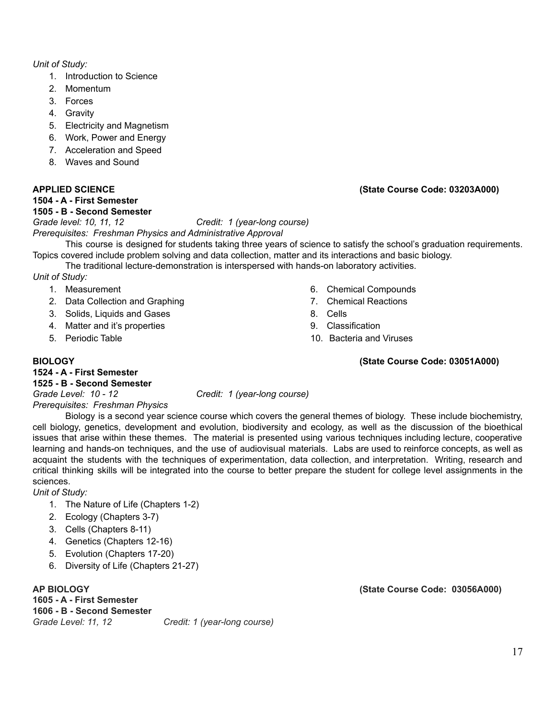#### *Unit of Study:*

- 1. Introduction to Science
- 2. Momentum
- 3. Forces
- 4. Gravity
- 5. Electricity and Magnetism
- 6. Work, Power and Energy
- 7. Acceleration and Speed
- 8. Waves and Sound

#### **1504 - A - First Semester**

#### **1505 - B - Second Semester**

### **APPLIED SCIENCE (State Course Code: 03203A000)**

*Grade level: 10, 11, 12 Credit: 1 (year-long course)*

*Prerequisites: Freshman Physics and Administrative Approval*

This course is designed for students taking three years of science to satisfy the school's graduation requirements. Topics covered include problem solving and data collection, matter and its interactions and basic biology.

The traditional lecture-demonstration is interspersed with hands-on laboratory activities.

*Unit of Study:*

- 1. Measurement
- 2. Data Collection and Graphing
- 3. Solids, Liquids and Gases
- 4. Matter and it's properties
- 5. Periodic Table
- 6. Chemical Compounds
- 7. Chemical Reactions
- 8. Cells
- 9. Classification
- 10. Bacteria and Viruses

#### **BIOLOGY (State Course Code: 03051A000)**

### **1524 - A - First Semester**

#### **1525 - B - Second Semester**

*Grade Level: 10 - 12 Credit: 1 (year-long course)*

*Prerequisites: Freshman Physics*

Biology is a second year science course which covers the general themes of biology. These include biochemistry, cell biology, genetics, development and evolution, biodiversity and ecology, as well as the discussion of the bioethical issues that arise within these themes. The material is presented using various techniques including lecture, cooperative learning and hands-on techniques, and the use of audiovisual materials. Labs are used to reinforce concepts, as well as acquaint the students with the techniques of experimentation, data collection, and interpretation. Writing, research and critical thinking skills will be integrated into the course to better prepare the student for college level assignments in the sciences.

*Unit of Study:*

- 1. The Nature of Life (Chapters 1-2)
- 2. Ecology (Chapters 3-7)
- 3. Cells (Chapters 8-11)
- 4. Genetics (Chapters 12-16)
- 5. Evolution (Chapters 17-20)
- 6. Diversity of Life (Chapters 21-27)

**1605 - A - First Semester 1606 - B - Second Semester** *Grade Level: 11, 12 Credit: 1 (year-long course)*

**AP BIOLOGY (State Course Code: 03056A000)**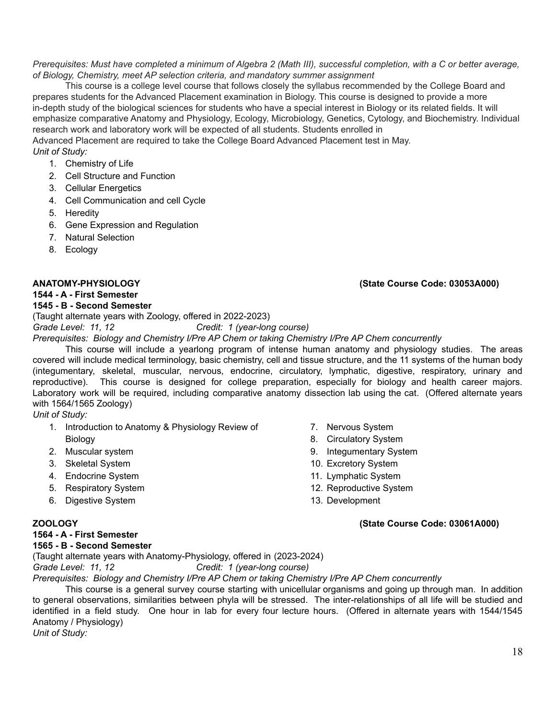#### Prerequisites: Must have completed a minimum of Algebra 2 (Math III), successful completion, with a C or better average, *of Biology, Chemistry, meet AP selection criteria, and mandatory summer assignment*

This course is a college level course that follows closely the syllabus recommended by the College Board and prepares students for the Advanced Placement examination in Biology. This course is designed to provide a more in-depth study of the biological sciences for students who have a special interest in Biology or its related fields. It will emphasize comparative Anatomy and Physiology, Ecology, Microbiology, Genetics, Cytology, and Biochemistry. Individual research work and laboratory work will be expected of all students. Students enrolled in

Advanced Placement are required to take the College Board Advanced Placement test in May. *Unit of Study:*

- 1. Chemistry of Life
- 2. Cell Structure and Function
- 3. Cellular Energetics
- 4. Cell Communication and cell Cycle
- 5. Heredity
- 6. Gene Expression and Regulation
- 7. Natural Selection
- 8. Ecology

#### **ANATOMY-PHYSIOLOGY (State Course Code: 03053A000)**

# **1544 - A - First Semester**

### **1545 - B - Second Semester**

(Taught alternate years with Zoology, offered in 2022-2023)

*Grade Level: 11, 12 Credit: 1 (year-long course)*

*Prerequisites: Biology and Chemistry I/Pre AP Chem or taking Chemistry I/Pre AP Chem concurrently*

This course will include a yearlong program of intense human anatomy and physiology studies. The areas covered will include medical terminology, basic chemistry, cell and tissue structure, and the 11 systems of the human body (integumentary, skeletal, muscular, nervous, endocrine, circulatory, lymphatic, digestive, respiratory, urinary and reproductive). This course is designed for college preparation, especially for biology and health career majors. Laboratory work will be required, including comparative anatomy dissection lab using the cat. (Offered alternate years with 1564/1565 Zoology)

#### *Unit of Study:*

- 1. Introduction to Anatomy & Physiology Review of Biology
- 2. Muscular system
- 3. Skeletal System
- 4. Endocrine System
- 5. Respiratory System
- 6. Digestive System
- 

### **1564 - A - First Semester**

#### **1565 - B - Second Semester**

(Taught alternate years with Anatomy-Physiology, offered in (2023-2024)

*Grade Level: 11, 12 Credit: 1 (year-long course)*

*Prerequisites: Biology and Chemistry I/Pre AP Chem or taking Chemistry I/Pre AP Chem concurrently*

This course is a general survey course starting with unicellular organisms and going up through man. In addition to general observations, similarities between phyla will be stressed. The inter-relationships of all life will be studied and identified in a field study. One hour in lab for every four lecture hours. (Offered in alternate years with 1544/1545 Anatomy / Physiology)

*Unit of Study:*

- 7. Nervous System
- 8. Circulatory System
- 9. Integumentary System
- 10. Excretory System
- 11. Lymphatic System
- 12. Reproductive System
- 13. Development

#### **ZOOLOGY (State Course Code: 03061A000)**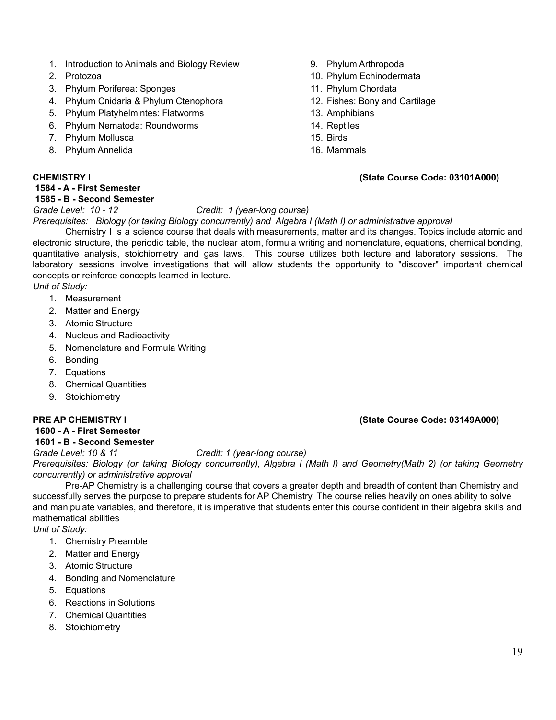- 1. Introduction to Animals and Biology Review
- 2. Protozoa
- 3. Phylum Poriferea: Sponges
- 4. Phylum Cnidaria & Phylum Ctenophora
- 5. Phylum Platyhelmintes: Flatworms
- 6. Phylum Nematoda: Roundworms
- 7. Phylum Mollusca
- 8. Phylum Annelida

#### **1584 - A - First Semester**

#### **1585 - B - Second Semester**

### *Grade Level: 10 - 12 Credit: 1 (year-long course)*

#### *Prerequisites: Biology (or taking Biology concurrently) and Algebra I (Math I) or administrative approval*

Chemistry I is a science course that deals with measurements, matter and its changes. Topics include atomic and electronic structure, the periodic table, the nuclear atom, formula writing and nomenclature, equations, chemical bonding, quantitative analysis, stoichiometry and gas laws. This course utilizes both lecture and laboratory sessions. The laboratory sessions involve investigations that will allow students the opportunity to "discover" important chemical concepts or reinforce concepts learned in lecture. *Unit of Study:*

- 1. Measurement
- 2. Matter and Energy
- 3. Atomic Structure
- 4. Nucleus and Radioactivity
- 5. Nomenclature and Formula Writing
- 6. Bonding
- 7. Equations
- 8. Chemical Quantities
- 9. Stoichiometry

#### **1600 - A - First Semester 1601 - B - Second Semester**

### *Grade Level: 10 & 11 Credit: 1 (year-long course)*

Prerequisites: Biology (or taking Biology concurrently), Algebra I (Math I) and Geometry(Math 2) (or taking Geometry *concurrently) or administrative approval*

Pre-AP Chemistry is a challenging course that covers a greater depth and breadth of content than Chemistry and successfully serves the purpose to prepare students for AP Chemistry. The course relies heavily on ones ability to solve and manipulate variables, and therefore, it is imperative that students enter this course confident in their algebra skills and mathematical abilities

*Unit of Study:*

- 1. Chemistry Preamble
- 2. Matter and Energy
- 3. Atomic Structure
- 4. Bonding and Nomenclature
- 5. Equations
- 6. Reactions in Solutions
- 7. Chemical Quantities
- 8. Stoichiometry
- 9. Phylum Arthropoda
- 10. Phylum Echinodermata
- 11. Phylum Chordata
- 12. Fishes: Bony and Cartilage
- 13. Amphibians
- 14. Reptiles
- 15. Birds
- 16. Mammals

#### **CHEMISTRY I (State Course Code: 03101A000)**

19

### **PRE AP CHEMISTRY I (State Course Code: 03149A000)**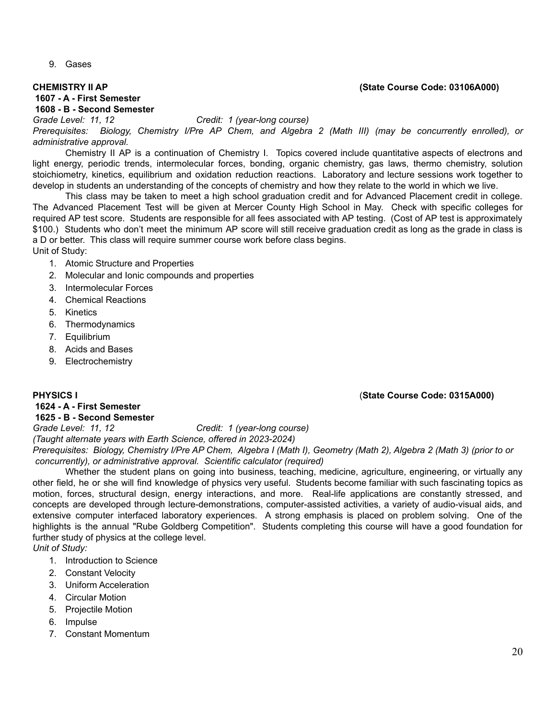9. Gases

#### **1607 - A - First Semester 1608 - B - Second Semester**

*Grade Level: 11, 12 Credit: 1 (year-long course) Prerequisites: Biology, Chemistry I/Pre AP Chem, and Algebra 2 (Math III) (may be concurrently enrolled), or administrative approval.*

Chemistry II AP is a continuation of Chemistry I. Topics covered include quantitative aspects of electrons and light energy, periodic trends, intermolecular forces, bonding, organic chemistry, gas laws, thermo chemistry, solution stoichiometry, kinetics, equilibrium and oxidation reduction reactions. Laboratory and lecture sessions work together to develop in students an understanding of the concepts of chemistry and how they relate to the world in which we live.

This class may be taken to meet a high school graduation credit and for Advanced Placement credit in college. The Advanced Placement Test will be given at Mercer County High School in May. Check with specific colleges for required AP test score. Students are responsible for all fees associated with AP testing. (Cost of AP test is approximately \$100.) Students who don't meet the minimum AP score will still receive graduation credit as long as the grade in class is a D or better. This class will require summer course work before class begins. Unit of Study:

- 1. Atomic Structure and Properties
- 2. Molecular and Ionic compounds and properties
- 3. Intermolecular Forces
- 4. Chemical Reactions
- 5. Kinetics
- 6. Thermodynamics
- 7. Equilibrium
- 8. Acids and Bases
- 9. Electrochemistry

#### **1624 - A - First Semester**

### **1625 - B - Second Semester**

*Grade Level: 11, 12 Credit: 1 (year-long course) (Taught alternate years with Earth Science, offered in 2023-2024)*

Prerequisites: Biology, Chemistry I/Pre AP Chem, Algebra I (Math I), Geometry (Math 2), Algebra 2 (Math 3) (prior to or *concurrently), or administrative approval. Scientific calculator (required)*

Whether the student plans on going into business, teaching, medicine, agriculture, engineering, or virtually any other field, he or she will find knowledge of physics very useful. Students become familiar with such fascinating topics as motion, forces, structural design, energy interactions, and more. Real-life applications are constantly stressed, and concepts are developed through lecture-demonstrations, computer-assisted activities, a variety of audio-visual aids, and extensive computer interfaced laboratory experiences. A strong emphasis is placed on problem solving. One of the highlights is the annual "Rube Goldberg Competition". Students completing this course will have a good foundation for further study of physics at the college level.

*Unit of Study:*

- 1. Introduction to Science
- 2. Constant Velocity
- 3. Uniform Acceleration
- 4. Circular Motion
- 5. Projectile Motion
- 6. Impulse
- 7. Constant Momentum

### **PHYSICS I** (**State Course Code: 0315A000)**

#### **CHEMISTRY II AP (State Course Code: 03106A000)**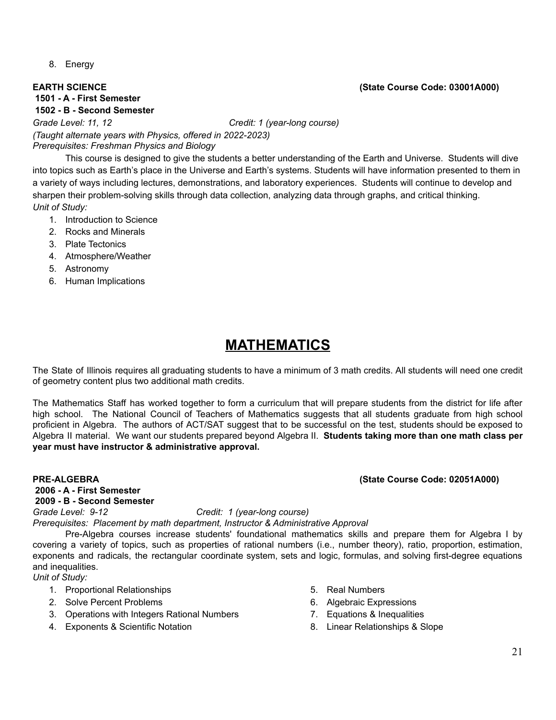8. Energy

### **EARTH SCIENCE (State Course Code: 03001A000)**

**1501 - A - First Semester**

**1502 - B - Second Semester** *Grade Level: 11, 12 Credit: 1 (year-long course) (Taught alternate years with Physics, offered in 2022-2023) Prerequisites: Freshman Physics and Biology*

This course is designed to give the students a better understanding of the Earth and Universe. Students will dive into topics such as Earth's place in the Universe and Earth's systems. Students will have information presented to them in a variety of ways including lectures, demonstrations, and laboratory experiences. Students will continue to develop and sharpen their problem-solving skills through data collection, analyzing data through graphs, and critical thinking. *Unit of Study:*

- 1. Introduction to Science
- 2. Rocks and Minerals
- 3. Plate Tectonics
- 4. Atmosphere/Weather
- 5. Astronomy
- 6. Human Implications

# **MATHEMATICS**

The State of Illinois requires all graduating students to have a minimum of 3 math credits. All students will need one credit of geometry content plus two additional math credits.

The Mathematics Staff has worked together to form a curriculum that will prepare students from the district for life after high school. The National Council of Teachers of Mathematics suggests that all students graduate from high school proficient in Algebra. The authors of ACT/SAT suggest that to be successful on the test, students should be exposed to Algebra II material. We want our students prepared beyond Algebra II. **Students taking more than one math class per year must have instructor & administrative approval.**

#### **PRE-ALGEBRA (State Course Code: 02051A000) 2006 - A - First Semester 2009 - B - Second Semester**

*Grade Level: 9-12 Credit: 1 (year-long course)*

*Prerequisites: Placement by math department, Instructor & Administrative Approval*

Pre-Algebra courses increase students' foundational mathematics skills and prepare them for Algebra I by covering a variety of topics, such as properties of rational numbers (i.e., number theory), ratio, proportion, estimation, exponents and radicals, the rectangular coordinate system, sets and logic, formulas, and solving first-degree equations and inequalities.

*Unit of Study:*

- 1. Proportional Relationships
- 2. Solve Percent Problems
- 3. Operations with Integers Rational Numbers
- 4. Exponents & Scientific Notation
- 5. Real Numbers
- 6. Algebraic Expressions
- 7. Equations & Inequalities
- 8. Linear Relationships & Slope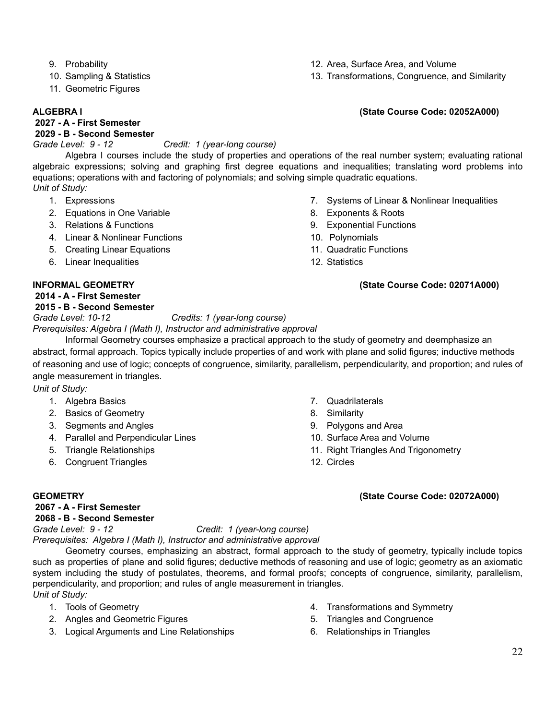- 9. Probability
- 10. Sampling & Statistics
- 11. Geometric Figures

**2027 - A - First Semester**

#### **2029 - B - Second Semester**

*Grade Level: 9 - 12 Credit: 1 (year-long course)*

Algebra I courses include the study of properties and operations of the real number system; evaluating rational algebraic expressions; solving and graphing first degree equations and inequalities; translating word problems into equations; operations with and factoring of polynomials; and solving simple quadratic equations. *Unit of Study:*

- 1. Expressions
- 2. Equations in One Variable
- 3. Relations & Functions
- 4. Linear & Nonlinear Functions
- 5. Creating Linear Equations
- 6. Linear Inequalities

#### **2014 - A - First Semester**

### **2015 - B - Second Semester**

*Grade Level: 10-12 Credits: 1 (year-long course)*

*Prerequisites: Algebra I (Math I), Instructor and administrative approval*

Informal Geometry courses emphasize a practical approach to the study of geometry and deemphasize an abstract, formal approach. Topics typically include properties of and work with plane and solid figures; inductive methods of reasoning and use of logic; concepts of congruence, similarity, parallelism, perpendicularity, and proportion; and rules of angle measurement in triangles.

*Unit of Study:*

- 1. Algebra Basics
- 2. Basics of Geometry
- 3. Segments and Angles
- 4. Parallel and Perpendicular Lines
- 5. Triangle Relationships
- 6. Congruent Triangles
- 7. Quadrilaterals
- 8. Similarity
- 9. Polygons and Area
- 10. Surface Area and Volume
- 11. Right Triangles And Trigonometry
- 12. Circles

#### **GEOMETRY (State Course Code: 02072A000)**

### **2067 - A - First Semester 2068 - B - Second Semester**

*Grade Level: 9 - 12 Credit: 1 (year-long course)*

*Prerequisites: Algebra I (Math I), Instructor and administrative approval*

Geometry courses, emphasizing an abstract, formal approach to the study of geometry, typically include topics such as properties of plane and solid figures; deductive methods of reasoning and use of logic; geometry as an axiomatic system including the study of postulates, theorems, and formal proofs; concepts of congruence, similarity, parallelism, perpendicularity, and proportion; and rules of angle measurement in triangles. *Unit of Study:*

- 1. Tools of Geometry
- 2. Angles and Geometric Figures
- 3. Logical Arguments and Line Relationships
- 4. Transformations and Symmetry
- 5. Triangles and Congruence
- 6. Relationships in Triangles
- 12. Area, Surface Area, and Volume
- 13. Transformations, Congruence, and Similarity

#### **ALGEBRA I (State Course Code: 02052A000)**

- 7. Systems of Linear & Nonlinear Inequalities 8. Exponents & Roots
- 9. Exponential Functions
- 10. Polynomials
- 11. Quadratic Functions
- 12. Statistics

### **INFORMAL GEOMETRY (State Course Code: 02071A000)**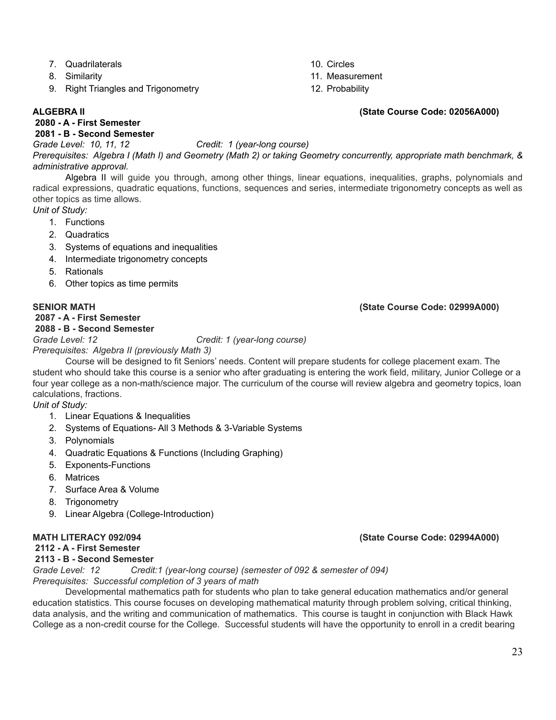- 7. Quadrilaterals
- 8. Similarity
- 9. Right Triangles and Trigonometry

#### **ALGEBRA II (State Course Code: 02056A000)**

### **2080 - A - First Semester**

### **2081 - B - Second Semester**

*Grade Level: 10, 11, 12 Credit: 1 (year-long course)*

Prerequisites: Algebra I (Math I) and Geometry (Math 2) or taking Geometry concurrently, appropriate math benchmark, & *administrative approval.*

10. Circles

11. Measurement 12. Probability

Algebra II will guide you through, among other things, linear equations, inequalities, graphs, polynomials and radical expressions, quadratic equations, functions, sequences and series, intermediate trigonometry concepts as well as other topics as time allows.

*Unit of Study:*

- 1. Functions
- 2. Quadratics
- 3. Systems of equations and inequalities
- 4. Intermediate trigonometry concepts
- 5. Rationals
- 6. Other topics as time permits

#### **2087 - A - First Semester**

### **2088 - B - Second Semester**

*Grade Level: 12 Credit: 1 (year-long course)*

*Prerequisites: Algebra II (previously Math 3)*

Course will be designed to fit Seniors' needs. Content will prepare students for college placement exam. The student who should take this course is a senior who after graduating is entering the work field, military, Junior College or a four year college as a non-math/science major. The curriculum of the course will review algebra and geometry topics, loan calculations, fractions.

*Unit of Study:*

- 1. Linear Equations & Inequalities
- 2. Systems of Equations- All 3 Methods & 3-Variable Systems
- 3. Polynomials
- 4. Quadratic Equations & Functions (Including Graphing)
- 5. Exponents-Functions
- 6. Matrices
- 7. Surface Area & Volume
- 8. Trigonometry
- 9. Linear Algebra (College-Introduction)

#### **MATH LITERACY 092/094 (State Course Code: 02994A000)**

### **2112 - A - First Semester**

**2113 - B - Second Semester**

*Grade Level: 12 Credit:1 (year-long course) (semester of 092 & semester of 094) Prerequisites: Successful completion of 3 years of math*

Developmental mathematics path for students who plan to take general education mathematics and/or general education statistics. This course focuses on developing mathematical maturity through problem solving, critical thinking, data analysis, and the writing and communication of mathematics. This course is taught in conjunction with Black Hawk College as a non-credit course for the College. Successful students will have the opportunity to enroll in a credit bearing

### **SENIOR MATH (State Course Code: 02999A000)**

23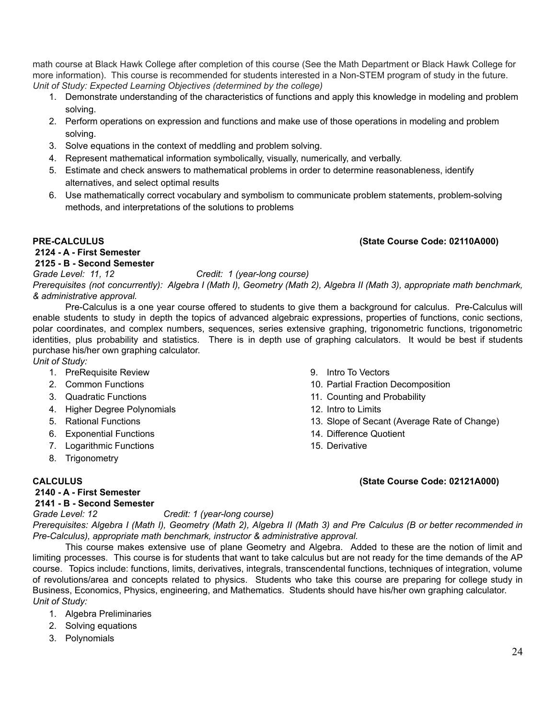math course at Black Hawk College after completion of this course (See the Math Department or Black Hawk College for more information). This course is recommended for students interested in a Non-STEM program of study in the future. *Unit of Study: Expected Learning Objectives (determined by the college)*

- 1. Demonstrate understanding of the characteristics of functions and apply this knowledge in modeling and problem solving.
- 2. Perform operations on expression and functions and make use of those operations in modeling and problem solving.
- 3. Solve equations in the context of meddling and problem solving.
- 4. Represent mathematical information symbolically, visually, numerically, and verbally.
- 5. Estimate and check answers to mathematical problems in order to determine reasonableness, identify alternatives, and select optimal results
- 6. Use mathematically correct vocabulary and symbolism to communicate problem statements, problem-solving methods, and interpretations of the solutions to problems

### **2124 - A - First Semester**

### **2125 - B - Second Semester**

*Grade Level: 11, 12 Credit: 1 (year-long course)* Prerequisites (not concurrently): Algebra I (Math I), Geometry (Math 2), Algebra II (Math 3), appropriate math benchmark, *& administrative approval.*

Pre-Calculus is a one year course offered to students to give them a background for calculus. Pre-Calculus will enable students to study in depth the topics of advanced algebraic expressions, properties of functions, conic sections, polar coordinates, and complex numbers, sequences, series extensive graphing, trigonometric functions, trigonometric identities, plus probability and statistics. There is in depth use of graphing calculators. It would be best if students purchase his/her own graphing calculator.

*Unit of Study:*

- 1. PreRequisite Review
- 2. Common Functions
- 3. Quadratic Functions
- 4. Higher Degree Polynomials
- 5. Rational Functions
- 6. Exponential Functions
- 7. Logarithmic Functions
- 8. Trigonometry
- -
- **2140 - A - First Semester**
- 9. Intro To Vectors
- 10. Partial Fraction Decomposition
- 11. Counting and Probability
- 12. Intro to Limits
- 13. Slope of Secant (Average Rate of Change)
- 14. Difference Quotient
- 15. Derivative

### **CALCULUS (State Course Code: 02121A000)**

## **2141 - B - Second Semester**

*Grade Level: 12 Credit: 1 (year-long course)* Prerequisites: Algebra I (Math I), Geometry (Math 2), Algebra II (Math 3) and Pre Calculus (B or better recommended in *Pre-Calculus), appropriate math benchmark, instructor & administrative approval.*

This course makes extensive use of plane Geometry and Algebra. Added to these are the notion of limit and limiting processes. This course is for students that want to take calculus but are not ready for the time demands of the AP course. Topics include: functions, limits, derivatives, integrals, transcendental functions, techniques of integration, volume of revolutions/area and concepts related to physics. Students who take this course are preparing for college study in Business, Economics, Physics, engineering, and Mathematics. Students should have his/her own graphing calculator. *Unit of Study:*

- 1. Algebra Preliminaries
- 2. Solving equations
- 3. Polynomials

### **PRE-CALCULUS (State Course Code: 02110A000)**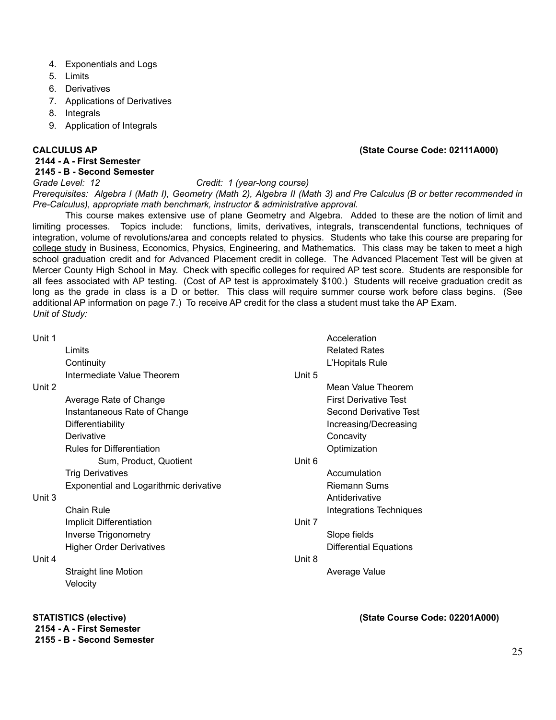- 4. Exponentials and Logs
- 5. Limits
- 6. Derivatives
- 7. Applications of Derivatives
- 8. Integrals
- 9. Application of Integrals

#### **CALCULUS AP (State Course Code: 02111A000)**

#### **2144 - A - First Semester**

#### **2145 - B - Second Semester**

#### *Grade Level: 12 Credit: 1 (year-long course)*

Prerequisites: Algebra I (Math I), Geometry (Math 2), Algebra II (Math 3) and Pre Calculus (B or better recommended in *Pre-Calculus), appropriate math benchmark, instructor & administrative approval.*

This course makes extensive use of plane Geometry and Algebra. Added to these are the notion of limit and limiting processes. Topics include: functions, limits, derivatives, integrals, transcendental functions, techniques of integration, volume of revolutions/area and concepts related to physics. Students who take this course are preparing for college study in Business, Economics, Physics, Engineering, and Mathematics. This class may be taken to meet a high school graduation credit and for Advanced Placement credit in college. The Advanced Placement Test will be given at Mercer County High School in May. Check with specific colleges for required AP test score. Students are responsible for all fees associated with AP testing. (Cost of AP test is approximately \$100.) Students will receive graduation credit as long as the grade in class is a D or better. This class will require summer course work before class begins. (See additional AP information on page 7.) To receive AP credit for the class a student must take the AP Exam. *Unit of Study:*

#### Unit 1

**Unit** 

**Unit** 

**Unit** 

| 1 |                                        |        | Acceleration                   |
|---|----------------------------------------|--------|--------------------------------|
|   | Limits                                 |        | <b>Related Rates</b>           |
|   | Continuity                             |        | L'Hopitals Rule                |
|   | Intermediate Value Theorem             | Unit 5 |                                |
| 2 |                                        |        | Mean Value Theorem             |
|   | Average Rate of Change                 |        | <b>First Derivative Test</b>   |
|   | Instantaneous Rate of Change           |        | Second Derivative Test         |
|   | Differentiability                      |        | Increasing/Decreasing          |
|   | Derivative                             |        | Concavity                      |
|   | <b>Rules for Differentiation</b>       |        | Optimization                   |
|   | Sum, Product, Quotient                 | Unit 6 |                                |
|   | <b>Trig Derivatives</b>                |        | Accumulation                   |
|   | Exponential and Logarithmic derivative |        | <b>Riemann Sums</b>            |
| 3 |                                        |        | Antiderivative                 |
|   | <b>Chain Rule</b>                      |        | <b>Integrations Techniques</b> |
|   | Implicit Differentiation               | Unit 7 |                                |
|   | Inverse Trigonometry                   |        | Slope fields                   |
|   | <b>Higher Order Derivatives</b>        |        | <b>Differential Equations</b>  |
| 4 |                                        | Unit 8 |                                |
|   | <b>Straight line Motion</b>            |        | Average Value                  |
|   | Velocity                               |        |                                |

#### **STATISTICS (elective) (State Course Code: 02201A000)**

**2154 - A - First Semester**

#### **2155 - B - Second Semester**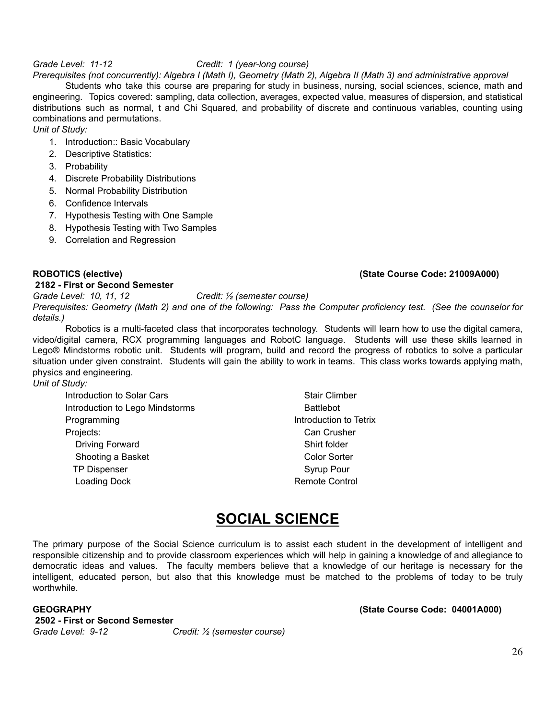#### *Grade Level: 11-12 Credit: 1 (year-long course)*

Prerequisites (not concurrently): Algebra I (Math I), Geometry (Math 2), Algebra II (Math 3) and administrative approval

Students who take this course are preparing for study in business, nursing, social sciences, science, math and engineering. Topics covered: sampling, data collection, averages, expected value, measures of dispersion, and statistical distributions such as normal, t and Chi Squared, and probability of discrete and continuous variables, counting using combinations and permutations.

*Unit of Study:*

- 1. Introduction:: Basic Vocabulary
- 2. Descriptive Statistics:
- 3. Probability
- 4. Discrete Probability Distributions
- 5. Normal Probability Distribution
- 6. Confidence Intervals
- 7. Hypothesis Testing with One Sample
- 8. Hypothesis Testing with Two Samples
- 9. Correlation and Regression

#### **2182 - First or Second Semester**

#### **ROBOTICS (elective) (State Course Code: 21009A000)**

*Grade Level: 10, 11, 12 Credit: ½ (semester course)* Prerequisites: Geometry (Math 2) and one of the following: Pass the Computer proficiency test. (See the counselor for *details.)*

Robotics is a multi-faceted class that incorporates technology. Students will learn how to use the digital camera, video/digital camera, RCX programming languages and RobotC language. Students will use these skills learned in Lego® Mindstorms robotic unit. Students will program, build and record the progress of robotics to solve a particular situation under given constraint. Students will gain the ability to work in teams. This class works towards applying math, physics and engineering. *Unit of Study:*

| Introduction to Solar Cars      | <b>Stair Climber</b>   |
|---------------------------------|------------------------|
| Introduction to Lego Mindstorms | <b>Battlebot</b>       |
| Programming                     | Introduction to Tetrix |
| Projects:                       | Can Crusher            |
| Driving Forward                 | Shirt folder           |
| Shooting a Basket               | <b>Color Sorter</b>    |
| <b>TP Dispenser</b>             | Syrup Pour             |
| Loading Dock                    | <b>Remote Control</b>  |
|                                 |                        |

# **SOCIAL SCIENCE**

The primary purpose of the Social Science curriculum is to assist each student in the development of intelligent and responsible citizenship and to provide classroom experiences which will help in gaining a knowledge of and allegiance to democratic ideas and values. The faculty members believe that a knowledge of our heritage is necessary for the intelligent, educated person, but also that this knowledge must be matched to the problems of today to be truly worthwhile.

**2502 - First or Second Semester** *Grade Level: 9-12 Credit: ½ (semester course)*

**GEOGRAPHY (State Course Code: 04001A000)**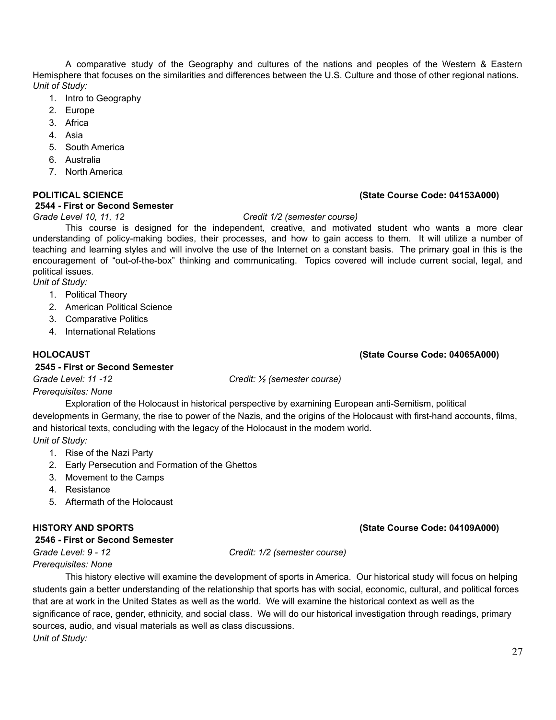A comparative study of the Geography and cultures of the nations and peoples of the Western & Eastern Hemisphere that focuses on the similarities and differences between the U.S. Culture and those of other regional nations. *Unit of Study:*

- 1. Intro to Geography
- 2. Europe
- 3. Africa
- 4. Asia
- 5. South America
- 6. Australia
- 7. North America

#### **POLITICAL SCIENCE (State Course Code: 04153A000)**

#### **2544 - First or Second Semester**

#### *Grade Level 10, 11, 12 Credit 1/2 (semester course)*

This course is designed for the independent, creative, and motivated student who wants a more clear understanding of policy-making bodies, their processes, and how to gain access to them. It will utilize a number of teaching and learning styles and will involve the use of the Internet on a constant basis. The primary goal in this is the encouragement of "out-of-the-box" thinking and communicating. Topics covered will include current social, legal, and political issues.

*Unit of Study:*

- 1. Political Theory
- 2. American Political Science
- 3. Comparative Politics
- 4. International Relations

#### **HOLOCAUST (State Course Code: 04065A000)**

#### **2545 - First or Second Semester**

*Grade Level: 11 -12 Credit: ½ (semester course)*

#### *Prerequisites: None*

Exploration of the Holocaust in historical perspective by examining European anti-Semitism, political developments in Germany, the rise to power of the Nazis, and the origins of the Holocaust with first-hand accounts, films, and historical texts, concluding with the legacy of the Holocaust in the modern world. *Unit of Study:*

- 1. Rise of the Nazi Party
- 2. Early Persecution and Formation of the Ghettos
- 3. Movement to the Camps
- 4. Resistance
- 5. Aftermath of the Holocaust

#### **2546 - First or Second Semester**

*Grade Level: 9 - 12 Credit: 1/2 (semester course)*

*Prerequisites: None*

This history elective will examine the development of sports in America. Our historical study will focus on helping students gain a better understanding of the relationship that sports has with social, economic, cultural, and political forces that are at work in the United States as well as the world. We will examine the historical context as well as the significance of race, gender, ethnicity, and social class. We will do our historical investigation through readings, primary sources, audio, and visual materials as well as class discussions. *Unit of Study:*

### **HISTORY AND SPORTS (State Course Code: 04109A000)**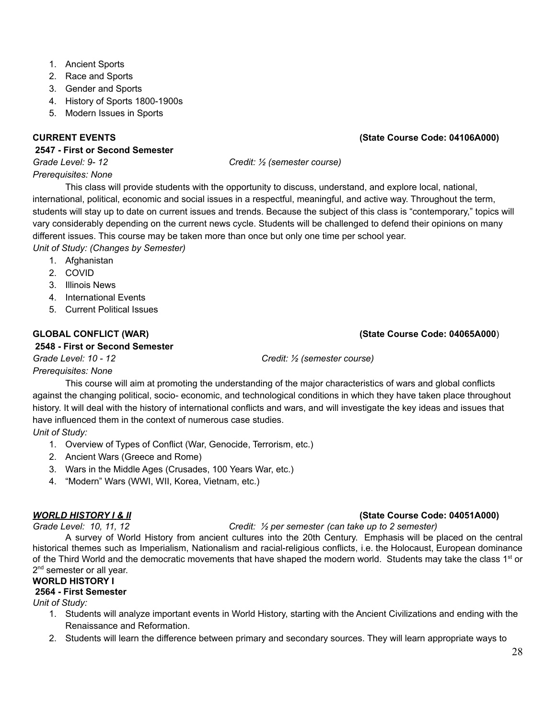- 1. Ancient Sports
- 2. Race and Sports
- 3. Gender and Sports
- 4. History of Sports 1800-1900s
- 5. Modern Issues in Sports

### **2547 - First or Second Semester**

*Grade Level: 9- 12 Credit: ½ (semester course)*

### *Prerequisites: None*

This class will provide students with the opportunity to discuss, understand, and explore local, national, international, political, economic and social issues in a respectful, meaningful, and active way. Throughout the term, students will stay up to date on current issues and trends. Because the subject of this class is "contemporary," topics will vary considerably depending on the current news cycle. Students will be challenged to defend their opinions on many different issues. This course may be taken more than once but only one time per school year.

*Unit of Study: (Changes by Semester)*

- 1. Afghanistan
- 2. COVID
- 3. Illinois News
- 4. International Events
- 5. Current Political Issues

### **GLOBAL CONFLICT (WAR) (State Course Code: 04065A000**)

#### **2548 - First or Second Semester**

*Grade Level: 10 - 12 Credit: ½ (semester course)*

### *Prerequisites: None*

This course will aim at promoting the understanding of the major characteristics of wars and global conflicts against the changing political, socio- economic, and technological conditions in which they have taken place throughout history. It will deal with the history of international conflicts and wars, and will investigate the key ideas and issues that have influenced them in the context of numerous case studies.

### *Unit of Study:*

- 1. Overview of Types of Conflict (War, Genocide, Terrorism, etc.)
- 2. Ancient Wars (Greece and Rome)
- 3. Wars in the Middle Ages (Crusades, 100 Years War, etc.)
- 4. "Modern" Wars (WWI, WII, Korea, Vietnam, etc.)

### *WORLD HISTORY I & II* **(State Course Code: 04051A000)**

#### *Grade Level: 10, 11, 12 Credit: ½ per semester (can take up to 2 semester)*

A survey of World History from ancient cultures into the 20th Century. Emphasis will be placed on the central historical themes such as Imperialism, Nationalism and racial-religious conflicts, i.e. the Holocaust, European dominance of the Third World and the democratic movements that have shaped the modern world. Students may take the class 1<sup>st</sup> or 2<sup>nd</sup> semester or all year.

### **WORLD HISTORY I**

### **2564 - First Semester**

*Unit of Study:*

- 1. Students will analyze important events in World History, starting with the Ancient Civilizations and ending with the Renaissance and Reformation.
- 2. Students will learn the difference between primary and secondary sources. They will learn appropriate ways to

### **CURRENT EVENTS (State Course Code: 04106A000)**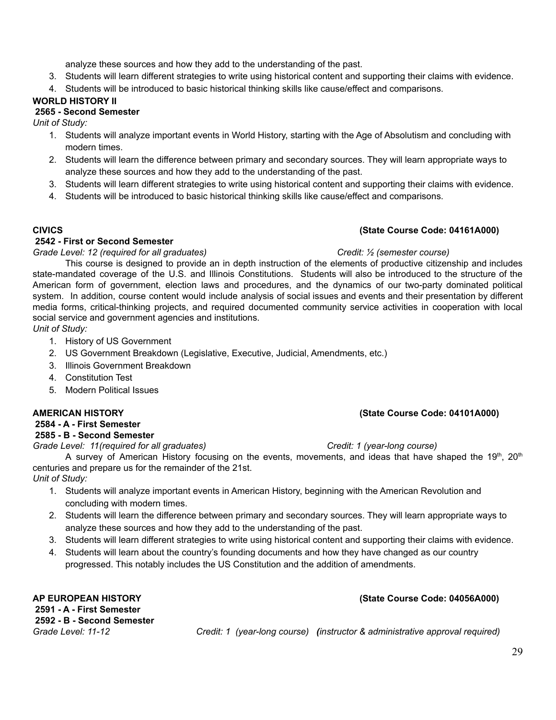analyze these sources and how they add to the understanding of the past.

- 3. Students will learn different strategies to write using historical content and supporting their claims with evidence.
- 4. Students will be introduced to basic historical thinking skills like cause/effect and comparisons.

#### **WORLD HISTORY II**

#### **2565 - Second Semester**

*Unit of Study:*

- 1. Students will analyze important events in World History, starting with the Age of Absolutism and concluding with modern times.
- 2. Students will learn the difference between primary and secondary sources. They will learn appropriate ways to analyze these sources and how they add to the understanding of the past.
- 3. Students will learn different strategies to write using historical content and supporting their claims with evidence.
- 4. Students will be introduced to basic historical thinking skills like cause/effect and comparisons.

#### **2542 - First or Second Semester**

#### *Grade Level: 12 (required for all graduates) Credit: ½ (semester course)* This course is designed to provide an in depth instruction of the elements of productive citizenship and includes state-mandated coverage of the U.S. and Illinois Constitutions. Students will also be introduced to the structure of the American form of government, election laws and procedures, and the dynamics of our two-party dominated political system. In addition, course content would include analysis of social issues and events and their presentation by different media forms, critical-thinking projects, and required documented community service activities in cooperation with local social service and government agencies and institutions.

*Unit of Study:*

- 1. History of US Government
- 2. US Government Breakdown (Legislative, Executive, Judicial, Amendments, etc.)
- 3. Illinois Government Breakdown
- 4. Constitution Test
- 5. Modern Political Issues

#### **2584 - A - First Semester**

**2585 - B - Second Semester**

*Grade Level: 11(required for all graduates) Credit: 1 (year-long course)*

# **CIVICS (State Course Code: 04161A000)**

A survey of American History focusing on the events, movements, and ideas that have shaped the 19<sup>th</sup>, 20<sup>th</sup> centuries and prepare us for the remainder of the 21st.

*Unit of Study:*

- 1. Students will analyze important events in American History, beginning with the American Revolution and concluding with modern times.
- 2. Students will learn the difference between primary and secondary sources. They will learn appropriate ways to analyze these sources and how they add to the understanding of the past.
- 3. Students will learn different strategies to write using historical content and supporting their claims with evidence.
- 4. Students will learn about the country's founding documents and how they have changed as our country progressed. This notably includes the US Constitution and the addition of amendments.

**AP EUROPEAN HISTORY (State Course Code: 04056A000) 2591 - A - First Semester 2592 - B - Second Semester**

*Grade Level: 11-12 Credit: 1 (year-long course) (instructor & administrative approval required)*

**AMERICAN HISTORY (State Course Code: 04101A000)**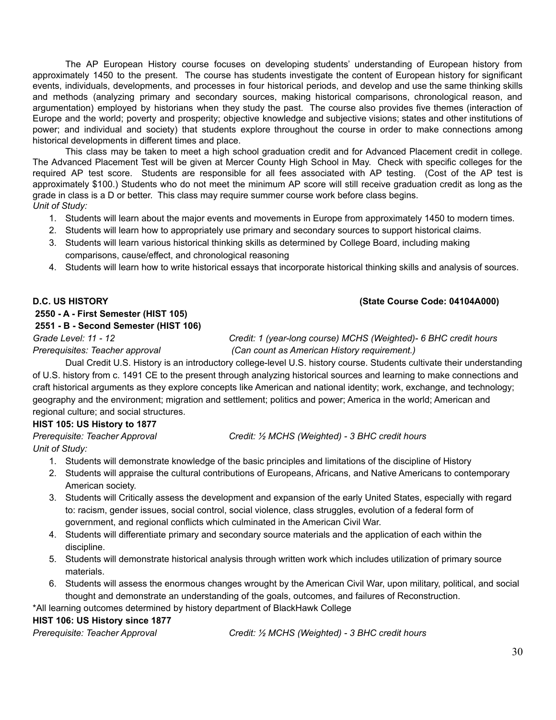The AP European History course focuses on developing students' understanding of European history from approximately 1450 to the present. The course has students investigate the content of European history for significant events, individuals, developments, and processes in four historical periods, and develop and use the same thinking skills and methods (analyzing primary and secondary sources, making historical comparisons, chronological reason, and argumentation) employed by historians when they study the past. The course also provides five themes (interaction of Europe and the world; poverty and prosperity; objective knowledge and subjective visions; states and other institutions of power; and individual and society) that students explore throughout the course in order to make connections among historical developments in different times and place.

This class may be taken to meet a high school graduation credit and for Advanced Placement credit in college. The Advanced Placement Test will be given at Mercer County High School in May. Check with specific colleges for the required AP test score. Students are responsible for all fees associated with AP testing. (Cost of the AP test is approximately \$100.) Students who do not meet the minimum AP score will still receive graduation credit as long as the grade in class is a D or better. This class may require summer course work before class begins. *Unit of Study:*

- 1. Students will learn about the major events and movements in Europe from approximately 1450 to modern times.
- 2. Students will learn how to appropriately use primary and secondary sources to support historical claims.
- 3. Students will learn various historical thinking skills as determined by College Board, including making comparisons, cause/effect, and chronological reasoning
- 4. Students will learn how to write historical essays that incorporate historical thinking skills and analysis of sources.

### **D.C. US HISTORY (State Course Code: 04104A000)**

# **2550 - A - First Semester (HIST 105)**

### **2551 - B - Second Semester (HIST 106)**

*Grade Level: 11 - 12 Credit: 1 (year-long course) MCHS (Weighted)- 6 BHC credit hours Prerequisites: Teacher approval (Can count as American History requirement.)*

Dual Credit U.S. History is an introductory college-level U.S. history course. Students cultivate their understanding of U.S. history from c. 1491 CE to the present through analyzing historical sources and learning to make connections and craft historical arguments as they explore concepts like American and national identity; work, exchange, and technology; geography and the environment; migration and settlement; politics and power; America in the world; American and regional culture; and social structures.

### **HIST 105: US History to 1877**

*Unit of Study:*

*Prerequisite: Teacher Approval Credit: ½ MCHS (Weighted) - 3 BHC credit hours*

- 1. Students will demonstrate knowledge of the basic principles and limitations of the discipline of History
- 2. Students will appraise the cultural contributions of Europeans, Africans, and Native Americans to contemporary American society.
- 3. Students will Critically assess the development and expansion of the early United States, especially with regard to: racism, gender issues, social control, social violence, class struggles, evolution of a federal form of government, and regional conflicts which culminated in the American Civil War.
- 4. Students will differentiate primary and secondary source materials and the application of each within the discipline.
- 5. Students will demonstrate historical analysis through written work which includes utilization of primary source materials.
- 6. Students will assess the enormous changes wrought by the American Civil War, upon military, political, and social thought and demonstrate an understanding of the goals, outcomes, and failures of Reconstruction.

\*All learning outcomes determined by history department of BlackHawk College

### **HIST 106: US History since 1877**

*Prerequisite: Teacher Approval Credit: ½ MCHS (Weighted) - 3 BHC credit hours*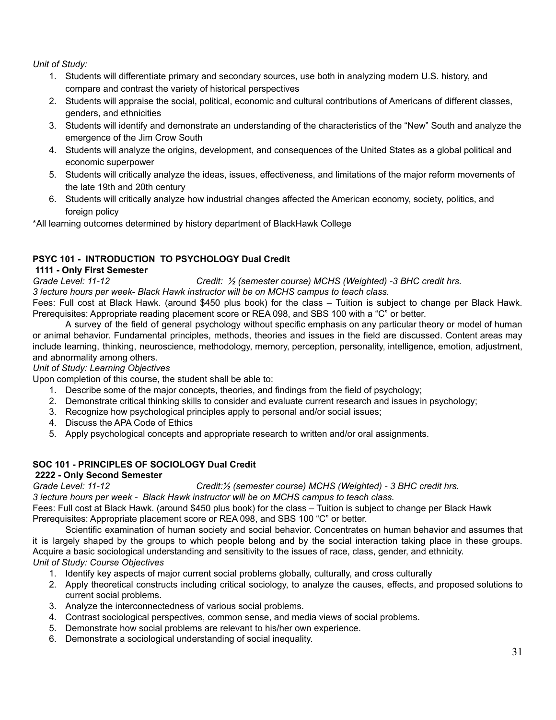*Unit of Study:*

- 1. Students will differentiate primary and secondary sources, use both in analyzing modern U.S. history, and compare and contrast the variety of historical perspectives
- 2. Students will appraise the social, political, economic and cultural contributions of Americans of different classes, genders, and ethnicities
- 3. Students will identify and demonstrate an understanding of the characteristics of the "New" South and analyze the emergence of the Jim Crow South
- 4. Students will analyze the origins, development, and consequences of the United States as a global political and economic superpower
- 5. Students will critically analyze the ideas, issues, effectiveness, and limitations of the major reform movements of the late 19th and 20th century
- 6. Students will critically analyze how industrial changes affected the American economy, society, politics, and foreign policy

\*All learning outcomes determined by history department of BlackHawk College

### **PSYC 101 - INTRODUCTION TO PSYCHOLOGY Dual Credit**

#### **1111 - Only First Semester**

*Grade Level: 11-12 Credit: ½ (semester course) MCHS (Weighted) -3 BHC credit hrs. 3 lecture hours per week- Black Hawk instructor will be on MCHS campus to teach class.*

Fees: Full cost at Black Hawk. (around \$450 plus book) for the class – Tuition is subject to change per Black Hawk. Prerequisites: Appropriate reading placement score or REA 098, and SBS 100 with a "C" or better.

A survey of the field of general psychology without specific emphasis on any particular theory or model of human or animal behavior. Fundamental principles, methods, theories and issues in the field are discussed. Content areas may include learning, thinking, neuroscience, methodology, memory, perception, personality, intelligence, emotion, adjustment, and abnormality among others.

#### *Unit of Study: Learning Objectives*

Upon completion of this course, the student shall be able to:

- 1. Describe some of the major concepts, theories, and findings from the field of psychology;
- 2. Demonstrate critical thinking skills to consider and evaluate current research and issues in psychology;
- 3. Recognize how psychological principles apply to personal and/or social issues;
- 4. Discuss the APA Code of Ethics
- 5. Apply psychological concepts and appropriate research to written and/or oral assignments.

### **SOC 101 - PRINCIPLES OF SOCIOLOGY Dual Credit**

#### **2222 - Only Second Semester**

*Grade Level: 11-12 Credit:½ (semester course) MCHS (Weighted) - 3 BHC credit hrs.*

*3 lecture hours per week - Black Hawk instructor will be on MCHS campus to teach class.*

Fees: Full cost at Black Hawk. (around \$450 plus book) for the class – Tuition is subject to change per Black Hawk Prerequisites: Appropriate placement score or REA 098, and SBS 100 "C" or better.

Scientific examination of human society and social behavior. Concentrates on human behavior and assumes that it is largely shaped by the groups to which people belong and by the social interaction taking place in these groups. Acquire a basic sociological understanding and sensitivity to the issues of race, class, gender, and ethnicity. *Unit of Study: Course Objectives*

- 1. Identify key aspects of major current social problems globally, culturally, and cross culturally
- 2. Apply theoretical constructs including critical sociology, to analyze the causes, effects, and proposed solutions to current social problems.
- 3. Analyze the interconnectedness of various social problems.
- 4. Contrast sociological perspectives, common sense, and media views of social problems.
- 5. Demonstrate how social problems are relevant to his/her own experience.
- 6. Demonstrate a sociological understanding of social inequality.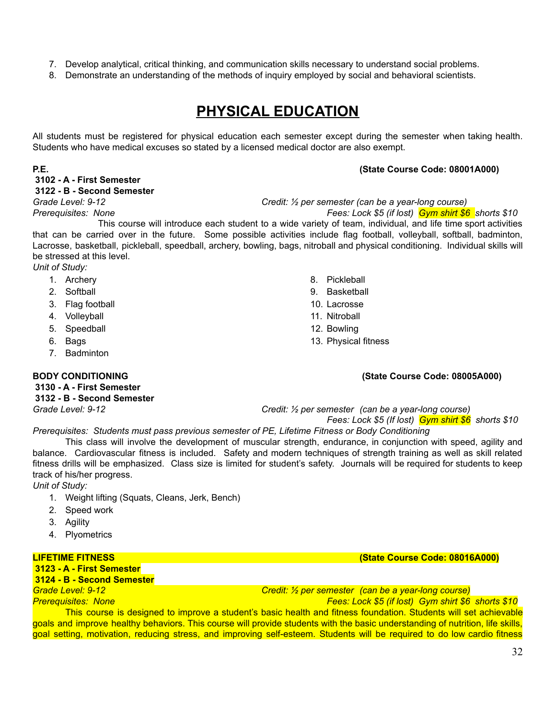- 7. Develop analytical, critical thinking, and communication skills necessary to understand social problems.
- 8. Demonstrate an understanding of the methods of inquiry employed by social and behavioral scientists.

# **PHYSICAL EDUCATION**

All students must be registered for physical education each semester except during the semester when taking health. Students who have medical excuses so stated by a licensed medical doctor are also exempt.

#### **P.E. (State Course Code: 08001A000)**

**3102 - A - First Semester 3122 - B - Second Semester**

*Grade Level: 9-12 Credit: ½ per semester (can be a year-long course)*

*Prerequisites: None Fees: Lock \$5 (if lost) Gym shirt \$6 shorts \$10*

This course will introduce each student to a wide variety of team, individual, and life time sport activities that can be carried over in the future. Some possible activities include flag football, volleyball, softball, badminton, Lacrosse, basketball, pickleball, speedball, archery, bowling, bags, nitroball and physical conditioning. Individual skills will be stressed at this level.

*Unit of Study:*

- 1. Archery
- 2. Softball
- 3. Flag football
- 4. Volleyball
- 5. Speedball
- 6. Bags
- 7. Badminton

**3130 - A - First Semester 3132 - B - Second Semester**

- 8. Pickleball
- 9. Basketball
- 10. Lacrosse
- 11. Nitroball
- 12. Bowling
- 13. Physical fitness

## **BODY CONDITIONING (State Course Code: 08005A000)**

*Grade Level: 9-12 Credit: ½ per semester (can be a year-long course) Fees: Lock \$5 (If lost) Gym shirt \$6 shorts \$10*

*Prerequisites: Students must pass previous semester of PE, Lifetime Fitness or Body Conditioning*

This class will involve the development of muscular strength, endurance, in conjunction with speed, agility and balance. Cardiovascular fitness is included. Safety and modern techniques of strength training as well as skill related fitness drills will be emphasized. Class size is limited for student's safety. Journals will be required for students to keep track of his/her progress.

*Unit of Study:*

- 1. Weight lifting (Squats, Cleans, Jerk, Bench)
- 2. Speed work
- 3. Agility
- 4. Plyometrics

**LIFETIME FITNESS (State Course Code: 08016A000)**

### **3123 - A - First Semester**

**3124 - B - Second Semester**

*Grade Level: 9-12 Credit: ½ per semester (can be a year-long course)*

*Prerequisites: None Fees: Lock \$5 (if lost) Gym shirt \$6 shorts \$10* This course is designed to improve a student's basic health and fitness foundation. Students will set achievable goals and improve healthy behaviors. This course will provide students with the basic understanding of nutrition, life skills, goal setting, motivation, reducing stress, and improving self-esteem. Students will be required to do low cardio fitness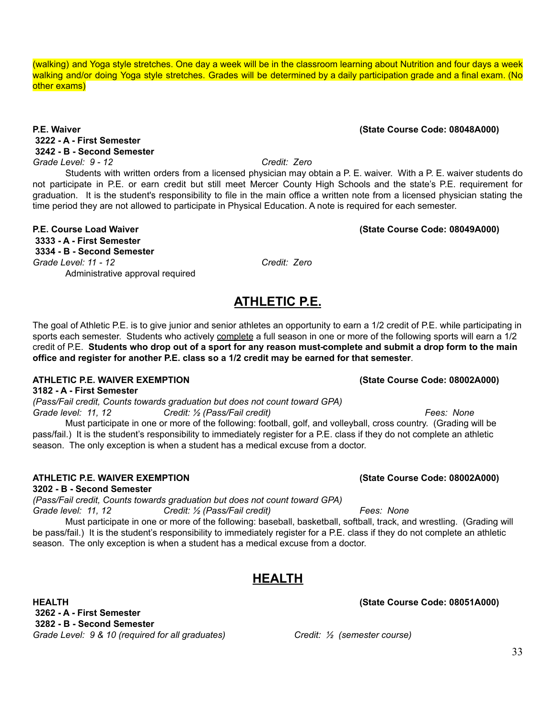(walking) and Yoga style stretches. One day a week will be in the classroom learning about Nutrition and four days a week walking and/or doing Yoga style stretches. Grades will be determined by a daily participation grade and a final exam. (No other exams)

#### **P.E. Waiver (State Course Code: 08048A000) 3222 - A - First Semester 3242 - B - Second Semester** *Grade Level: 9 - 12 Credit: Zero*

Students with written orders from a licensed physician may obtain a P. E. waiver. With a P. E. waiver students do not participate in P.E. or earn credit but still meet Mercer County High Schools and the state's P.E. requirement for graduation. It is the student's responsibility to file in the main office a written note from a licensed physician stating the time period they are not allowed to participate in Physical Education. A note is required for each semester.

#### **P.E. Course Load Waiver (State Course Code: 08049A000) 3333 - A - First Semester 3334 - B - Second Semester** *Grade Level: 11 - 12 Credit: Zero* Administrative approval required

The goal of Athletic P.E. is to give junior and senior athletes an opportunity to earn a 1/2 credit of P.E. while participating in sports each semester. Students who actively complete a full season in one or more of the following sports will earn a 1/2 credit of P.E. Students who drop out of a sport for any reason must-complete and submit a drop form to the main **office and register for another P.E. class so a 1/2 credit may be earned for that semester**.

**ATHLETIC P.E.**

### **ATHLETIC P.E. WAIVER EXEMPTION (State Course Code: 08002A000)**

**3182 - A - First Semester** *(Pass/Fail credit, Counts towards graduation but does not count toward GPA) Grade level: 11, 12 Credit: ½ (Pass/Fail credit) Fees: None*

Must participate in one or more of the following: football, golf, and volleyball, cross country. (Grading will be pass/fail.) It is the student's responsibility to immediately register for a P.E. class if they do not complete an athletic season. The only exception is when a student has a medical excuse from a doctor.

### **ATHLETIC P.E. WAIVER EXEMPTION (State Course Code: 08002A000)**

**3202 - B - Second Semester**

*(Pass/Fail credit, Counts towards graduation but does not count toward GPA)*

*Grade level: 11, 12 Credit: ½ (Pass/Fail credit) Fees: None* Must participate in one or more of the following: baseball, basketball, softball, track, and wrestling. (Grading will be pass/fail.) It is the student's responsibility to immediately register for a P.E. class if they do not complete an athletic season. The only exception is when a student has a medical excuse from a doctor.

# **HEALTH**

**HEALTH (State Course Code: 08051A000) 3262 - A - First Semester 3282 - B - Second Semester** *Grade Level: 9 & 10 (required for all graduates) Credit: ½ (semester course)*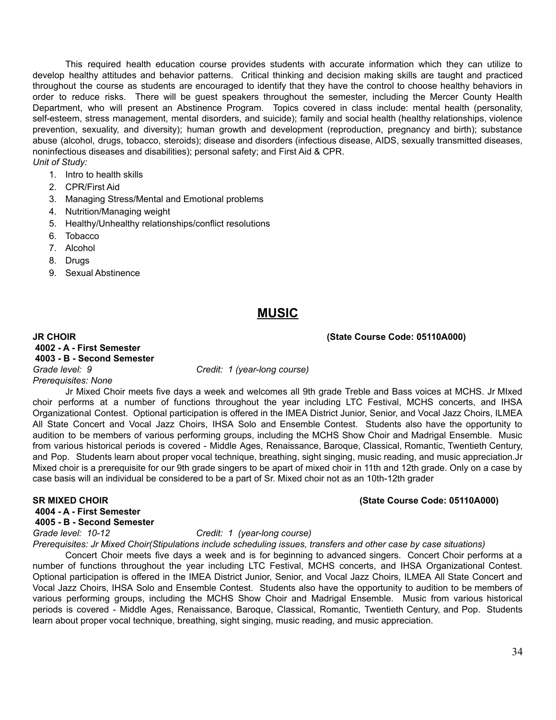This required health education course provides students with accurate information which they can utilize to develop healthy attitudes and behavior patterns. Critical thinking and decision making skills are taught and practiced throughout the course as students are encouraged to identify that they have the control to choose healthy behaviors in order to reduce risks. There will be guest speakers throughout the semester, including the Mercer County Health Department, who will present an Abstinence Program. Topics covered in class include: mental health (personality, self-esteem, stress management, mental disorders, and suicide); family and social health (healthy relationships, violence prevention, sexuality, and diversity); human growth and development (reproduction, pregnancy and birth); substance abuse (alcohol, drugs, tobacco, steroids); disease and disorders (infectious disease, AIDS, sexually transmitted diseases, noninfectious diseases and disabilities); personal safety; and First Aid & CPR. *Unit of Study:*

- 1. Intro to health skills
- 2. CPR/First Aid
- 3. Managing Stress/Mental and Emotional problems
- 4. Nutrition/Managing weight
- 5. Healthy/Unhealthy relationships/conflict resolutions
- 6. Tobacco
- 7. Alcohol
- 8. Drugs
- 9. Sexual Abstinence

### **MUSIC**

**JR CHOIR (State Course Code: 05110A000)**

**4002 - A - First Semester 4003 - B - Second Semester** *Grade level: 9 Credit: 1 (year-long course) Prerequisites: None*

Jr Mixed Choir meets five days a week and welcomes all 9th grade Treble and Bass voices at MCHS. Jr MIxed choir performs at a number of functions throughout the year including LTC Festival, MCHS concerts, and IHSA Organizational Contest. Optional participation is offered in the IMEA District Junior, Senior, and Vocal Jazz Choirs, ILMEA All State Concert and Vocal Jazz Choirs, IHSA Solo and Ensemble Contest. Students also have the opportunity to audition to be members of various performing groups, including the MCHS Show Choir and Madrigal Ensemble. Music from various historical periods is covered - Middle Ages, Renaissance, Baroque, Classical, Romantic, Twentieth Century, and Pop. Students learn about proper vocal technique, breathing, sight singing, music reading, and music appreciation.Jr Mixed choir is a prerequisite for our 9th grade singers to be apart of mixed choir in 11th and 12th grade. Only on a case by case basis will an individual be considered to be a part of Sr. Mixed choir not as an 10th-12th grader

#### **SR MIXED CHOIR (State Course Code: 05110A000)**

**4004 - A - First Semester**

**4005 - B - Second Semester**

*Grade level: 10-12 Credit: 1 (year-long course)*

*Prerequisites: Jr Mixed Choir(Stipulations include scheduling issues, transfers and other case by case situations)*

Concert Choir meets five days a week and is for beginning to advanced singers. Concert Choir performs at a number of functions throughout the year including LTC Festival, MCHS concerts, and IHSA Organizational Contest. Optional participation is offered in the IMEA District Junior, Senior, and Vocal Jazz Choirs, ILMEA All State Concert and Vocal Jazz Choirs, IHSA Solo and Ensemble Contest. Students also have the opportunity to audition to be members of various performing groups, including the MCHS Show Choir and Madrigal Ensemble. Music from various historical periods is covered - Middle Ages, Renaissance, Baroque, Classical, Romantic, Twentieth Century, and Pop. Students learn about proper vocal technique, breathing, sight singing, music reading, and music appreciation.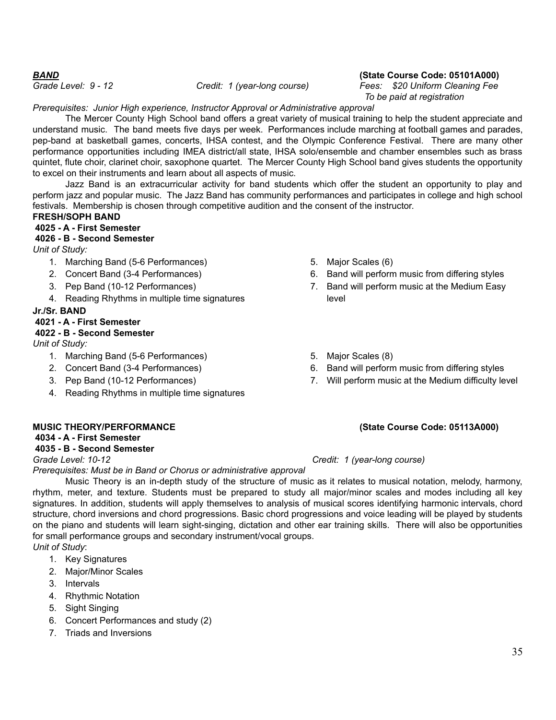#### *BAND* **(State Course Code: 05101A000)**

*Grade Level: 9 - 12 Credit: 1 (year-long course) Fees: \$20 Uniform Cleaning Fee To be paid at registration*

*Prerequisites: Junior High experience, Instructor Approval or Administrative approval*

The Mercer County High School band offers a great variety of musical training to help the student appreciate and understand music. The band meets five days per week. Performances include marching at football games and parades, pep-band at basketball games, concerts, IHSA contest, and the Olympic Conference Festival. There are many other performance opportunities including IMEA district/all state, IHSA solo/ensemble and chamber ensembles such as brass quintet, flute choir, clarinet choir, saxophone quartet. The Mercer County High School band gives students the opportunity to excel on their instruments and learn about all aspects of music.

Jazz Band is an extracurricular activity for band students which offer the student an opportunity to play and perform jazz and popular music. The Jazz Band has community performances and participates in college and high school festivals. Membership is chosen through competitive audition and the consent of the instructor.

#### **FRESH/SOPH BAND**

### **4025 - A - First Semester**

### **4026 - B - Second Semester**

*Unit of Study:*

- 1. Marching Band (5-6 Performances)
- 2. Concert Band (3-4 Performances)
- 3. Pep Band (10-12 Performances)
- 4. Reading Rhythms in multiple time signatures

#### **Jr./Sr. BAND**

#### **4021 - A - First Semester**

#### **4022 - B - Second Semester**

*Unit of Study:*

- 1. Marching Band (5-6 Performances)
- 2. Concert Band (3-4 Performances)
- 3. Pep Band (10-12 Performances)
- 4. Reading Rhythms in multiple time signatures

### **MUSIC THEORY/PERFORMANCE (State Course Code: 05113A000)**

#### **4034 - A - First Semester**

#### **4035 - B - Second Semester**

*Prerequisites: Must be in Band or Chorus or administrative approval*

Music Theory is an in-depth study of the structure of music as it relates to musical notation, melody, harmony, rhythm, meter, and texture. Students must be prepared to study all major/minor scales and modes including all key signatures. In addition, students will apply themselves to analysis of musical scores identifying harmonic intervals, chord structure, chord inversions and chord progressions. Basic chord progressions and voice leading will be played by students on the piano and students will learn sight-singing, dictation and other ear training skills. There will also be opportunities for small performance groups and secondary instrument/vocal groups. *Unit of Study*:

- 1. Key Signatures
- 2. Major/Minor Scales
- 3. Intervals
- 4. Rhythmic Notation
- 5. Sight Singing
- 6. Concert Performances and study (2)
- 7. Triads and Inversions
- 5. Major Scales (6)
- 6. Band will perform music from differing styles
- 7. Band will perform music at the Medium Easy level
- 5. Major Scales (8)
- 6. Band will perform music from differing styles
- 7. Will perform music at the Medium difficulty level

### *Grade Level: 10-12 Credit: 1 (year-long course)*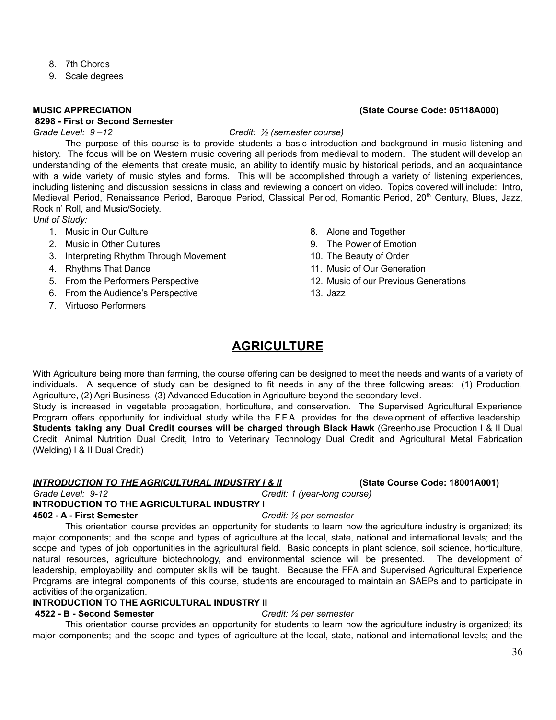- 8. 7th Chords
- 9. Scale degrees

#### **8298 - First or Second Semester**

#### *Grade Level: 9 –12 Credit: ½ (semester course)*

The purpose of this course is to provide students a basic introduction and background in music listening and history. The focus will be on Western music covering all periods from medieval to modern. The student will develop an understanding of the elements that create music, an ability to identify music by historical periods, and an acquaintance with a wide variety of music styles and forms. This will be accomplished through a variety of listening experiences, including listening and discussion sessions in class and reviewing a concert on video. Topics covered will include: Intro, Medieval Period, Renaissance Period, Baroque Period, Classical Period, Romantic Period, 20<sup>th</sup> Century, Blues, Jazz, Rock n' Roll, and Music/Society.

*Unit of Study:*

- 1. Music in Our Culture
- 2. Music in Other Cultures
- 3. Interpreting Rhythm Through Movement
- 4. Rhythms That Dance
- 5. From the Performers Perspective
- 6. From the Audience's Perspective
- 7. Virtuoso Performers
- 8. Alone and Together
- 9. The Power of Emotion
- 10. The Beauty of Order
- 11. Music of Our Generation
- 12. Music of our Previous Generations
- 13. Jazz

# **AGRICULTURE**

With Agriculture being more than farming, the course offering can be designed to meet the needs and wants of a variety of individuals. A sequence of study can be designed to fit needs in any of the three following areas: (1) Production, Agriculture, (2) Agri Business, (3) Advanced Education in Agriculture beyond the secondary level.

Study is increased in vegetable propagation, horticulture, and conservation. The Supervised Agricultural Experience Program offers opportunity for individual study while the F.F.A. provides for the development of effective leadership. **Students taking any Dual Credit courses will be charged through Black Hawk** (Greenhouse Production I & II Dual Credit, Animal Nutrition Dual Credit, Intro to Veterinary Technology Dual Credit and Agricultural Metal Fabrication (Welding) I & II Dual Credit)

#### *INTRODUCTION TO THE AGRICULTURAL INDUSTRY I & II* **(State Course Code: 18001A001)**

*Grade Level: 9-12 Credit: 1 (year-long course)*

### **INTRODUCTION TO THE AGRICULTURAL INDUSTRY I**

#### **4502 - A - First Semester** *Credit: ½ per semester*

This orientation course provides an opportunity for students to learn how the agriculture industry is organized; its major components; and the scope and types of agriculture at the local, state, national and international levels; and the scope and types of job opportunities in the agricultural field. Basic concepts in plant science, soil science, horticulture, natural resources, agriculture biotechnology, and environmental science will be presented. The development of leadership, employability and computer skills will be taught. Because the FFA and Supervised Agricultural Experience Programs are integral components of this course, students are encouraged to maintain an SAEPs and to participate in activities of the organization.

#### **INTRODUCTION TO THE AGRICULTURAL INDUSTRY II**

#### **4522 - B - Second Semester** *Credit: ½ per semester*

This orientation course provides an opportunity for students to learn how the agriculture industry is organized; its major components; and the scope and types of agriculture at the local, state, national and international levels; and the

#### **MUSIC APPRECIATION (State Course Code: 05118A000)**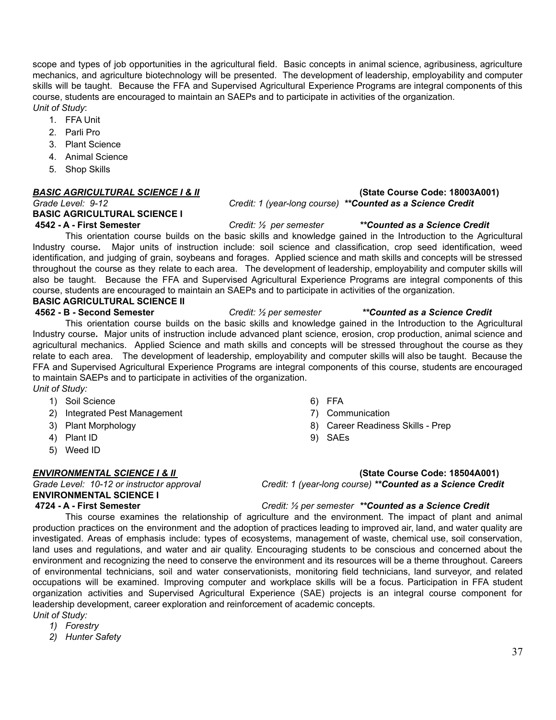scope and types of job opportunities in the agricultural field. Basic concepts in animal science, agribusiness, agriculture mechanics, and agriculture biotechnology will be presented. The development of leadership, employability and computer skills will be taught. Because the FFA and Supervised Agricultural Experience Programs are integral components of this course, students are encouraged to maintain an SAEPs and to participate in activities of the organization. *Unit of Study*:

- 1. FFA Unit
- 2. Parli Pro
- 3. Plant Science
- 4. Animal Science
- 5. Shop Skills

# **BASIC AGRICULTURAL SCIENCE I**

**4542 - A - First Semester** *Credit: ½ per semester \*\*Counted as a Science Credit* This orientation course builds on the basic skills and knowledge gained in the Introduction to the Agricultural Industry course**.** Major units of instruction include: soil science and classification, crop seed identification, weed identification, and judging of grain, soybeans and forages. Applied science and math skills and concepts will be stressed throughout the course as they relate to each area. The development of leadership, employability and computer skills will also be taught. Because the FFA and Supervised Agricultural Experience Programs are integral components of this course, students are encouraged to maintain an SAEPs and to participate in activities of the organization. **BASIC AGRICULTURAL SCIENCE II**

**4562 - B - Second Semester** *Credit: ½ per semester \*\*Counted as a Science Credit* This orientation course builds on the basic skills and knowledge gained in the Introduction to the Agricultural Industry course**.** Major units of instruction include advanced plant science, erosion, crop production, animal science and agricultural mechanics. Applied Science and math skills and concepts will be stressed throughout the course as they relate to each area. The development of leadership, employability and computer skills will also be taught. Because the FFA and Supervised Agricultural Experience Programs are integral components of this course, students are encouraged to maintain SAEPs and to participate in activities of the organization. *Unit of Study:*

- 1) Soil Science
- 2) Integrated Pest Management
- 3) Plant Morphology
- 4) Plant ID
- 5) Weed ID

**ENVIRONMENTAL SCIENCE I**

- 6) FFA
- 7) Communication
- 8) Career Readiness Skills Prep
- 9) SAEs

#### *ENVIRONMENTAL SCIENCE I & II* **(State Course Code: 18504A001)**

*Grade Level: 10-12 or instructor approval Credit: 1 (year-long course) \*\*Counted as a Science Credit*

**4724 - A - First Semester** *Credit: ½ per semester \*\*Counted as a Science Credit*

This course examines the relationship of agriculture and the environment. The impact of plant and animal production practices on the environment and the adoption of practices leading to improved air, land, and water quality are investigated. Areas of emphasis include: types of ecosystems, management of waste, chemical use, soil conservation, land uses and regulations, and water and air quality. Encouraging students to be conscious and concerned about the environment and recognizing the need to conserve the environment and its resources will be a theme throughout. Careers of environmental technicians, soil and water conservationists, monitoring field technicians, land surveyor, and related occupations will be examined. Improving computer and workplace skills will be a focus. Participation in FFA student organization activities and Supervised Agricultural Experience (SAE) projects is an integral course component for leadership development, career exploration and reinforcement of academic concepts. *Unit of Study:*

*1) Forestry*

*2) Hunter Safety*

#### *BASIC AGRICULTURAL SCIENCE I & II* **(State Course Code: 18003A001)** *Grade Level: 9-12 Credit: 1 (year-long course) \*\*Counted as a Science Credit*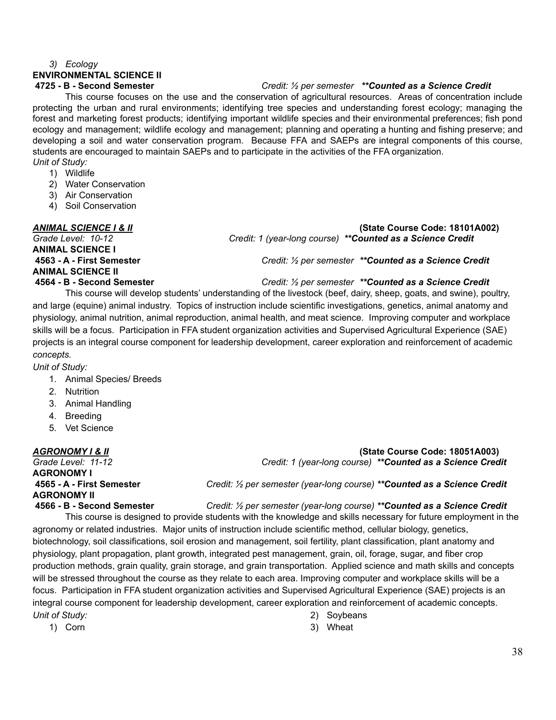#### *3) Ecology*

# **ENVIRONMENTAL SCIENCE II**

#### **4725 - B - Second Semester** *Credit: ½ per semester \*\*Counted as a Science Credit*

This course focuses on the use and the conservation of agricultural resources. Areas of concentration include protecting the urban and rural environments; identifying tree species and understanding forest ecology; managing the forest and marketing forest products; identifying important wildlife species and their environmental preferences; fish pond ecology and management; wildlife ecology and management; planning and operating a hunting and fishing preserve; and developing a soil and water conservation program. Because FFA and SAEPs are integral components of this course, students are encouraged to maintain SAEPs and to participate in the activities of the FFA organization. *Unit of Study:*

- 1) Wildlife
- 2) Water Conservation
- 3) Air Conservation
- 4) Soil Conservation

**ANIMAL SCIENCE I ANIMAL SCIENCE II**

*ANIMAL SCIENCE I & II* **(State Course Code: 18101A002)** *Grade Level: 10-12 Credit: 1 (year-long course) \*\*Counted as a Science Credit*

**4563 - A - First Semester** *Credit: ½ per semester \*\*Counted as a Science Credit*

#### **4564 - B - Second Semester** *Credit: ½ per semester \*\*Counted as a Science Credit*

This course will develop students' understanding of the livestock (beef, dairy, sheep, goats, and swine), poultry, and large (equine) animal industry. Topics of instruction include scientific investigations, genetics, animal anatomy and physiology, animal nutrition, animal reproduction, animal health, and meat science. Improving computer and workplace skills will be a focus. Participation in FFA student organization activities and Supervised Agricultural Experience (SAE) projects is an integral course component for leadership development, career exploration and reinforcement of academic *concepts.*

#### *Unit of Study:*

- 1. Animal Species/ Breeds
- 2. Nutrition
- 3. Animal Handling
- 4. Breeding
- 5. Vet Science

*AGRONOMY I & II* **(State Course Code: 18051A003)** *Grade Level: 11-12 Credit: 1 (year-long course) \*\*Counted as a Science Credit* **AGRONOMY I 4565 - A - First Semester** *Credit: ½ per semester (year-long course) \*\*Counted as a Science Credit* **AGRONOMY II 4566 - B - Second Semester** *Credit: ½ per semester (year-long course) \*\*Counted as a Science Credit*

This course is designed to provide students with the knowledge and skills necessary for future employment in the agronomy or related industries. Major units of instruction include scientific method, cellular biology, genetics, biotechnology, soil classifications, soil erosion and management, soil fertility, plant classification, plant anatomy and physiology, plant propagation, plant growth, integrated pest management, grain, oil, forage, sugar, and fiber crop production methods, grain quality, grain storage, and grain transportation. Applied science and math skills and concepts will be stressed throughout the course as they relate to each area. Improving computer and workplace skills will be a focus. Participation in FFA student organization activities and Supervised Agricultural Experience (SAE) projects is an integral course component for leadership development, career exploration and reinforcement of academic concepts. *Unit of Study:* 2) Soybeans

1) Corn

- 
- 3) Wheat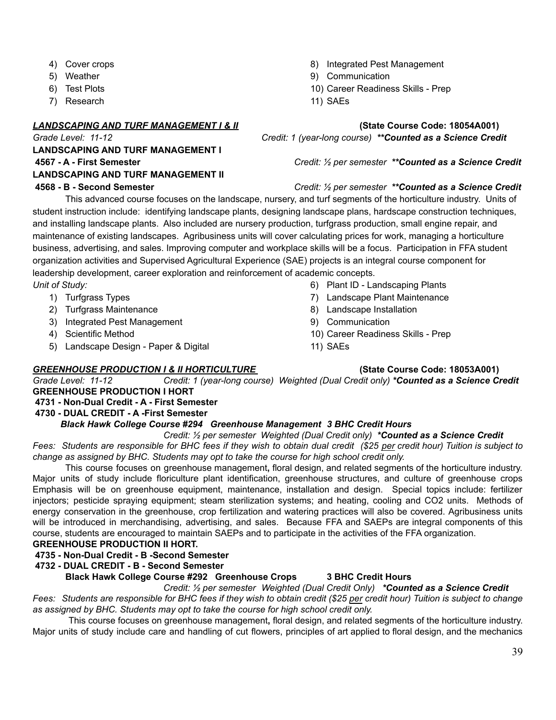- 4) Cover crops
- 5) Weather
- 6) Test Plots
- 7) Research

### *LANDSCAPING AND TURF MANAGEMENT I & II* **(State Course Code: 18054A001)**

**LANDSCAPING AND TURF MANAGEMENT I LANDSCAPING AND TURF MANAGEMENT II**

- 8) Integrated Pest Management
- 9) Communication
- 10) Career Readiness Skills Prep
- 11) SAEs

*Grade Level: 11-12 Credit: 1 (year-long course) \*\*Counted as a Science Credit*

#### **4567 - A - First Semester** *Credit: ½ per semester \*\*Counted as a Science Credit*

### **4568 - B - Second Semester** *Credit: ½ per semester \*\*Counted as a Science Credit*

This advanced course focuses on the landscape, nursery, and turf segments of the horticulture industry. Units of student instruction include: identifying landscape plants, designing landscape plans, hardscape construction techniques, and installing landscape plants. Also included are nursery production, turfgrass production, small engine repair, and maintenance of existing landscapes. Agribusiness units will cover calculating prices for work, managing a horticulture business, advertising, and sales. Improving computer and workplace skills will be a focus. Participation in FFA student organization activities and Supervised Agricultural Experience (SAE) projects is an integral course component for leadership development, career exploration and reinforcement of academic concepts. *Unit of Study:*

- 1) Turfgrass Types
- 2) Turfgrass Maintenance
- 3) Integrated Pest Management
- 4) Scientific Method
- 5) Landscape Design Paper & Digital
- 6) Plant ID Landscaping Plants
- 7) Landscape Plant Maintenance
- 8) Landscape Installation
- 9) Communication
- 10) Career Readiness Skills Prep
- 11) SAEs

### *GREENHOUSE PRODUCTION I & II HORTICULTURE* **(State Course Code: 18053A001)**

*Grade Level: 11-12 Credit: 1 (year-long course) Weighted (Dual Credit only) \*Counted as a Science Credit* **GREENHOUSE PRODUCTION I HORT**

### **4731 - Non-Dual Credit - A - First Semester**

### **4730 - DUAL CREDIT - A -First Semester**

### *Black Hawk College Course #294 Greenhouse Management 3 BHC Credit Hours*

*Credit: ½ per semester Weighted (Dual Credit only) \*Counted as a Science Credit*

Fees: Students are responsible for BHC fees if they wish to obtain dual credit (\$25 per credit hour) Tuition is subject to *change as assigned by BHC. Students may opt to take the course for high school credit only.*

This course focuses on greenhouse management**,** floral design, and related segments of the horticulture industry. Major units of study include floriculture plant identification, greenhouse structures, and culture of greenhouse crops Emphasis will be on greenhouse equipment, maintenance, installation and design. Special topics include: fertilizer injectors; pesticide spraying equipment; steam sterilization systems; and heating, cooling and CO2 units. Methods of energy conservation in the greenhouse, crop fertilization and watering practices will also be covered. Agribusiness units will be introduced in merchandising, advertising, and sales. Because FFA and SAEPs are integral components of this course, students are encouraged to maintain SAEPs and to participate in the activities of the FFA organization.

### **GREENHOUSE PRODUCTION II HORT.**

**4735 - Non-Dual Credit - B -Second Semester**

### **4732 - DUAL CREDIT - B - Second Semester**

### **Black Hawk College Course #292 Greenhouse Crops 3 BHC Credit Hours**

*Credit: ½ per semester Weighted (Dual Credit Only) \*Counted as a Science Credit* Fees: Students are responsible for BHC fees if they wish to obtain credit (\$25 per credit hour) Tuition is subject to change *as assigned by BHC. Students may opt to take the course for high school credit only.*

This course focuses on greenhouse management**,** floral design, and related segments of the horticulture industry. Major units of study include care and handling of cut flowers, principles of art applied to floral design, and the mechanics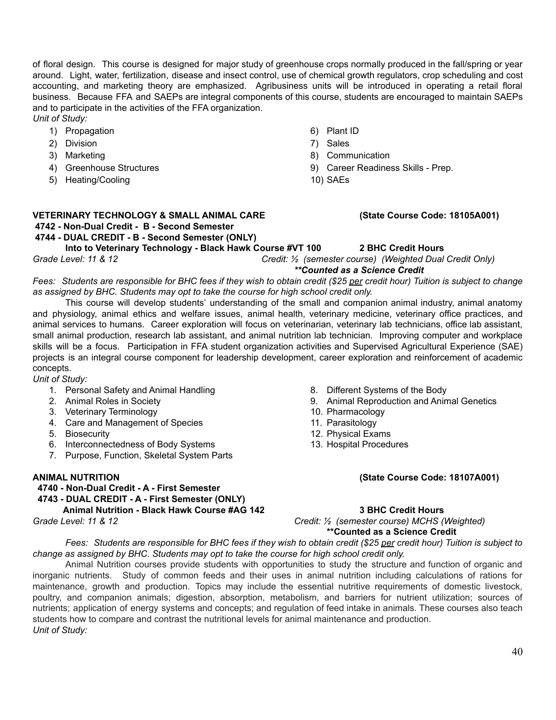of floral design. This course is designed for major study of greenhouse crops normally produced in the fall/spring or year around. Light, water, fertilization, disease and insect control, use of chemical growth regulators, crop scheduling and cost accounting, and marketing theory are emphasized. Agribusiness units will be introduced in operating a retail floral business. Because FFA and SAEPs are integral components of this course, students are encouraged to maintain SAEPs and to participate in the activities of the FFA organization.

*Unit of Study:* 1) Propagation

- 2) Division
- 3) Marketing
- 4) Greenhouse Structures
- 5) Heating/Cooling

## 6) Plant ID

- 7) Sales
- 8) Communication
- 9) Career Readiness Skills Prep.
- 10) SAEs

# **VETERINARY TECHNOLOGY & SMALL ANIMAL CARE (State Course Code: 18105A001) 4742 - Non-Dual Credit - B - Second Semester**

**4744 - DUAL CREDIT - B - Second Semester (ONLY)**

**Into to Veterinary Technology - Black Hawk Course #VT 100 2 BHC Credit Hours**

*Grade Level: 11 & 12 Credit: ½ (semester course) (Weighted Dual Credit Only)*

*\*\*Counted as a Science Credit*

Fees: Students are responsible for BHC fees if they wish to obtain credit (\$25 per credit hour) Tuition is subject to change *as assigned by BHC. Students may opt to take the course for high school credit only.*

This course will develop students' understanding of the small and companion animal industry, animal anatomy and physiology, animal ethics and welfare issues, animal health, veterinary medicine, veterinary office practices, and animal services to humans. Career exploration will focus on veterinarian, veterinary lab technicians, office lab assistant, small animal production, research lab assistant, and animal nutrition lab technician. Improving computer and workplace skills will be a focus. Participation in FFA student organization activities and Supervised Agricultural Experience (SAE) projects is an integral course component for leadership development, career exploration and reinforcement of academic concepts.

*Unit of Study:*

- 1. Personal Safety and Animal Handling
- 2. Animal Roles in Society
- 3. Veterinary Terminology
- 4. Care and Management of Species
- 5. Biosecurity
- 6. Interconnectedness of Body Systems
- 7. Purpose, Function, Skeletal System Parts

**4740 - Non-Dual Credit - A - First Semester 4743 - DUAL CREDIT - A - First Semester (ONLY) Animal Nutrition - Black Hawk Course #AG 142 3 BHC Credit Hours**

- 8. Different Systems of the Body
- 9. Animal Reproduction and Animal Genetics
- 10. Pharmacology
- 11. Parasitology
- 12. Physical Exams
- 13. Hospital Procedures

#### **ANIMAL NUTRITION (State Course Code: 18107A001)**

*Grade Level: 11 & 12 Credit: ½ (semester course) MCHS (Weighted)* **\*\*Counted as a Science Credit**

Fees: Students are responsible for BHC fees if they wish to obtain credit (\$25 per credit hour) Tuition is subject to *change as assigned by BHC. Students may opt to take the course for high school credit only.*

Animal Nutrition courses provide students with opportunities to study the structure and function of organic and inorganic nutrients. Study of common feeds and their uses in animal nutrition including calculations of rations for maintenance, growth and production. Topics may include the essential nutritive requirements of domestic livestock, poultry, and companion animals; digestion, absorption, metabolism, and barriers for nutrient utilization; sources of nutrients; application of energy systems and concepts; and regulation of feed intake in animals. These courses also teach students how to compare and contrast the nutritional levels for animal maintenance and production. *Unit of Study:*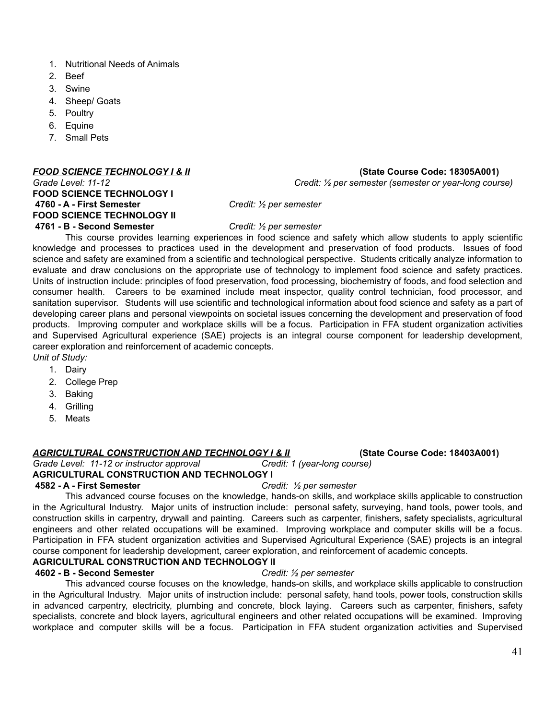- 1. Nutritional Needs of Animals
- 2. Beef
- 3. Swine
- 4. Sheep/ Goats
- 5. Poultry
- 6. Equine
- 7. Small Pets

#### *FOOD SCIENCE TECHNOLOGY I & II* **(State Course Code: 18305A001)**

### **FOOD SCIENCE TECHNOLOGY I 4760 - A - First Semester** *Credit: ½ per semester* **FOOD SCIENCE TECHNOLOGY II 4761 - B - Second Semester** *Credit: ½ per semester*

*Grade Level: 11-12 Credit: ½ per semester (semester or year-long course)*

This course provides learning experiences in food science and safety which allow students to apply scientific knowledge and processes to practices used in the development and preservation of food products. Issues of food science and safety are examined from a scientific and technological perspective. Students critically analyze information to evaluate and draw conclusions on the appropriate use of technology to implement food science and safety practices. Units of instruction include: principles of food preservation, food processing, biochemistry of foods, and food selection and consumer health. Careers to be examined include meat inspector, quality control technician, food processor, and sanitation supervisor. Students will use scientific and technological information about food science and safety as a part of developing career plans and personal viewpoints on societal issues concerning the development and preservation of food products. Improving computer and workplace skills will be a focus. Participation in FFA student organization activities and Supervised Agricultural experience (SAE) projects is an integral course component for leadership development, career exploration and reinforcement of academic concepts.

- *Unit of Study:*
	- 1. Dairy
	- 2. College Prep
	- 3. Baking
	- 4. Grilling
	- 5. Meats

### *AGRICULTURAL CONSTRUCTION AND TECHNOLOGY I & II* **(State Course Code: 18403A001)**

*Grade Level: 11-12 or instructor approval Credit: 1 (year-long course)*

### **AGRICULTURAL CONSTRUCTION AND TECHNOLOGY I**

#### **4582 - A - First Semester** *Credit: ½ per semester*

This advanced course focuses on the knowledge, hands-on skills, and workplace skills applicable to construction in the Agricultural Industry. Major units of instruction include: personal safety, surveying, hand tools, power tools, and construction skills in carpentry, drywall and painting. Careers such as carpenter, finishers, safety specialists, agricultural engineers and other related occupations will be examined. Improving workplace and computer skills will be a focus. Participation in FFA student organization activities and Supervised Agricultural Experience (SAE) projects is an integral course component for leadership development, career exploration, and reinforcement of academic concepts.

### **AGRICULTURAL CONSTRUCTION AND TECHNOLOGY II**

#### **4602 - B - Second Semester** *Credit: ½ per semester*

This advanced course focuses on the knowledge, hands-on skills, and workplace skills applicable to construction in the Agricultural Industry. Major units of instruction include: personal safety, hand tools, power tools, construction skills in advanced carpentry, electricity, plumbing and concrete, block laying. Careers such as carpenter, finishers, safety specialists, concrete and block layers, agricultural engineers and other related occupations will be examined. Improving workplace and computer skills will be a focus. Participation in FFA student organization activities and Supervised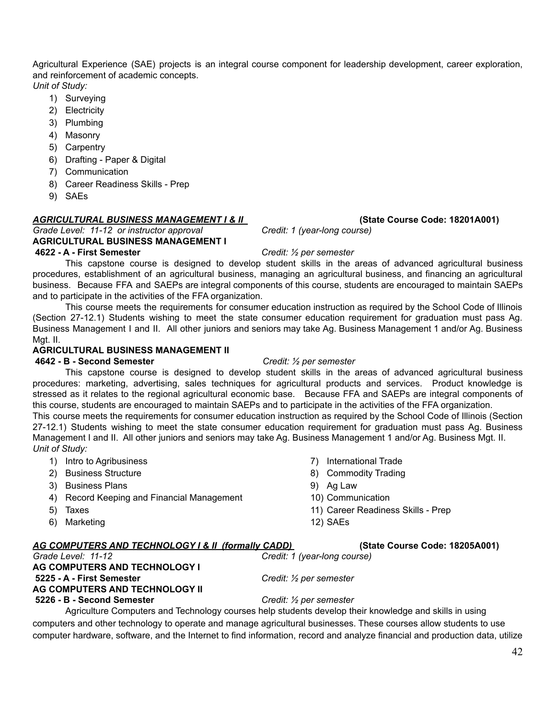Agricultural Experience (SAE) projects is an integral course component for leadership development, career exploration, and reinforcement of academic concepts.

*Unit of Study:*

- 1) Surveying
- 2) Electricity
- 3) Plumbing
- 4) Masonry
- 5) Carpentry
- 6) Drafting Paper & Digital
- 7) Communication
- 8) Career Readiness Skills Prep
- 9) SAEs

#### *AGRICULTURAL BUSINESS MANAGEMENT I & II* **(State Course Code: 18201A001)**

#### *Grade Level: 11-12 or instructor approval Credit: 1 (year-long course)* **AGRICULTURAL BUSINESS MANAGEMENT I**

### **4622 - A - First Semester** *Credit: ½ per semester*

This capstone course is designed to develop student skills in the areas of advanced agricultural business procedures, establishment of an agricultural business, managing an agricultural business, and financing an agricultural business. Because FFA and SAEPs are integral components of this course, students are encouraged to maintain SAEPs and to participate in the activities of the FFA organization.

This course meets the requirements for consumer education instruction as required by the School Code of Illinois (Section 27-12.1) Students wishing to meet the state consumer education requirement for graduation must pass Ag. Business Management I and II. All other juniors and seniors may take Ag. Business Management 1 and/or Ag. Business Mgt. II.

#### **AGRICULTURAL BUSINESS MANAGEMENT II**

#### **4642 - B - Second Semester** *Credit: ½ per semester*

This capstone course is designed to develop student skills in the areas of advanced agricultural business procedures: marketing, advertising, sales techniques for agricultural products and services. Product knowledge is stressed as it relates to the regional agricultural economic base. Because FFA and SAEPs are integral components of this course, students are encouraged to maintain SAEPs and to participate in the activities of the FFA organization.

This course meets the requirements for consumer education instruction as required by the School Code of Illinois (Section 27-12.1) Students wishing to meet the state consumer education requirement for graduation must pass Ag. Business Management I and II. All other juniors and seniors may take Ag. Business Management 1 and/or Ag. Business Mgt. II. *Unit of Study:*

- 1) Intro to Agribusiness
- 2) Business Structure
- 3) Business Plans
- 4) Record Keeping and Financial Management
- 5) Taxes
- 6) Marketing

### *AG COMPUTERS AND TECHNOLOGY I & II (formally CADD)* **(State Course Code: 18205A001)**

# *Grade Level: 11-12 Credit: 1 (year-long course)*

# **AG COMPUTERS AND TECHNOLOGY I**

### **AG COMPUTERS AND TECHNOLOGY II**

**5225 - A - First Semester** *Credit: ½ per semester*

### **5226 - B - Second Semester** *Credit: ½ per semester*

Agriculture Computers and Technology courses help students develop their knowledge and skills in using computers and other technology to operate and manage agricultural businesses. These courses allow students to use computer hardware, software, and the Internet to find information, record and analyze financial and production data, utilize

- 7) International Trade
- 8) Commodity Trading
- 9) Ag Law
- 10) Communication
- 11) Career Readiness Skills Prep
- 12) SAEs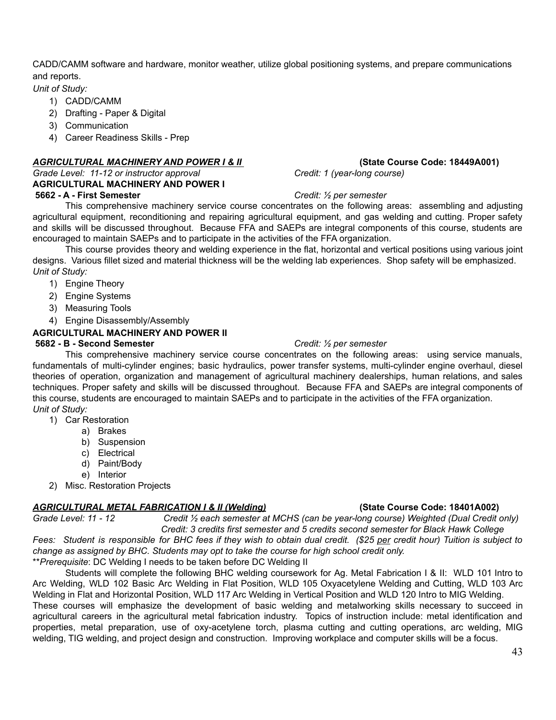CADD/CAMM software and hardware, monitor weather, utilize global positioning systems, and prepare communications and reports.

#### *Unit of Study:*

- 1) CADD/CAMM
- 2) Drafting Paper & Digital
- 3) Communication
- 4) Career Readiness Skills Prep

#### *AGRICULTURAL MACHINERY AND POWER I & II* **(State Course Code: 18449A001)**

#### *Grade Level: 11-12 or instructor approval Credit: 1 (year-long course)* **AGRICULTURAL MACHINERY AND POWER I 5662 - A - First Semester** *Credit: ½ per semester*

This comprehensive machinery service course concentrates on the following areas: assembling and adjusting agricultural equipment, reconditioning and repairing agricultural equipment, and gas welding and cutting. Proper safety and skills will be discussed throughout. Because FFA and SAEPs are integral components of this course, students are encouraged to maintain SAEPs and to participate in the activities of the FFA organization.

This course provides theory and welding experience in the flat, horizontal and vertical positions using various joint designs. Various fillet sized and material thickness will be the welding lab experiences. Shop safety will be emphasized. *Unit of Study:*

- 1) Engine Theory
- 2) Engine Systems
- 3) Measuring Tools
- 4) Engine Disassembly/Assembly

### **AGRICULTURAL MACHINERY AND POWER II**

#### **5682 - B - Second Semester** *Credit: ½ per semester*

This comprehensive machinery service course concentrates on the following areas: using service manuals, fundamentals of multi-cylinder engines; basic hydraulics, power transfer systems, multi-cylinder engine overhaul, diesel theories of operation, organization and management of agricultural machinery dealerships, human relations, and sales techniques. Proper safety and skills will be discussed throughout. Because FFA and SAEPs are integral components of this course, students are encouraged to maintain SAEPs and to participate in the activities of the FFA organization. *Unit of Study:*

- 1) Car Restoration
	- a) Brakes
		- b) Suspension
		- c) Electrical
		- d) Paint/Body
		- e) Interior
- 2) Misc. Restoration Projects

### *AGRICULTURAL METAL FABRICATION I & II (Welding)* **(State Course Code: 18401A002)**

Grade Level: 11 - 12 Credit 1/2 each semester at MCHS (can be year-long course) Weighted (Dual Credit only) *Credit: 3 credits first semester and 5 credits second semester for Black Hawk College*

Fees: Student is responsible for BHC fees if they wish to obtain dual credit. (\$25 per credit hour) Tuition is subject to *change as assigned by BHC. Students may opt to take the course for high school credit only.* \*\**Prerequisite*: DC Welding I needs to be taken before DC Welding II

Students will complete the following BHC welding coursework for Ag. Metal Fabrication I & II: WLD 101 Intro to Arc Welding, WLD 102 Basic Arc Welding in Flat Position, WLD 105 Oxyacetylene Welding and Cutting, WLD 103 Arc Welding in Flat and Horizontal Position, WLD 117 Arc Welding in Vertical Position and WLD 120 Intro to MIG Welding.

These courses will emphasize the development of basic welding and metalworking skills necessary to succeed in agricultural careers in the agricultural metal fabrication industry. Topics of instruction include: metal identification and properties, metal preparation, use of oxy-acetylene torch, plasma cutting and cutting operations, arc welding, MIG welding, TIG welding, and project design and construction. Improving workplace and computer skills will be a focus.

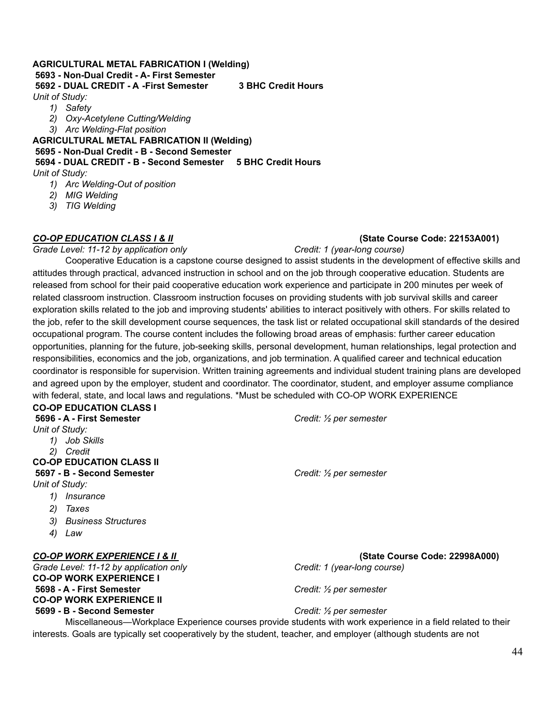### **AGRICULTURAL METAL FABRICATION I (Welding) 5693 - Non-Dual Credit - A- First Semester 5692 - DUAL CREDIT - A -First Semester 3 BHC Credit Hours**

*Unit of Study:*

- *1) Safety*
- *2) Oxy-Acetylene Cutting/Welding*
- *3) Arc Welding-Flat position*

**AGRICULTURAL METAL FABRICATION II (Welding) 5695 - Non-Dual Credit - B - Second Semester 5694 - DUAL CREDIT - B - Second Semester 5 BHC Credit Hours**

*Unit of Study:*

- *1) Arc Welding-Out of position*
- *2) MIG Welding*
- *3) TIG Welding*

#### *CO-OP EDUCATION CLASS I & II* **(State Course Code: 22153A001)**

*Grade Level: 11-12 by application only Credit: 1 (year-long course)*

Cooperative Education is a capstone course designed to assist students in the development of effective skills and attitudes through practical, advanced instruction in school and on the job through cooperative education. Students are released from school for their paid cooperative education work experience and participate in 200 minutes per week of related classroom instruction. Classroom instruction focuses on providing students with job survival skills and career exploration skills related to the job and improving students' abilities to interact positively with others. For skills related to the job, refer to the skill development course sequences, the task list or related occupational skill standards of the desired occupational program. The course content includes the following broad areas of emphasis: further career education opportunities, planning for the future, job-seeking skills, personal development, human relationships, legal protection and responsibilities, economics and the job, organizations, and job termination. A qualified career and technical education coordinator is responsible for supervision. Written training agreements and individual student training plans are developed and agreed upon by the employer, student and coordinator. The coordinator, student, and employer assume compliance with federal, state, and local laws and regulations. \*Must be scheduled with CO-OP WORK EXPERIENCE

### **CO-OP EDUCATION CLASS I**

| 5696 - A - First Semester  |                                         | Credit: $\frac{1}{2}$ per semester |
|----------------------------|-----------------------------------------|------------------------------------|
| Unit of Study:             |                                         |                                    |
| Job Skills<br>1)           |                                         |                                    |
| 2)<br>Credit               |                                         |                                    |
|                            | <b>CO-OP EDUCATION CLASS II</b>         |                                    |
| 5697 - B - Second Semester |                                         | Credit: $\frac{1}{2}$ per semester |
| Unit of Study:             |                                         |                                    |
| <i>Insurance</i><br>1)     |                                         |                                    |
| 2)<br>Taxes                |                                         |                                    |
| 3)                         | <b>Business Structures</b>              |                                    |
| 4)<br>Law                  |                                         |                                    |
|                            | <u>CO-OP WORK EXPERIENCE I &amp; II</u> | (State Course                      |

*Grade Level: 11-12 by application only Credit: 1 (year-long course)* **CO-OP WORK EXPERIENCE I 5698 - A - First Semester** *Credit: ½ per semester* **CO-OP WORK EXPERIENCE II 5699 - B - Second Semester** *Credit: ½ per semester*

*CO-OP WORK EXPERIENCE I & II* **(State Course Code: 22998A000)**

Miscellaneous—Workplace Experience courses provide students with work experience in a field related to their interests. Goals are typically set cooperatively by the student, teacher, and employer (although students are not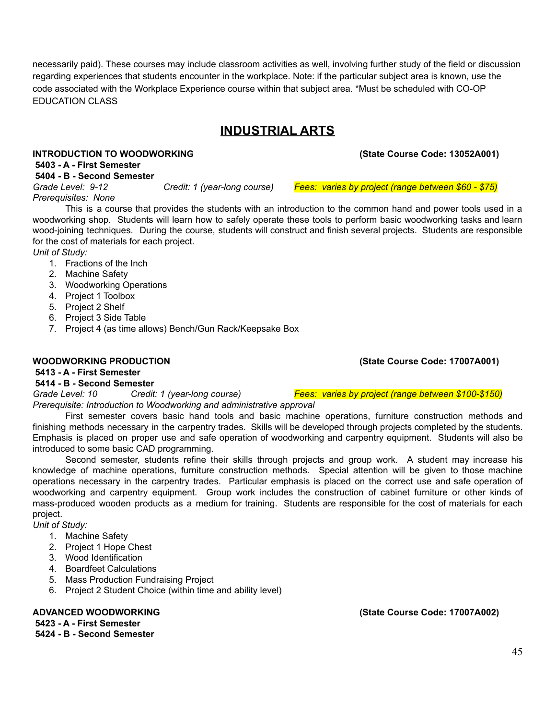necessarily paid). These courses may include classroom activities as well, involving further study of the field or discussion regarding experiences that students encounter in the workplace. Note: if the particular subject area is known, use the code associated with the Workplace Experience course within that subject area. \*Must be scheduled with CO-OP EDUCATION CLASS

# **INDUSTRIAL ARTS**

### **INTRODUCTION TO WOODWORKING (State Course Code: 13052A001)**

**5403 - A - First Semester**

### **5404 - B - Second Semester**

*Grade Level: 9-12 Credit: 1 (year-long course) Fees: varies by project (range between \$60 - \$75) Prerequisites: None*

This is a course that provides the students with an introduction to the common hand and power tools used in a woodworking shop. Students will learn how to safely operate these tools to perform basic woodworking tasks and learn wood-joining techniques. During the course, students will construct and finish several projects. Students are responsible for the cost of materials for each project.

*Unit of Study:*

- 1. Fractions of the Inch
- 2. Machine Safety
- 3. Woodworking Operations
- 4. Project 1 Toolbox
- 5. Project 2 Shelf
- 6. Project 3 Side Table
- 7. Project 4 (as time allows) Bench/Gun Rack/Keepsake Box

### **WOODWORKING PRODUCTION (State Course Code: 17007A001)**

#### **5413 - A - First Semester**

### **5414 - B - Second Semester**

*Grade Level: 10 Credit: 1 (year-long course) Fees: varies by project (range between \$100-\$150) Prerequisite: Introduction to Woodworking and administrative approval*

First semester covers basic hand tools and basic machine operations, furniture construction methods and finishing methods necessary in the carpentry trades. Skills will be developed through projects completed by the students. Emphasis is placed on proper use and safe operation of woodworking and carpentry equipment. Students will also be introduced to some basic CAD programming.

Second semester, students refine their skills through projects and group work. A student may increase his knowledge of machine operations, furniture construction methods. Special attention will be given to those machine operations necessary in the carpentry trades. Particular emphasis is placed on the correct use and safe operation of woodworking and carpentry equipment. Group work includes the construction of cabinet furniture or other kinds of mass-produced wooden products as a medium for training. Students are responsible for the cost of materials for each project.

*Unit of Study:*

- 1. Machine Safety
- 2. Project 1 Hope Chest
- 3. Wood Identification
- 4. Boardfeet Calculations
- 5. Mass Production Fundraising Project
- 6. Project 2 Student Choice (within time and ability level)

**5423 - A - First Semester 5424 - B - Second Semester**

**ADVANCED WOODWORKING (State Course Code: 17007A002)**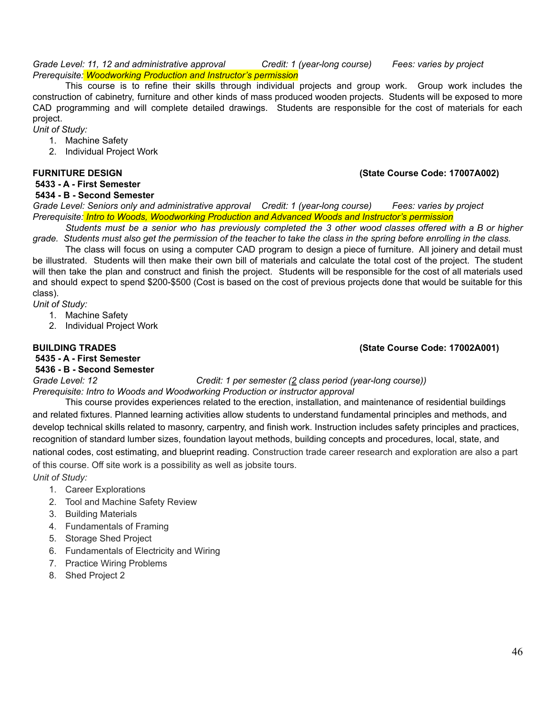*Grade Level: 11, 12 and administrative approval Credit: 1 (year-long course) Fees: varies by project Prerequisite: Woodworking Production and Instructor's permission*

This course is to refine their skills through individual projects and group work. Group work includes the construction of cabinetry, furniture and other kinds of mass produced wooden projects. Students will be exposed to more CAD programming and will complete detailed drawings. Students are responsible for the cost of materials for each project.

*Unit of Study:*

- 1. Machine Safety
- 2. Individual Project Work

#### **FURNITURE DESIGN (State Course Code: 17007A002)**

#### **5433 - A - First Semester 5434 - B - Second Semester**

*Grade Level: Seniors only and administrative approval Credit: 1 (year-long course) Fees: varies by project Prerequisite: Intro to Woods, Woodworking Production and Advanced Woods and Instructor's permission*

Students must be a senior who has previously completed the 3 other wood classes offered with a B or higher grade. Students must also get the permission of the teacher to take the class in the spring before enrolling in the class.

The class will focus on using a computer CAD program to design a piece of furniture. All joinery and detail must be illustrated. Students will then make their own bill of materials and calculate the total cost of the project. The student will then take the plan and construct and finish the project. Students will be responsible for the cost of all materials used and should expect to spend \$200-\$500 (Cost is based on the cost of previous projects done that would be suitable for this class).

*Unit of Study:*

- 1. Machine Safety
- 2. Individual Project Work

#### **BUILDING TRADES (State Course Code: 17002A001)**

**5435 - A - First Semester 5436 - B - Second Semester**

*Grade Level: 12 Credit: 1 per semester (2 class period (year-long course)) Prerequisite: Intro to Woods and Woodworking Production or instructor approval*

This course provides experiences related to the erection, installation, and maintenance of residential buildings and related fixtures. Planned learning activities allow students to understand fundamental principles and methods, and develop technical skills related to masonry, carpentry, and finish work. Instruction includes safety principles and practices, recognition of standard lumber sizes, foundation layout methods, building concepts and procedures, local, state, and national codes, cost estimating, and blueprint reading. Construction trade career research and exploration are also a part of this course. Off site work is a possibility as well as jobsite tours.

*Unit of Study:*

- 1. Career Explorations
- 2. Tool and Machine Safety Review
- 3. Building Materials
- 4. Fundamentals of Framing
- 5. Storage Shed Project
- 6. Fundamentals of Electricity and Wiring
- 7. Practice Wiring Problems
- 8. Shed Project 2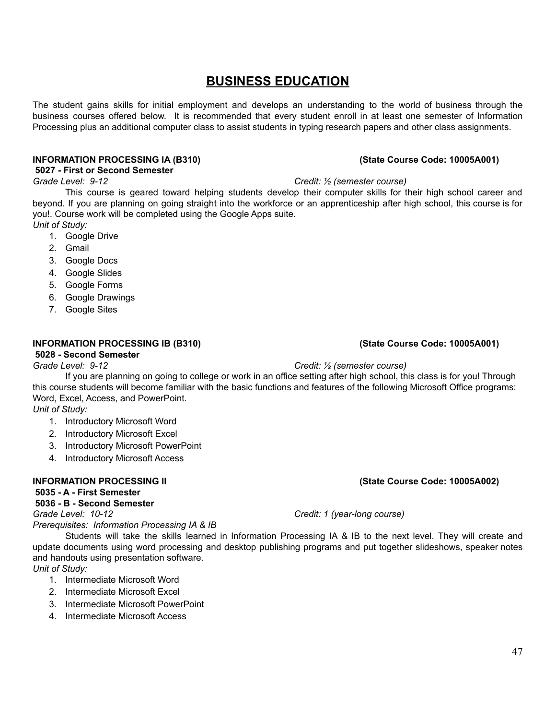# **BUSINESS EDUCATION**

The student gains skills for initial employment and develops an understanding to the world of business through the business courses offered below. It is recommended that every student enroll in at least one semester of Information Processing plus an additional computer class to assist students in typing research papers and other class assignments.

#### **INFORMATION PROCESSING IA (B310) (State Course Code: 10005A001)**

#### **5027 - First or Second Semester**

#### *Grade Level: 9-12 Credit: ½ (semester course)*

This course is geared toward helping students develop their computer skills for their high school career and beyond. If you are planning on going straight into the workforce or an apprenticeship after high school, this course is for you!. Course work will be completed using the Google Apps suite.

- *Unit of Study:*
	- 1. Google Drive
	- 2. Gmail
	- 3. Google Docs
	- 4. Google Slides
	- 5. Google Forms
	- 6. Google Drawings
	- 7. Google Sites

### **INFORMATION PROCESSING IB (B310) (State Course Code: 10005A001)**

#### **5028 - Second Semester**

### *Grade Level: 9-12 Credit: ½ (semester course)*

If you are planning on going to college or work in an office setting after high school, this class is for you! Through this course students will become familiar with the basic functions and features of the following Microsoft Office programs: Word, Excel, Access, and PowerPoint.

*Unit of Study:*

- 1. Introductory Microsoft Word
- 2. Introductory Microsoft Excel
- 3. Introductory Microsoft PowerPoint
- 4. Introductory Microsoft Access

### **INFORMATION PROCESSING II (State Course Code: 10005A002)**

#### **5035 - A - First Semester**

### **5036 - B - Second Semester**

*Prerequisites: Information Processing IA & IB*

Students will take the skills learned in Information Processing IA & IB to the next level. They will create and update documents using word processing and desktop publishing programs and put together slideshows, speaker notes and handouts using presentation software.

- *Unit of Study:*
	- 1. Intermediate Microsoft Word
	- 2. Intermediate Microsoft Excel
	- 3. Intermediate Microsoft PowerPoint
	- 4. Intermediate Microsoft Access

### *Grade Level: 10-12 Credit: 1 (year-long course)*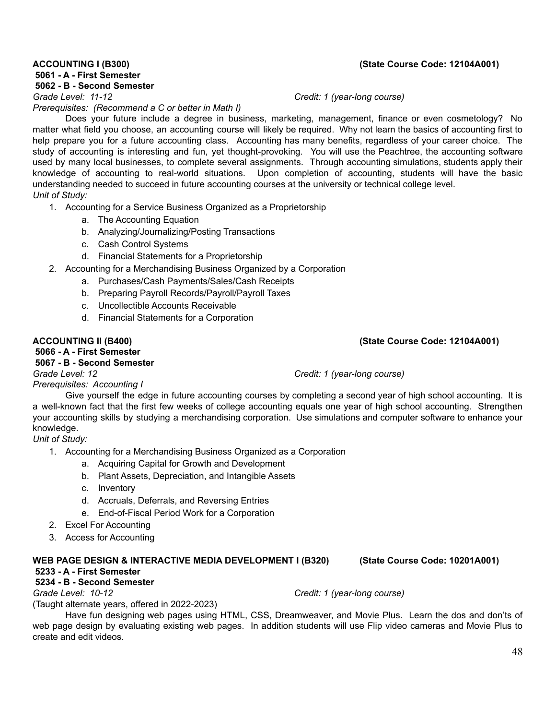**5061 - A - First Semester 5062 - B - Second Semester**

*Prerequisites: (Recommend a C or better in Math I)*

Does your future include a degree in business, marketing, management, finance or even cosmetology? No matter what field you choose, an accounting course will likely be required. Why not learn the basics of accounting first to help prepare you for a future accounting class. Accounting has many benefits, regardless of your career choice. The study of accounting is interesting and fun, yet thought-provoking. You will use the Peachtree, the accounting software used by many local businesses, to complete several assignments. Through accounting simulations, students apply their knowledge of accounting to real-world situations. Upon completion of accounting, students will have the basic understanding needed to succeed in future accounting courses at the university or technical college level. *Unit of Study:*

1. Accounting for a Service Business Organized as a Proprietorship

- a. The Accounting Equation
- b. Analyzing/Journalizing/Posting Transactions
- c. Cash Control Systems
- d. Financial Statements for a Proprietorship
- 2. Accounting for a Merchandising Business Organized by a Corporation
	- a. Purchases/Cash Payments/Sales/Cash Receipts
	- b. Preparing Payroll Records/Payroll/Payroll Taxes
	- c. Uncollectible Accounts Receivable
	- d. Financial Statements for a Corporation

#### **ACCOUNTING II (B400) (State Course Code: 12104A001)**

### **5066 - A - First Semester 5067 - B - Second Semester**

*Grade Level: 12 Credit: 1 (year-long course)*

*Prerequisites: Accounting I*

Give yourself the edge in future accounting courses by completing a second year of high school accounting. It is a well-known fact that the first few weeks of college accounting equals one year of high school accounting. Strengthen your accounting skills by studying a merchandising corporation. Use simulations and computer software to enhance your knowledge.

*Unit of Study:*

- 1. Accounting for a Merchandising Business Organized as a Corporation
	- a. Acquiring Capital for Growth and Development
	- b. Plant Assets, Depreciation, and Intangible Assets
	- c. Inventory
	- d. Accruals, Deferrals, and Reversing Entries
	- e. End-of-Fiscal Period Work for a Corporation
- 2. Excel For Accounting
- 3. Access for Accounting

# **WEB PAGE DESIGN & INTERACTIVE MEDIA DEVELOPMENT I (B320) (State Course Code: 10201A001)**

# **5233 - A - First Semester**

### **5234 - B - Second Semester**

*Grade Level: 10-12 Credit: 1 (year-long course)* (Taught alternate years, offered in 2022-2023)

Have fun designing web pages using HTML, CSS, Dreamweaver, and Movie Plus. Learn the dos and don'ts of web page design by evaluating existing web pages. In addition students will use Flip video cameras and Movie Plus to create and edit videos.

#### **ACCOUNTING I (B300) (State Course Code: 12104A001)**

*Grade Level: 11-12 Credit: 1 (year-long course)*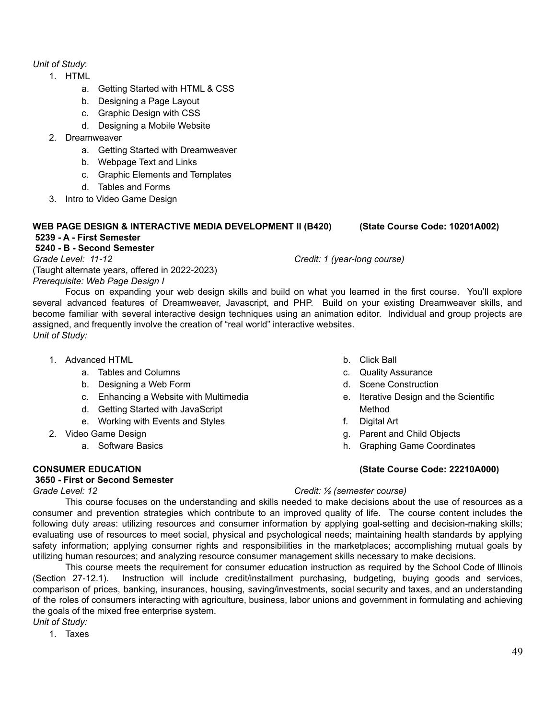### *Unit of Study*:

- 1. HTML
	- a. Getting Started with HTML & CSS
	- b. Designing a Page Layout
	- c. Graphic Design with CSS
	- d. Designing a Mobile Website
- 2. Dreamweaver
	- a. Getting Started with Dreamweaver
	- b. Webpage Text and Links
	- c. Graphic Elements and Templates
	- d. Tables and Forms
- 3. Intro to Video Game Design

#### **WEB PAGE DESIGN & INTERACTIVE MEDIA DEVELOPMENT II (B420) (State Course Code: 10201A002) 5239 - A - First Semester**

#### **5240 - B - Second Semester**

*Grade Level: 11-12 Credit: 1 (year-long course)* (Taught alternate years, offered in 2022-2023) *Prerequisite: Web Page Design I*

Focus on expanding your web design skills and build on what you learned in the first course. You'll explore several advanced features of Dreamweaver, Javascript, and PHP. Build on your existing Dreamweaver skills, and become familiar with several interactive design techniques using an animation editor. Individual and group projects are assigned, and frequently involve the creation of "real world" interactive websites. *Unit of Study:*

- 1. Advanced HTML
	- a. Tables and Columns
	- b. Designing a Web Form
	- c. Enhancing a Website with Multimedia
	- d. Getting Started with JavaScript
	- e. Working with Events and Styles
- 2. Video Game Design
	- a. Software Basics

#### **3650 - First or Second Semester**

- b. Click Ball
- c. Quality Assurance
- d. Scene Construction
- e. Iterative Design and the Scientific Method
- f. Digital Art
- g. Parent and Child Objects
- h. Graphing Game Coordinates

### **CONSUMER EDUCATION (State Course Code: 22210A000)**

#### *Grade Level: 12 Credit: ½ (semester course)*

This course focuses on the understanding and skills needed to make decisions about the use of resources as a consumer and prevention strategies which contribute to an improved quality of life. The course content includes the following duty areas: utilizing resources and consumer information by applying goal-setting and decision-making skills; evaluating use of resources to meet social, physical and psychological needs; maintaining health standards by applying safety information; applying consumer rights and responsibilities in the marketplaces; accomplishing mutual goals by utilizing human resources; and analyzing resource consumer management skills necessary to make decisions.

This course meets the requirement for consumer education instruction as required by the School Code of Illinois (Section 27-12.1). Instruction will include credit/installment purchasing, budgeting, buying goods and services, comparison of prices, banking, insurances, housing, saving/investments, social security and taxes, and an understanding of the roles of consumers interacting with agriculture, business, labor unions and government in formulating and achieving the goals of the mixed free enterprise system.

*Unit of Study:*

1. Taxes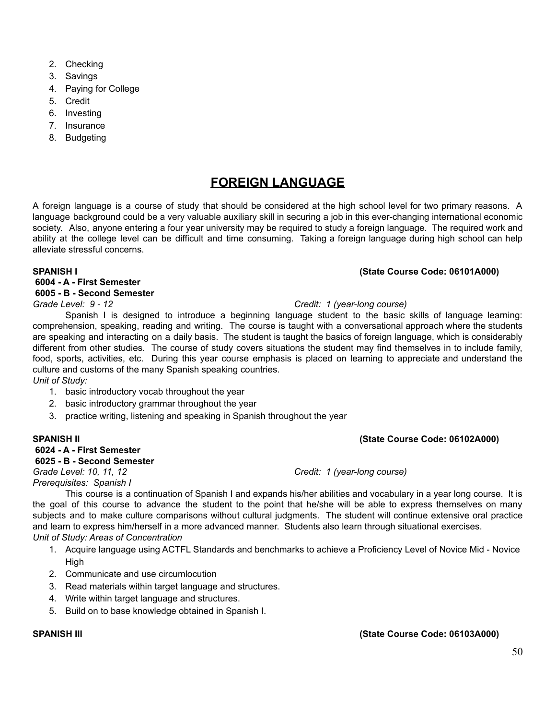- 2. Checking
- 3. Savings
- 4. Paying for College
- 5. Credit
- 6. Investing
- 7. Insurance
- 8. Budgeting

# **FOREIGN LANGUAGE**

A foreign language is a course of study that should be considered at the high school level for two primary reasons. A language background could be a very valuable auxiliary skill in securing a job in this ever-changing international economic society. Also, anyone entering a four year university may be required to study a foreign language. The required work and ability at the college level can be difficult and time consuming. Taking a foreign language during high school can help alleviate stressful concerns.

#### **SPANISH I (State Course Code: 06101A000)**

#### **6004 - A - First Semester 6005 - B - Second Semester**

#### *Grade Level: 9 - 12 Credit: 1 (year-long course)*

Spanish I is designed to introduce a beginning language student to the basic skills of language learning: comprehension, speaking, reading and writing. The course is taught with a conversational approach where the students are speaking and interacting on a daily basis. The student is taught the basics of foreign language, which is considerably different from other studies. The course of study covers situations the student may find themselves in to include family, food, sports, activities, etc. During this year course emphasis is placed on learning to appreciate and understand the culture and customs of the many Spanish speaking countries.

*Unit of Study:*

- 1. basic introductory vocab throughout the year
- 2. basic introductory grammar throughout the year
- 3. practice writing, listening and speaking in Spanish throughout the year

# **6024 - A - First Semester**

**6025 - B - Second Semester** *Grade Level: 10, 11, 12 Credit: 1 (year-long course) Prerequisites: Spanish I*

This course is a continuation of Spanish I and expands his/her abilities and vocabulary in a year long course. It is the goal of this course to advance the student to the point that he/she will be able to express themselves on many subjects and to make culture comparisons without cultural judgments. The student will continue extensive oral practice and learn to express him/herself in a more advanced manner. Students also learn through situational exercises. *Unit of Study: Areas of Concentration*

- 1. Acquire language using ACTFL Standards and benchmarks to achieve a Proficiency Level of Novice Mid Novice **High**
- 2. Communicate and use circumlocution
- 3. Read materials within target language and structures.
- 4. Write within target language and structures.
- 5. Build on to base knowledge obtained in Spanish I.

### **SPANISH III (State Course Code: 06103A000)**

### **SPANISH II (State Course Code: 06102A000)**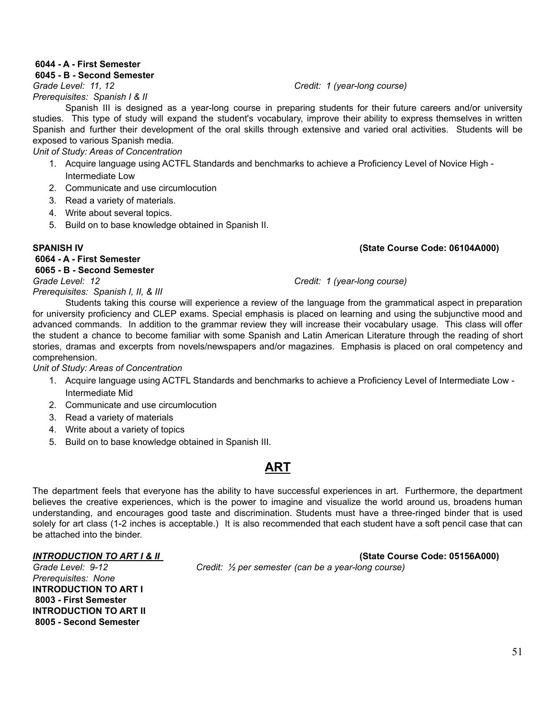#### **6044 - A - First Semester**

#### **6045 - B - Second Semester**

*Grade Level: 11, 12 Credit: 1 (year-long course) Prerequisites: Spanish I & II*

Spanish III is designed as a year-long course in preparing students for their future careers and/or university studies. This type of study will expand the student's vocabulary, improve their ability to express themselves in written Spanish and further their development of the oral skills through extensive and varied oral activities. Students will be exposed to various Spanish media.

*Unit of Study: Areas of Concentration*

- 1. Acquire language using ACTFL Standards and benchmarks to achieve a Proficiency Level of Novice High Intermediate Low
- 2. Communicate and use circumlocution
- 3. Read a variety of materials.
- 4. Write about several topics.
- 5. Build on to base knowledge obtained in Spanish II.

#### **SPANISH IV (State Course Code: 06104A000)**

# **6064 - A - First Semester**

# **6065 - B - Second Semester**

*Grade Level: 12 Credit: 1 (year-long course)*

*Prerequisites: Spanish I, II, & III*

Students taking this course will experience a review of the language from the grammatical aspect in preparation for university proficiency and CLEP exams. Special emphasis is placed on learning and using the subjunctive mood and advanced commands. In addition to the grammar review they will increase their vocabulary usage. This class will offer the student a chance to become familiar with some Spanish and Latin American Literature through the reading of short stories, dramas and excerpts from novels/newspapers and/or magazines. Emphasis is placed on oral competency and comprehension.

*Unit of Study: Areas of Concentration*

- 1. Acquire language using ACTFL Standards and benchmarks to achieve a Proficiency Level of Intermediate Low Intermediate Mid
- 2. Communicate and use circumlocution
- 3. Read a variety of materials
- 4. Write about a variety of topics
- 5. Build on to base knowledge obtained in Spanish III.

# **ART**

The department feels that everyone has the ability to have successful experiences in art. Furthermore, the department believes the creative experiences, which is the power to imagine and visualize the world around us, broadens human understanding, and encourages good taste and discrimination. Students must have a three-ringed binder that is used solely for art class (1-2 inches is acceptable.) It is also recommended that each student have a soft pencil case that can be attached into the binder.

*INTRODUCTION TO ART I & II* **(State Course Code: 05156A000)**

*Grade Level: 9-12 Credit: ½ per semester (can be a year-long course)*

*Prerequisites: None* **INTRODUCTION TO ART I 8003 - First Semester INTRODUCTION TO ART II 8005 - Second Semester**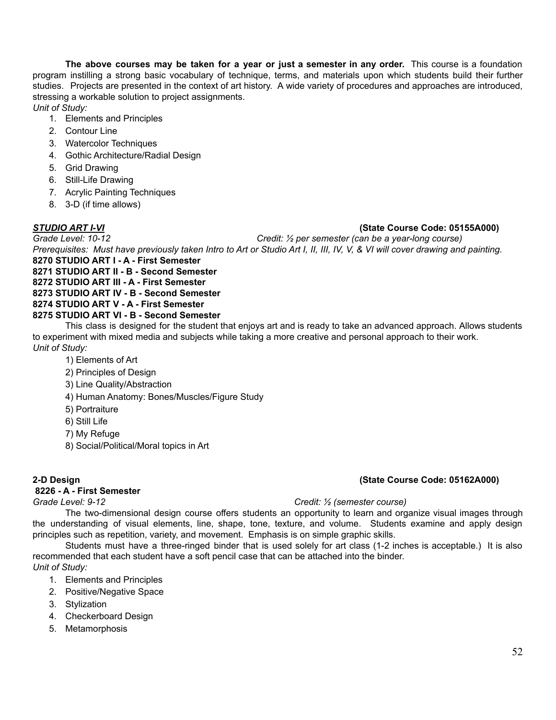**The above courses may be taken for a year or just a semester in any order.** This course is a foundation program instilling a strong basic vocabulary of technique, terms, and materials upon which students build their further studies. Projects are presented in the context of art history. A wide variety of procedures and approaches are introduced, stressing a workable solution to project assignments.

*Unit of Study:*

- 1. Elements and Principles
- 2. Contour Line
- 3. Watercolor Techniques
- 4. Gothic Architecture/Radial Design
- 5. Grid Drawing
- 6. Still-Life Drawing
- 7. Acrylic Painting Techniques
- 8. 3-D (if time allows)

#### *STUDIO ART I-VI* **(State Course Code: 05155A000)**

*Grade Level: 10-12 Credit: ½ per semester (can be a year-long course)* Prerequisites: Must have previously taken Intro to Art or Studio Art I, II, III, IV, V, & VI will cover drawing and painting. **8270 STUDIO ART I - A - First Semester**

**8271 STUDIO ART II - B - Second Semester**

**8272 STUDIO ART III - A - First Semester**

**8273 STUDIO ART IV - B - Second Semester**

### **8274 STUDIO ART V - A - First Semester**

#### **8275 STUDIO ART VI - B - Second Semester**

This class is designed for the student that enjoys art and is ready to take an advanced approach. Allows students to experiment with mixed media and subjects while taking a more creative and personal approach to their work. *Unit of Study:*

- 1) Elements of Art
- 2) Principles of Design
- 3) Line Quality/Abstraction
- 4) Human Anatomy: Bones/Muscles/Figure Study
- 5) Portraiture
- 6) Still Life
- 7) My Refuge
- 8) Social/Political/Moral topics in Art

#### **2-D Design (State Course Code: 05162A000)**

### **8226 - A - First Semester**

### *Grade Level: 9-12 Credit: ½ (semester course)*

The two-dimensional design course offers students an opportunity to learn and organize visual images through the understanding of visual elements, line, shape, tone, texture, and volume. Students examine and apply design principles such as repetition, variety, and movement. Emphasis is on simple graphic skills.

Students must have a three-ringed binder that is used solely for art class (1-2 inches is acceptable.) It is also recommended that each student have a soft pencil case that can be attached into the binder. *Unit of Study:*

- 1. Elements and Principles
- 2. Positive/Negative Space
- 3. Stylization
- 4. Checkerboard Design
- 5. Metamorphosis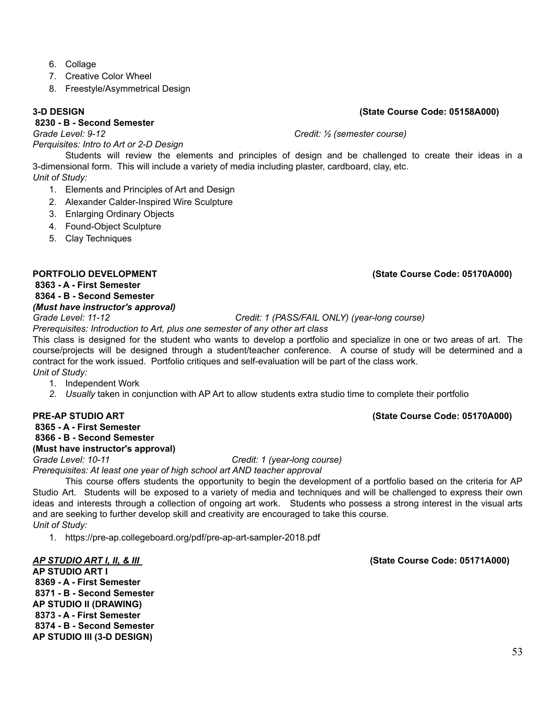- 6. Collage
- 7. Creative Color Wheel
- 8. Freestyle/Asymmetrical Design

#### **3-D DESIGN (State Course Code: 05158A000)**

#### **8230 - B - Second Semester**

*Grade Level: 9-12 Credit: ½ (semester course)*

*Perquisites: Intro to Art or 2-D Design*

Students will review the elements and principles of design and be challenged to create their ideas in a 3-dimensional form. This will include a variety of media including plaster, cardboard, clay, etc. *Unit of Study:*

- 1. Elements and Principles of Art and Design
- 2. Alexander Calder-Inspired Wire Sculpture
- 3. Enlarging Ordinary Objects
- 4. Found-Object Sculpture
- 5. Clay Techniques

#### **PORTFOLIO DEVELOPMENT (State Course Code: 05170A000)**

**8363 - A - First Semester**

**8364 - B - Second Semester**

#### *(Must have instructor's approval)*

*Grade Level: 11-12 Credit: 1 (PASS/FAIL ONLY) (year-long course)*

*Prerequisites: Introduction to Art, plus one semester of any other art class*

This class is designed for the student who wants to develop a portfolio and specialize in one or two areas of art. The course/projects will be designed through a student/teacher conference. A course of study will be determined and a contract for the work issued. Portfolio critiques and self-evaluation will be part of the class work. *Unit of Study:*

- 1. Independent Work
- *2. Usually* taken in conjunction with AP Art to allow students extra studio time to complete their portfolio

**8365 - A - First Semester**

#### **8366 - B - Second Semester (Must have instructor's approval)**

*Grade Level: 10-11 Credit: 1 (year-long course)*

*Prerequisites: At least one year of high school art AND teacher approval*

This course offers students the opportunity to begin the development of a portfolio based on the criteria for AP Studio Art. Students will be exposed to a variety of media and techniques and will be challenged to express their own ideas and interests through a collection of ongoing art work. Students who possess a strong interest in the visual arts and are seeking to further develop skill and creativity are encouraged to take this course. *Unit of Study:*

1. https://pre-ap.collegeboard.org/pdf/pre-ap-art-sampler-2018.pdf

**AP STUDIO ART I 8369 - A - First Semester 8371 - B - Second Semester AP STUDIO II (DRAWING) 8373 - A - First Semester 8374 - B - Second Semester AP STUDIO III (3-D DESIGN)**

*AP STUDIO ART I, II, & III* **(State Course Code: 05171A000)**

# 53

### **PRE-AP STUDIO ART (State Course Code: 05170A000)**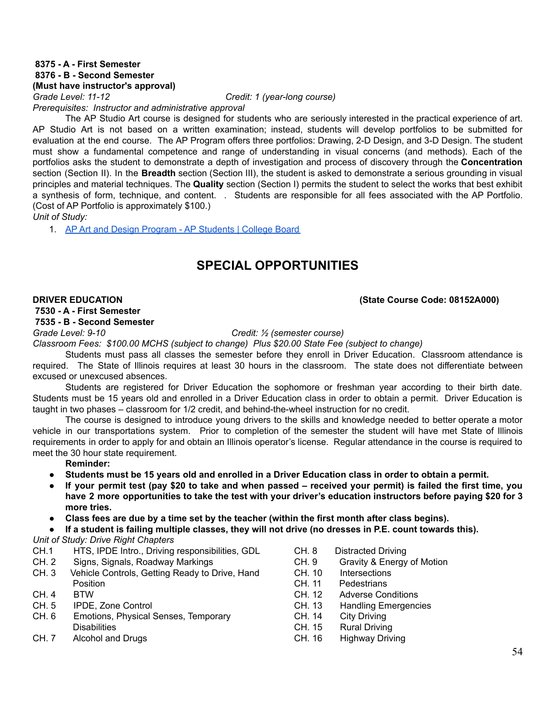#### **8375 - A - First Semester 8376 - B - Second Semester (Must have instructor's approval)**

*Grade Level: 11-12 Credit: 1 (year-long course)*

*Prerequisites: Instructor and administrative approval*

The AP Studio Art course is designed for students who are seriously interested in the practical experience of art. AP Studio Art is not based on a written examination; instead, students will develop portfolios to be submitted for evaluation at the end course. The AP Program offers three portfolios: Drawing, 2-D Design, and 3-D Design. The student must show a fundamental competence and range of understanding in visual concerns (and methods). Each of the portfolios asks the student to demonstrate a depth of investigation and process of discovery through the **Concentration** section (Section II). In the **Breadth** section (Section III), the student is asked to demonstrate a serious grounding in visual principles and material techniques. The **Quality** section (Section I) permits the student to select the works that best exhibit a synthesis of form, technique, and content. . Students are responsible for all fees associated with the AP Portfolio. (Cost of AP Portfolio is approximately \$100.)

*Unit of Study:*

1. AP Art and Design Program - AP Students | College Board

# **SPECIAL OPPORTUNITIES**

#### **DRIVER EDUCATION (State Course Code: 08152A000)**

# **7530 - A - First Semester 7535 - B - Second Semester**

*Grade Level: 9-10 Credit: ½ (semester course)*

*Classroom Fees: \$100.00 MCHS (subject to change) Plus \$20.00 State Fee (subject to change)*

Students must pass all classes the semester before they enroll in Driver Education. Classroom attendance is required. The State of Illinois requires at least 30 hours in the classroom. The state does not differentiate between excused or unexcused absences.

Students are registered for Driver Education the sophomore or freshman year according to their birth date. Students must be 15 years old and enrolled in a Driver Education class in order to obtain a permit. Driver Education is taught in two phases – classroom for 1/2 credit, and behind-the-wheel instruction for no credit.

The course is designed to introduce young drivers to the skills and knowledge needed to better operate a motor vehicle in our transportations system. Prior to completion of the semester the student will have met State of Illinois requirements in order to apply for and obtain an Illinois operator's license. Regular attendance in the course is required to meet the 30 hour state requirement.

**Reminder:**

- Students must be 15 years old and enrolled in a Driver Education class in order to obtain a permit.
- If your permit test (pay \$20 to take and when passed received your permit) is failed the first time, you have 2 more opportunities to take the test with your driver's education instructors before paying \$20 for 3 **more tries.**
- Class fees are due by a time set by the teacher (within the first month after class begins).
- If a student is failing multiple classes, they will not drive (no dresses in P.E. count towards this).

*Unit of Study: Drive Right Chapters*

- CH.1 HTS, IPDE Intro., Driving responsibilities, GDL
- CH. 2 Signs, Signals, Roadway Markings
- CH. 3 Vehicle Controls, Getting Ready to Drive, Hand Position
- CH. 4 BTW
- CH. 5 IPDE, Zone Control
- CH. 6 Emotions, Physical Senses, Temporary **Disabilities**
- CH. 7 Alcohol and Drugs
- CH. 8 Distracted Driving
- CH. 9 Gravity & Energy of Motion
- CH. 10 Intersections
- CH. 11 Pedestrians
- CH. 12 Adverse Conditions
- CH. 13 Handling Emergencies
- CH. 14 City Driving
- CH. 15 Rural Driving
- CH. 16 Highway Driving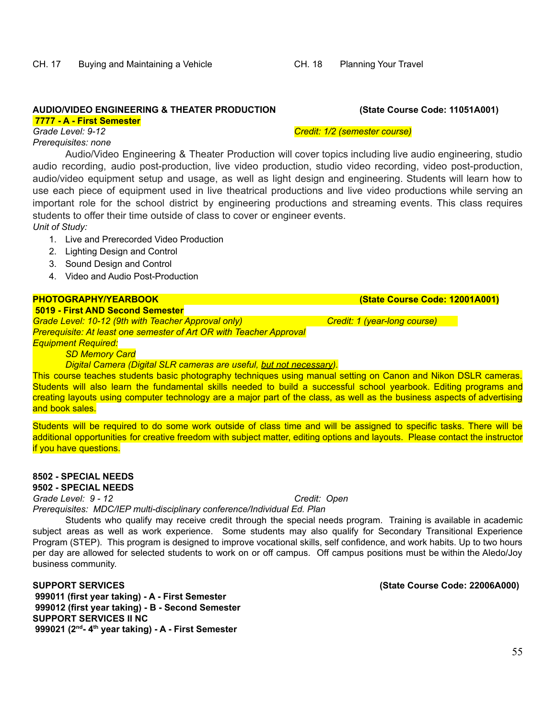#### **AUDIO/VIDEO ENGINEERING & THEATER PRODUCTION (State Course Code: 11051A001) 7777 - A - First Semester**

*Grade Level: 9-12 Credit: 1/2 (semester course)*

*Prerequisites: none*

Audio/Video Engineering & Theater Production will cover topics including live audio engineering, studio audio recording, audio post-production, live video production, studio video recording, video post-production, audio/video equipment setup and usage, as well as light design and engineering. Students will learn how to use each piece of equipment used in live theatrical productions and live video productions while serving an important role for the school district by engineering productions and streaming events. This class requires students to offer their time outside of class to cover or engineer events.

*Unit of Study:*

- 1. Live and Prerecorded Video Production
- 2. Lighting Design and Control
- 3. Sound Design and Control
- 4. Video and Audio Post-Production

### **PHOTOGRAPHY/YEARBOOK (State Course Code: 12001A001)**

**5019 - First AND Second Semester** *Grade Level: 10-12 (9th with Teacher Approval only) Credit: 1 (year-long course) Prerequisite: At least one semester of Art OR with Teacher Approval Equipment Required:*

*SD Memory Card*

*Digital Camera (Digital SLR cameras are useful, but not necessary).*

This course teaches students basic photography techniques using manual setting on Canon and Nikon DSLR cameras. Students will also learn the fundamental skills needed to build a successful school yearbook. Editing programs and creating layouts using computer technology are a major part of the class, as well as the business aspects of advertising and book sales.

Students will be required to do some work outside of class time and will be assigned to specific tasks. There will be additional opportunities for creative freedom with subject matter, editing options and layouts. Please contact the instructor if you have questions.

#### **8502 - SPECIAL NEEDS 9502 - SPECIAL NEEDS**

*Grade Level: 9 - 12 Credit: Open*

*Prerequisites: MDC/IEP multi-disciplinary conference/Individual Ed. Plan*

Students who qualify may receive credit through the special needs program. Training is available in academic subject areas as well as work experience. Some students may also qualify for Secondary Transitional Experience Program (STEP). This program is designed to improve vocational skills, self confidence, and work habits. Up to two hours per day are allowed for selected students to work on or off campus. Off campus positions must be within the Aledo/Joy business community.

**SUPPORT SERVICES (State Course Code: 22006A000) 999011 (first year taking) - A - First Semester 999012 (first year taking) - B - Second Semester SUPPORT SERVICES II NC 999021 (2 nd - 4 th year taking) - A - First Semester**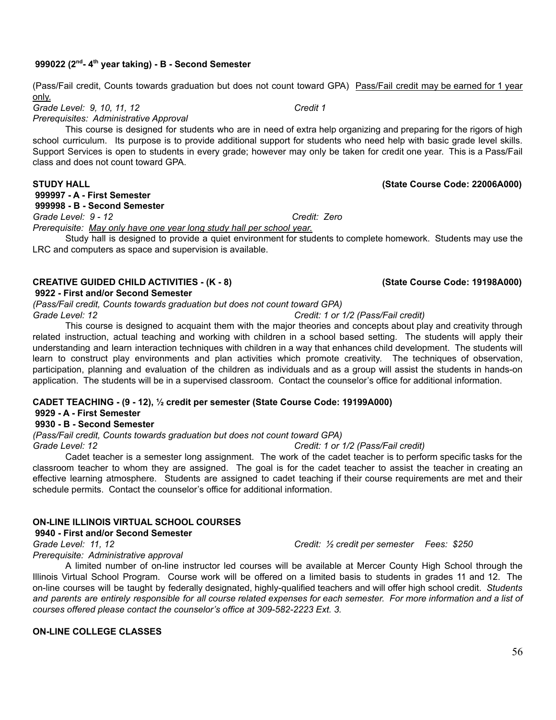### **999022 (2 nd - 4 th year taking) - B - Second Semester**

(Pass/Fail credit, Counts towards graduation but does not count toward GPA) Pass/Fail credit may be earned for 1 year only.

*Grade Level: 9, 10, 11, 12 Credit 1*

*Prerequisites: Administrative Approval*

This course is designed for students who are in need of extra help organizing and preparing for the rigors of high school curriculum. Its purpose is to provide additional support for students who need help with basic grade level skills. Support Services is open to students in every grade; however may only be taken for credit one year. This is a Pass/Fail class and does not count toward GPA.

#### **STUDY HALL (State Course Code: 22006A000)**

### **999997 - A - First Semester**

**999998 - B - Second Semester**

*Grade Level: 9 - 12 Credit: Zero*

*Prerequisite: May only have one year long study hall per school year.*

Study hall is designed to provide a quiet environment for students to complete homework. Students may use the LRC and computers as space and supervision is available.

#### **CREATIVE GUIDED CHILD ACTIVITIES - (K - 8) (State Course Code: 19198A000)**

#### **9922 - First and/or Second Semester**

*(Pass/Fail credit, Counts towards graduation but does not count toward GPA)*

*Grade Level: 12 Credit: 1 or 1/2 (Pass/Fail credit)*

This course is designed to acquaint them with the major theories and concepts about play and creativity through related instruction, actual teaching and working with children in a school based setting. The students will apply their understanding and learn interaction techniques with children in a way that enhances child development. The students will learn to construct play environments and plan activities which promote creativity. The techniques of observation, participation, planning and evaluation of the children as individuals and as a group will assist the students in hands-on application. The students will be in a supervised classroom. Contact the counselor's office for additional information.

#### **CADET TEACHING - (9 - 12), ½ credit per semester (State Course Code: 19199A000)**

#### **9929 - A - First Semester**

#### **9930 - B - Second Semester**

*(Pass/Fail credit, Counts towards graduation but does not count toward GPA)*

*Grade Level: 12 Credit: 1 or 1/2 (Pass/Fail credit)*

Cadet teacher is a semester long assignment. The work of the cadet teacher is to perform specific tasks for the classroom teacher to whom they are assigned. The goal is for the cadet teacher to assist the teacher in creating an effective learning atmosphere. Students are assigned to cadet teaching if their course requirements are met and their schedule permits. Contact the counselor's office for additional information.

#### **ON-LINE ILLINOIS VIRTUAL SCHOOL COURSES**

#### **9940 - First and/or Second Semester**

*Grade Level: 11, 12 Credit: ½ credit per semester Fees: \$250*

*Prerequisite: Administrative approval*

A limited number of on-line instructor led courses will be available at Mercer County High School through the Illinois Virtual School Program. Course work will be offered on a limited basis to students in grades 11 and 12. The on-line courses will be taught by federally designated, highly-qualified teachers and will offer high school credit. *Students* and parents are entirely responsible for all course related expenses for each semester. For more information and a list of *courses offered please contact the counselor's office at 309-582-2223 Ext. 3.*

#### **ON-LINE COLLEGE CLASSES**

56